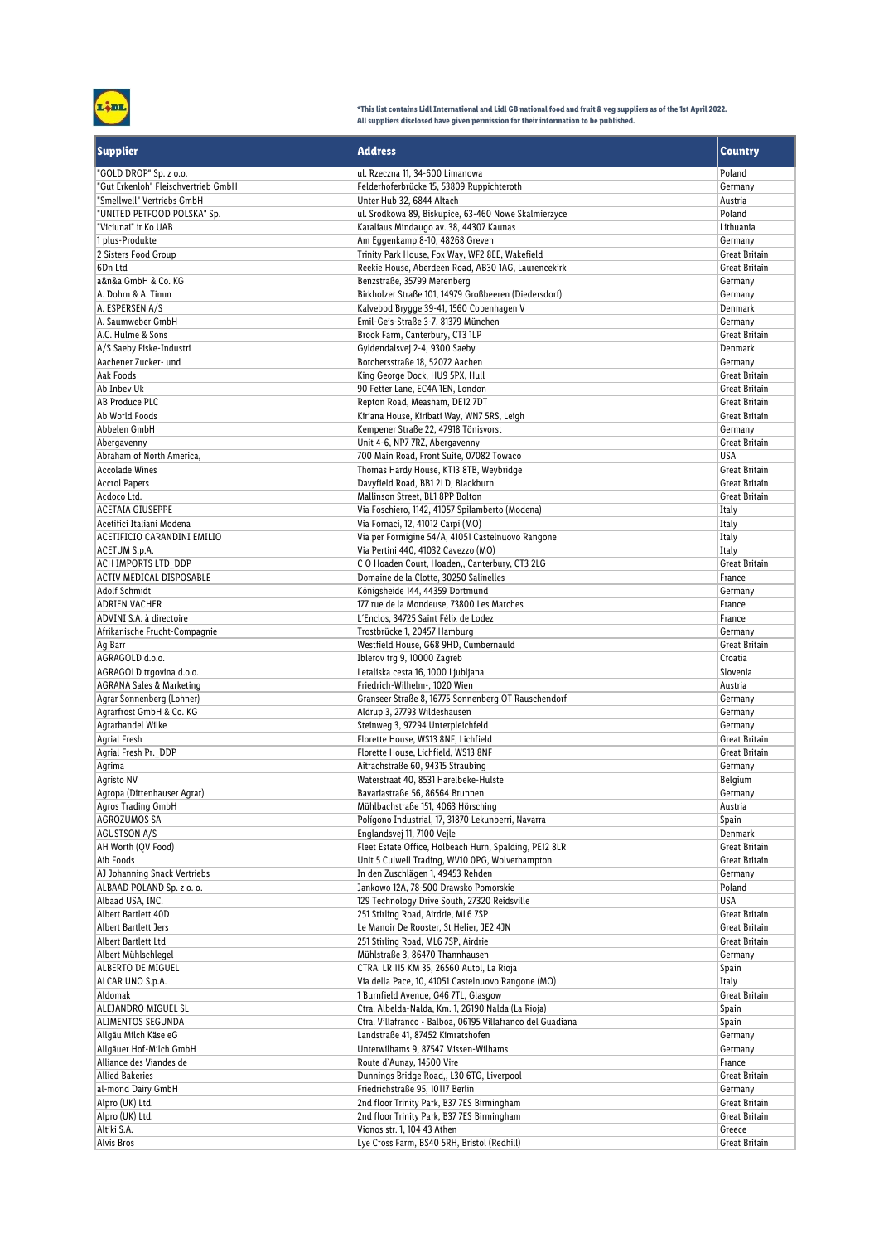

**\*This list contains Lidl International and Lidl GB national food and fruit & veg suppliers as of the 1st April 2022. All suppliers disclosed have given permission for their information to be published.**

| <b>Supplier</b>                                   | <b>Address</b>                                                                      | <b>Country</b>                        |
|---------------------------------------------------|-------------------------------------------------------------------------------------|---------------------------------------|
| "GOLD DROP" Sp. z o.o.                            | ul. Rzeczna 11, 34-600 Limanowa                                                     | Poland                                |
| "Gut Erkenloh" Fleischvertrieb GmbH               | Felderhoferbrücke 15, 53809 Ruppichteroth                                           | Germany                               |
| "Smellwell" Vertriebs GmbH                        | Unter Hub 32, 6844 Altach                                                           | Austria                               |
| "UNITED PETFOOD POLSKA" Sp.                       | ul. Srodkowa 89, Biskupice, 63-460 Nowe Skalmierzyce                                | Poland                                |
| "Viciunai" ir Ko UAB<br>1 plus-Produkte           | Karaliaus Mindaugo av. 38, 44307 Kaunas<br>Am Eqgenkamp 8-10, 48268 Greven          | Lithuania<br>Germany                  |
| 2 Sisters Food Group                              | Trinity Park House, Fox Way, WF2 8EE, Wakefield                                     | Great Britain                         |
| 6Dn Ltd                                           | Reekie House, Aberdeen Road, AB30 1AG, Laurencekirk                                 | Great Britain                         |
| a&n&a GmbH & Co. KG                               | Benzstraße, 35799 Merenberg                                                         | Germany                               |
| A. Dohrn & A. Timm                                | Birkholzer Straße 101, 14979 Großbeeren (Diedersdorf)                               | Germany                               |
| A. ESPERSEN A/S                                   | Kalvebod Brygge 39-41, 1560 Copenhagen V                                            | Denmark                               |
| A. Saumweber GmbH                                 | Emil-Geis-Straße 3-7, 81379 München                                                 | Germany                               |
| A.C. Hulme & Sons                                 | Brook Farm, Canterbury, CT3 1LP                                                     | Great Britain                         |
| A/S Saeby Fiske-Industri                          | Gyldendalsvej 2-4, 9300 Saeby                                                       | Denmark                               |
| Aachener Zucker- und                              | Borchersstraße 18, 52072 Aachen                                                     | Germany                               |
| Aak Foods                                         | King George Dock, HU9 5PX, Hull                                                     | Great Britain                         |
| Ab Inbev Uk<br>AB Produce PLC                     | 90 Fetter Lane, EC4A 1EN, London<br>Repton Road, Measham, DE12 7DT                  | <b>Great Britain</b><br>Great Britain |
| Ab World Foods                                    | Kiriana House, Kiribati Way, WN7 5RS, Leigh                                         | Great Britain                         |
| Abbelen GmbH                                      | Kempener Straße 22, 47918 Tönisvorst                                                | Germany                               |
| Abergavenny                                       | Unit 4-6, NP7 7RZ, Abergavenny                                                      | Great Britain                         |
| Abraham of North America,                         | 700 Main Road, Front Suite, 07082 Towaco                                            | <b>USA</b>                            |
| <b>Accolade Wines</b>                             | Thomas Hardy House, KT13 8TB, Weybridge                                             | Great Britain                         |
| <b>Accrol Papers</b>                              | Davyfield Road, BB1 2LD, Blackburn                                                  | <b>Great Britain</b>                  |
| Acdoco Ltd.                                       | Mallinson Street, BL1 8PP Bolton                                                    | <b>Great Britain</b>                  |
| <b>ACETAIA GIUSEPPE</b>                           | Via Foschiero, 1142, 41057 Spilamberto (Modena)                                     | Italy                                 |
| Acetifici Italiani Modena                         | Via Fornaci, 12, 41012 Carpi (MO)                                                   | Italy                                 |
| ACETIFICIO CARANDINI EMILIO                       | Via per Formigine 54/A, 41051 Castelnuovo Rangone                                   | Italy                                 |
| ACETUM S.p.A.                                     | Via Pertini 440, 41032 Cavezzo (MO)                                                 | Italy                                 |
| ACH IMPORTS LTD DDP                               | C O Hoaden Court, Hoaden,, Canterbury, CT3 2LG                                      | <b>Great Britain</b>                  |
| ACTIV MEDICAL DISPOSABLE<br><b>Adolf Schmidt</b>  | Domaine de la Clotte, 30250 Salinelles<br>Königsheide 144, 44359 Dortmund           | France<br>Germany                     |
| ADRIEN VACHER                                     | 177 rue de la Mondeuse, 73800 Les Marches                                           | France                                |
| ADVINI S.A. à directoire                          | L'Enclos, 34725 Saint Félix de Lodez                                                | France                                |
| Afrikanische Frucht-Compagnie                     | Trostbrücke 1, 20457 Hamburg                                                        | Germany                               |
| Ag Barr                                           | Westfield House, G68 9HD, Cumbernauld                                               | <b>Great Britain</b>                  |
| AGRAGOLD d.o.o.                                   | Iblerov trg 9, 10000 Zagreb                                                         | Croatia                               |
| AGRAGOLD trgovina d.o.o.                          | Letaliska cesta 16, 1000 Ljubljana                                                  | Slovenia                              |
| <b>AGRANA Sales &amp; Marketing</b>               | Friedrich-Wilhelm-, 1020 Wien                                                       | Austria                               |
| Agrar Sonnenberg (Lohner)                         | Granseer Straße 8, 16775 Sonnenberg OT Rauschendorf                                 | Germany                               |
| Agrarfrost GmbH & Co. KG                          | Aldrup 3, 27793 Wildeshausen                                                        | Germany                               |
| Agrarhandel Wilke                                 | Steinweg 3, 97294 Unterpleichfeld                                                   | Germany                               |
| Agrial Fresh<br>Agrial Fresh Pr._DDP              | Florette House, WS13 8NF, Lichfield<br>Florette House, Lichfield, WS13 8NF          | Great Britain<br>Great Britain        |
| Agrima                                            | Aitrachstraße 60, 94315 Straubing                                                   | Germany                               |
| Agristo NV                                        | Waterstraat 40, 8531 Harelbeke-Hulste                                               | Belgium                               |
| Agropa (Dittenhauser Agrar)                       | Bavariastraße 56, 86564 Brunnen                                                     | Germany                               |
| Agros Trading GmbH                                | Mühlbachstraße 151, 4063 Hörsching                                                  | Austria                               |
| AGROZUMOS SA                                      | Polígono Industrial, 17, 31870 Lekunberri, Navarra                                  | Spain                                 |
| AGUSTSON A/S                                      | Englandsvej 11, 7100 Vejle                                                          | Denmark                               |
| AH Worth (QV Food)                                | Fleet Estate Office, Holbeach Hurn, Spalding, PE12 8LR                              | Great Britain                         |
| Aib Foods                                         | Unit 5 Culwell Trading, WV10 OPG, Wolverhampton                                     | Great Britain                         |
| AJ Johanning Snack Vertriebs                      | In den Zuschlägen 1, 49453 Rehden                                                   | Germany                               |
| ALBAAD POLAND Sp. z o. o.                         | Jankowo 12A, 78-500 Drawsko Pomorskie                                               | Poland<br><b>USA</b>                  |
| Albaad USA, INC.<br>Albert Bartlett 40D           | 129 Technology Drive South, 27320 Reidsville<br>251 Stirling Road, Airdrie, ML6 7SP | Great Britain                         |
| Albert Bartlett Jers                              | Le Manoir De Rooster, St Helier, JE2 4JN                                            | Great Britain                         |
| Albert Bartlett Ltd                               | 251 Stirling Road, ML6 7SP, Airdrie                                                 | Great Britain                         |
| Albert Mühlschlegel                               | Mühlstraße 3, 86470 Thannhausen                                                     | Germany                               |
| ALBERTO DE MIGUEL                                 | CTRA. LR 115 KM 35, 26560 Autol, La Rioja                                           | Spain                                 |
| ALCAR UNO S.p.A.                                  | Via della Pace, 10, 41051 Castelnuovo Rangone (MO)                                  | Italy                                 |
| Aldomak                                           | 1 Burnfield Avenue, G46 7TL, Glasgow                                                | Great Britain                         |
| ALEJANDRO MIGUEL SL                               | Ctra. Albelda-Nalda, Km. 1, 26190 Nalda (La Rioja)                                  | Spain                                 |
| ALIMENTOS SEGUNDA                                 | Ctra. Villafranco - Balboa, 06195 Villafranco del Guadiana                          | Spain                                 |
| Allgäu Milch Käse eG                              | Landstraße 41, 87452 Kimratshofen                                                   | Germany                               |
| Allgäuer Hof-Milch GmbH                           | Unterwilhams 9, 87547 Missen-Wilhams                                                | Germany                               |
| Alliance des Viandes de<br><b>Allied Bakeries</b> | Route d'Aunay, 14500 Vire<br>Dunnings Bridge Road,, L30 6TG, Liverpool              | France                                |
| al-mond Dairy GmbH                                | Friedrichstraße 95, 10117 Berlin                                                    | Great Britain<br>Germany              |
| Alpro (UK) Ltd.                                   | 2nd floor Trinity Park, B37 7ES Birmingham                                          | Great Britain                         |
| Alpro (UK) Ltd.                                   | 2nd floor Trinity Park, B37 7ES Birmingham                                          | Great Britain                         |
| Altiki S.A.                                       | Vionos str. 1, 104 43 Athen                                                         | Greece                                |
| <b>Alvis Bros</b>                                 | Lye Cross Farm, BS40 5RH, Bristol (Redhill)                                         | Great Britain                         |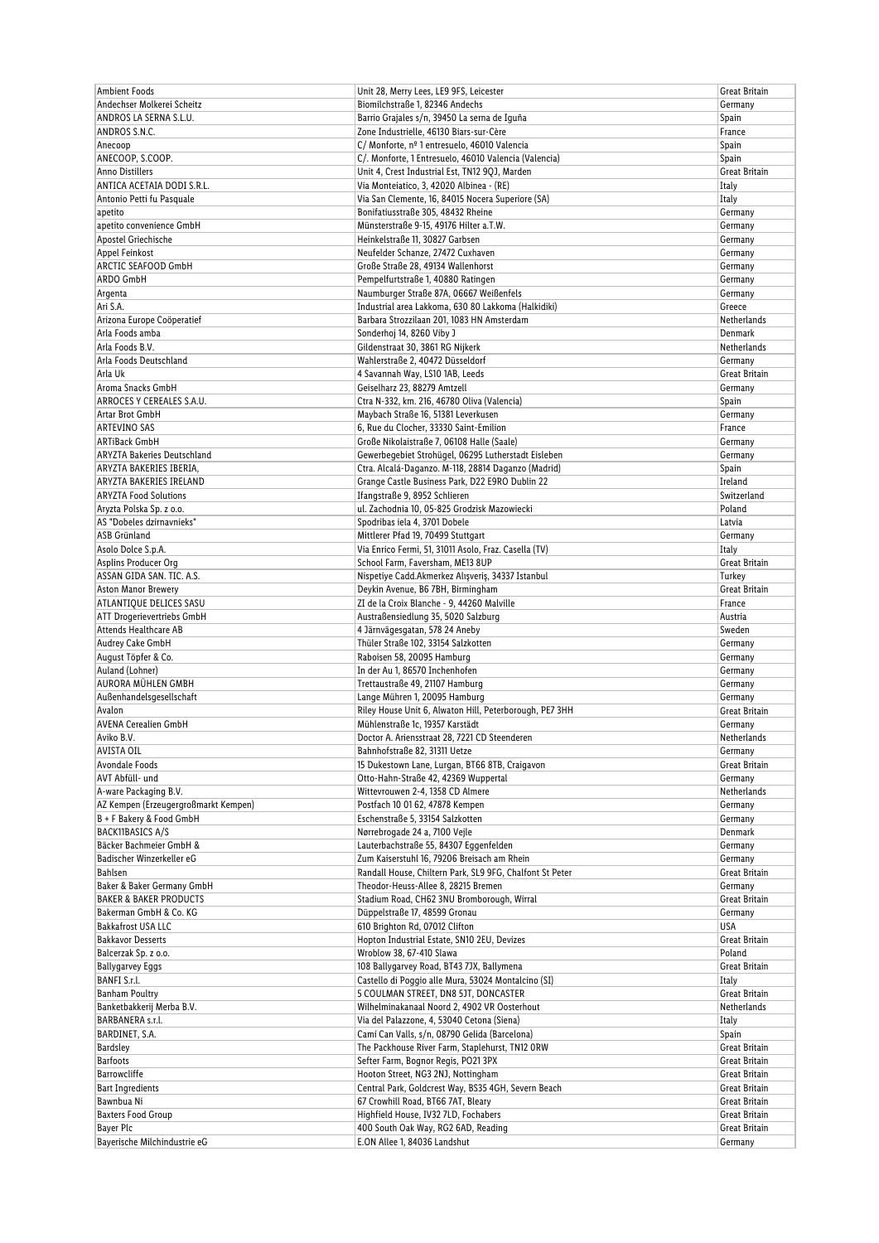| <b>Ambient Foods</b>                               | Unit 28, Merry Lees, LE9 9FS, Leicester                                                                | Great Britain            |
|----------------------------------------------------|--------------------------------------------------------------------------------------------------------|--------------------------|
| Andechser Molkerei Scheitz                         | Biomilchstraße 1, 82346 Andechs                                                                        | Germany                  |
| ANDROS LA SERNA S.L.U.                             | Barrio Grajales s/n, 39450 La serna de Iguña                                                           | Spain                    |
| ANDROS S.N.C.                                      | Zone Industrielle, 46130 Biars-sur-Cère                                                                | France                   |
| Anecoop                                            | C/ Monforte, nº 1 entresuelo, 46010 Valencia                                                           | Spain                    |
| ANECOOP, S.COOP.                                   | C/. Monforte, 1 Entresuelo, 46010 Valencia (Valencia)                                                  | Spain                    |
| Anno Distillers                                    | Unit 4, Crest Industrial Est, TN12 9QJ, Marden                                                         | Great Britain            |
| ANTICA ACETAIA DODI S.R.L.                         | Via Monteiatico, 3, 42020 Albinea - (RE)                                                               | Italy                    |
| Antonio Petti fu Pasquale                          | Via San Clemente, 16, 84015 Nocera Superiore (SA)                                                      | Italy                    |
| apetito                                            | Bonifatiusstraße 305, 48432 Rheine                                                                     | Germany                  |
| apetito convenience GmbH                           | Münsterstraße 9-15, 49176 Hilter a.T.W.                                                                | Germany                  |
| Apostel Griechische                                | Heinkelstraße 11, 30827 Garbsen                                                                        | Germany                  |
| Appel Feinkost                                     | Neufelder Schanze, 27472 Cuxhaven                                                                      | Germany                  |
| ARCTIC SEAFOOD GmbH                                | Große Straße 28, 49134 Wallenhorst                                                                     | Germany                  |
| ARDO GmbH                                          | Pempelfurtstraße 1, 40880 Ratingen                                                                     | Germany                  |
| Argenta                                            | Naumburger Straße 87A, 06667 Weißenfels                                                                | Germany                  |
| Ari S.A.                                           | Industrial area Lakkoma, 630 80 Lakkoma (Halkidiki)                                                    | Greece                   |
| Arizona Europe Coöperatief                         | Barbara Strozzilaan 201, 1083 HN Amsterdam                                                             | Netherlands              |
| Arla Foods amba                                    | Sonderhoj 14, 8260 Viby J                                                                              | Denmark                  |
| Arla Foods B.V.                                    | Gildenstraat 30, 3861 RG Nijkerk                                                                       | Netherlands              |
| Arla Foods Deutschland                             | Wahlerstraße 2, 40472 Düsseldorf                                                                       | Germany                  |
| Arla Uk                                            | 4 Savannah Way, LS10 1AB, Leeds                                                                        | Great Britain            |
| Aroma Snacks GmbH                                  | Geiselharz 23, 88279 Amtzell                                                                           | Germany                  |
| ARROCES Y CEREALES S.A.U.                          | Ctra N-332, km. 216, 46780 Oliva (Valencia)                                                            | Spain                    |
| Artar Brot GmbH                                    | Maybach Straße 16, 51381 Leverkusen                                                                    | Germany                  |
| ARTEVINO SAS                                       | 6, Rue du Clocher, 33330 Saint-Emilion                                                                 | France                   |
| <b>ARTiBack GmbH</b>                               | Große Nikolaistraße 7, 06108 Halle (Saale)                                                             |                          |
| ARYZTA Bakeries Deutschland                        | Gewerbegebiet Strohügel, 06295 Lutherstadt Eisleben                                                    | Germany                  |
|                                                    |                                                                                                        | Germany                  |
| ARYZTA BAKERIES IBERIA,<br>ARYZTA BAKERIES IRELAND | Ctra. Alcalá-Daganzo. M-118, 28814 Daganzo (Madrid)<br>Grange Castle Business Park, D22 E9RO Dublin 22 | Spain<br>Ireland         |
| <b>ARYZTA Food Solutions</b>                       | Ifangstraße 9, 8952 Schlieren                                                                          | Switzerland              |
| Aryzta Polska Sp. z o.o.                           | ul. Zachodnia 10, 05-825 Grodzisk Mazowiecki                                                           | Poland                   |
|                                                    |                                                                                                        |                          |
| AS "Dobeles dzirnavnieks"                          | Spodribas iela 4, 3701 Dobele                                                                          | Latvia                   |
| <b>ASB Grünland</b>                                | Mittlerer Pfad 19, 70499 Stuttgart                                                                     | Germany                  |
| Asolo Dolce S.p.A.                                 | Via Enrico Fermi, 51, 31011 Asolo, Fraz. Casella (TV)                                                  | Italy                    |
| Asplins Producer Org                               | School Farm, Faversham, ME13 8UP                                                                       | Great Britain            |
| ASSAN GIDA SAN. TIC. A.S.                          | Nispetiye Cadd.Akmerkez Alışveriş, 34337 Istanbul                                                      | Turkey                   |
| Aston Manor Brewery                                | Deykin Avenue, B6 7BH, Birmingham                                                                      | Great Britain            |
| ATLANTIQUE DELICES SASU                            | ZI de la Croix Blanche - 9, 44260 Malville                                                             | France                   |
| ATT Drogerievertriebs GmbH                         | Austraßensiedlung 35, 5020 Salzburg                                                                    | Austria                  |
| Attends Healthcare AB                              | 4 Järnvägesgatan, 578 24 Aneby                                                                         | Sweden                   |
| Audrey Cake GmbH                                   | Thüler Straße 102, 33154 Salzkotten                                                                    | Germany                  |
| August Töpfer & Co.                                | Raboisen 58, 20095 Hamburg                                                                             | Germany                  |
| Auland (Lohner)                                    | In der Au 1, 86570 Inchenhofen                                                                         | Germany                  |
| AURORA MÜHLEN GMBH                                 | Trettaustraße 49, 21107 Hamburg                                                                        | Germany                  |
| Außenhandelsgesellschaft                           | Lange Mühren 1, 20095 Hamburg                                                                          | Germany                  |
| Avalon                                             | Riley House Unit 6, Alwaton Hill, Peterborough, PE7 3HH                                                | Great Britain            |
| <b>AVENA Cerealien GmbH</b>                        | Mühlenstraße 1c, 19357 Karstädt                                                                        | Germany                  |
| Aviko B.V.                                         | Doctor A. Ariensstraat 28, 7221 CD Steenderen                                                          | Netherlands              |
| AVISTA OIL                                         | Bahnhofstraße 82, 31311 Uetze                                                                          | Germany                  |
| Avondale Foods                                     | 15 Dukestown Lane, Lurgan, BT66 8TB, Craigavon                                                         | Great Britain            |
| AVT Abfüll- und                                    | Otto-Hahn-Straße 42, 42369 Wuppertal                                                                   | Germany                  |
| A-ware Packaging B.V.                              | Wittevrouwen 2-4, 1358 CD Almere                                                                       | Netherlands              |
| AZ Kempen (Erzeugergroßmarkt Kempen)               |                                                                                                        |                          |
| B + F Bakery & Food GmbH                           | Postfach 10 01 62, 47878 Kempen                                                                        | Germany                  |
|                                                    | Eschenstraße 5, 33154 Salzkotten                                                                       | Germany                  |
| <b>BACK11BASICS A/S</b>                            | Nørrebrogade 24 a, 7100 Veile                                                                          | Denmark                  |
| Bäcker Bachmeier GmbH &                            | Lauterbachstraße 55, 84307 Eggenfelden                                                                 | Germany                  |
| Badischer Winzerkeller eG                          | Zum Kaiserstuhl 16, 79206 Breisach am Rhein                                                            | Germany                  |
| <b>Bahlsen</b>                                     | Randall House, Chiltern Park, SL9 9FG, Chalfont St Peter                                               | Great Britain            |
| Baker & Baker Germany GmbH                         | Theodor-Heuss-Allee 8, 28215 Bremen                                                                    | Germany                  |
| <b>BAKER &amp; BAKER PRODUCTS</b>                  | Stadium Road, CH62 3NU Bromborough, Wirral                                                             | Great Britain            |
| Bakerman GmbH & Co. KG                             | Düppelstraße 17, 48599 Gronau                                                                          | Germany                  |
| <b>Bakkafrost USA LLC</b>                          | 610 Brighton Rd, 07012 Clifton                                                                         | USA                      |
| <b>Bakkavor Desserts</b>                           | Hopton Industrial Estate, SN10 2EU, Devizes                                                            | Great Britain            |
| Balcerzak Sp. z o.o.                               | Wroblow 38, 67-410 Slawa                                                                               | Poland                   |
| <b>Ballygarvey Eggs</b>                            | 108 Ballygarvey Road, BT43 7JX, Ballymena                                                              | Great Britain            |
| BANFI S.r.l.                                       | Castello di Poggio alle Mura, 53024 Montalcino (SI)                                                    | Italy                    |
| <b>Banham Poultry</b>                              | 5 COULMAN STREET, DN8 5JT, DONCASTER                                                                   | Great Britain            |
| Banketbakkerij Merba B.V.                          | Wilhelminakanaal Noord 2, 4902 VR Oosterhout                                                           | Netherlands              |
| BARBANERA s.r.l.                                   | Via del Palazzone, 4, 53040 Cetona (Siena)                                                             | Italy                    |
| BARDINET, S.A.                                     | Camí Can Valls, s/n, 08790 Gelida (Barcelona)                                                          | Spain                    |
| <b>Bardsley</b>                                    | The Packhouse River Farm, Staplehurst, TN12 ORW                                                        | Great Britain            |
| <b>Barfoots</b>                                    | Sefter Farm, Bognor Regis, PO21 3PX                                                                    | Great Britain            |
| <b>Barrowcliffe</b>                                | Hooton Street, NG3 2NJ, Nottingham                                                                     | Great Britain            |
| <b>Bart Ingredients</b>                            | Central Park, Goldcrest Way, BS35 4GH, Severn Beach                                                    | Great Britain            |
| Bawnbua Ni                                         | 67 Crowhill Road, BT66 7AT, Bleary                                                                     | Great Britain            |
| <b>Baxters Food Group</b>                          | Highfield House, IV32 7LD, Fochabers                                                                   | Great Britain            |
| Bayer Plc<br>Bayerische Milchindustrie eG          | 400 South Oak Way, RG2 6AD, Reading<br>E.ON Allee 1, 84036 Landshut                                    | Great Britain<br>Germany |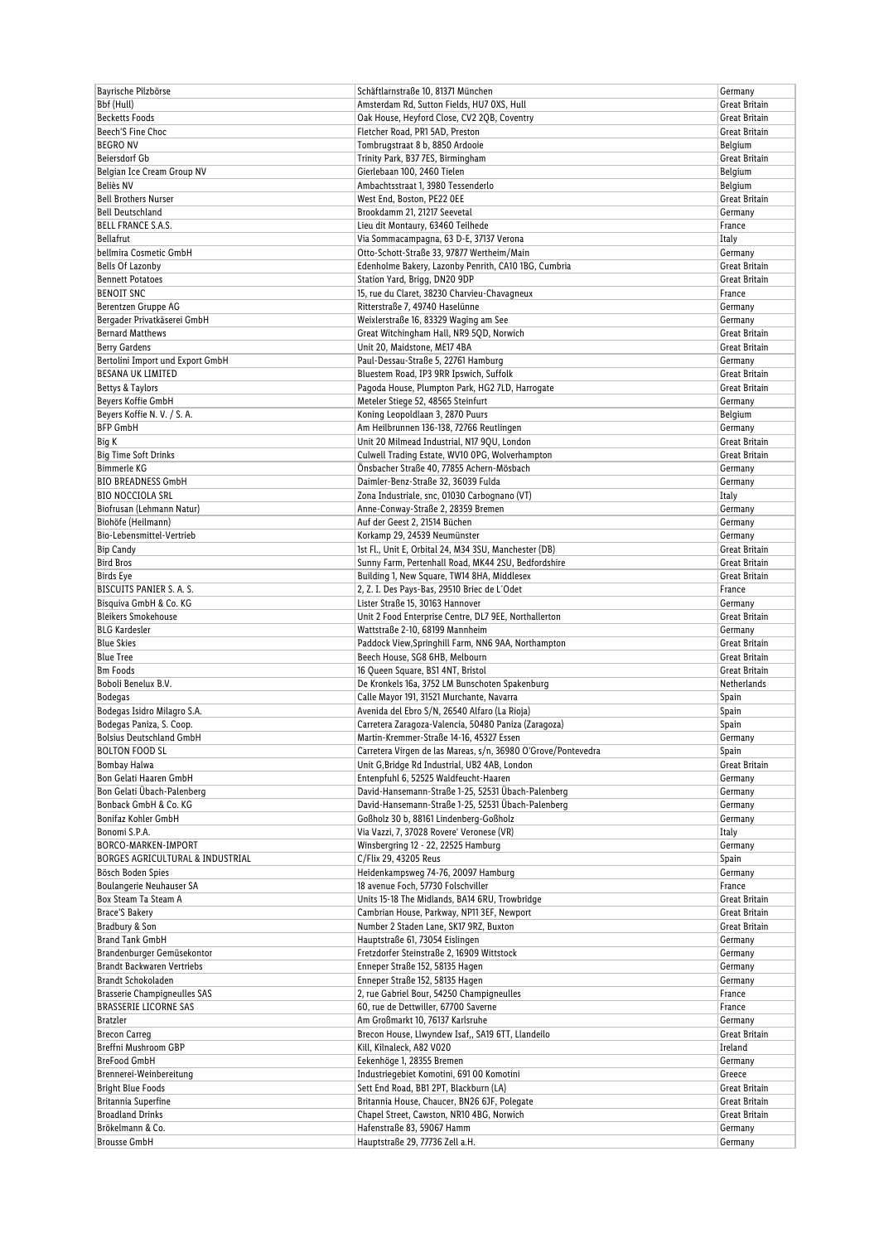| Bayrische Pilzbörse                 | Schäftlarnstraße 10, 81371 München                            | Germany              |
|-------------------------------------|---------------------------------------------------------------|----------------------|
| Bbf (Hull)                          | Amsterdam Rd, Sutton Fields, HU7 0XS, Hull                    | Great Britain        |
| <b>Becketts Foods</b>               | Oak House, Heyford Close, CV2 2QB, Coventry                   | Great Britain        |
| Beech'S Fine Choc                   | Fletcher Road, PR1 5AD, Preston                               | Great Britain        |
| <b>BEGRO NV</b>                     | Tombrugstraat 8 b, 8850 Ardooie                               | Belgium              |
| <b>Beiersdorf Gb</b>                | Trinity Park, B37 7ES, Birmingham                             | Great Britain        |
| Belgian Ice Cream Group NV          | Gierlebaan 100, 2460 Tielen                                   |                      |
|                                     |                                                               | Belgium              |
| Beliès NV                           | Ambachtsstraat 1, 3980 Tessenderlo                            | Belgium              |
| <b>Bell Brothers Nurser</b>         | West End, Boston, PE22 OEE                                    | Great Britain        |
| <b>Bell Deutschland</b>             | Brookdamm 21, 21217 Seevetal                                  | Germany              |
| <b>BELL FRANCE S.A.S.</b>           | Lieu dit Montaury, 63460 Teilhede                             | France               |
| Bellafrut                           | Via Sommacampagna, 63 D-E, 37137 Verona                       | Italy                |
| bellmira Cosmetic GmbH              | Otto-Schott-Straße 33, 97877 Wertheim/Main                    | Germany              |
| <b>Bells Of Lazonby</b>             | Edenholme Bakery, Lazonby Penrith, CA10 1BG, Cumbria          | Great Britain        |
| <b>Bennett Potatoes</b>             | Station Yard, Brigg, DN20 9DP                                 | Great Britain        |
| <b>BENOIT SNC</b>                   | 15, rue du Claret, 38230 Charvieu-Chavagneux                  | France               |
|                                     |                                                               |                      |
| Berentzen Gruppe AG                 | Ritterstraße 7, 49740 Haselünne                               | Germany              |
| Bergader Privatkäserei GmbH         | Weixlerstraße 16, 83329 Waging am See                         | Germany              |
| <b>Bernard Matthews</b>             | Great Witchingham Hall, NR9 5QD, Norwich                      | Great Britain        |
| <b>Berry Gardens</b>                | Unit 20, Maidstone, ME17 4BA                                  | Great Britain        |
| Bertolini Import und Export GmbH    | Paul-Dessau-Straße 5, 22761 Hamburg                           | Germany              |
| BESANA UK LIMITED                   | Bluestem Road, IP3 9RR Ipswich, Suffolk                       | Great Britain        |
| Bettys & Taylors                    | Pagoda House, Plumpton Park, HG2 7LD, Harrogate               | Great Britain        |
| Beyers Koffie GmbH                  | Meteler Stiege 52, 48565 Steinfurt                            | Germany              |
|                                     |                                                               |                      |
| Beyers Koffie N.V. / S.A.           | Koning Leopoldlaan 3, 2870 Puurs                              | Belgium              |
| <b>BFP GmbH</b>                     | Am Heilbrunnen 136-138, 72766 Reutlingen                      | Germany              |
| Big K                               | Unit 20 Milmead Industrial, N17 9QU, London                   | Great Britain        |
| <b>Big Time Soft Drinks</b>         | Culwell Trading Estate, WV10 OPG, Wolverhampton               | Great Britain        |
| <b>Bimmerle KG</b>                  | Önsbacher Straße 40, 77855 Achern-Mösbach                     | Germany              |
| <b>BIO BREADNESS GmbH</b>           | Daimler-Benz-Straße 32, 36039 Fulda                           | Germany              |
| <b>BIO NOCCIOLA SRL</b>             | Zona Industriale, snc, 01030 Carbognano (VT)                  | Italy                |
| Biofrusan (Lehmann Natur)           | Anne-Conway-Straße 2, 28359 Bremen                            | Germany              |
| Biohöfe (Heilmann)                  | Auf der Geest 2, 21514 Büchen                                 | Germany              |
|                                     |                                                               |                      |
| Bio-Lebensmittel-Vertrieb           | Korkamp 29, 24539 Neumünster                                  | Germany              |
| <b>Bip Candy</b>                    | 1st Fl., Unit E, Orbital 24, M34 3SU, Manchester (DB)         | Great Britain        |
| <b>Bird Bros</b>                    | Sunny Farm, Pertenhall Road, MK44 2SU, Bedfordshire           | Great Britain        |
| Birds Eye                           | Building 1, New Square, TW14 8HA, Middlesex                   | Great Britain        |
| BISCUITS PANIER S. A. S.            | 2, Z. I. Des Pays-Bas, 29510 Briec de L'Odet                  | France               |
| Bisquiva GmbH & Co. KG              | Lister Straße 15, 30163 Hannover                              | Germany              |
| <b>Bleikers Smokehouse</b>          | Unit 2 Food Enterprise Centre, DL7 9EE, Northallerton         | Great Britain        |
| <b>BLG Kardesler</b>                | Wattstraße 2-10, 68199 Mannheim                               | Germany              |
|                                     |                                                               |                      |
| <b>Blue Skies</b>                   | Paddock View, Springhill Farm, NN6 9AA, Northampton           | Great Britain        |
| <b>Blue Tree</b>                    | Beech House, SG8 6HB, Melbourn                                | <b>Great Britain</b> |
| <b>Bm Foods</b>                     | 16 Queen Square, BS1 4NT, Bristol                             | <b>Great Britain</b> |
| Boboli Benelux B.V.                 | De Kronkels 16a, 3752 LM Bunschoten Spakenburg                | Netherlands          |
| <b>Bodegas</b>                      | Calle Mayor 191, 31521 Murchante, Navarra                     | Spain                |
| Bodegas Isidro Milagro S.A.         | Avenida del Ebro S/N, 26540 Alfaro (La Rioja)                 | Spain                |
| Bodegas Paniza, S. Coop.            | Carretera Zaragoza-Valencia, 50480 Paniza (Zaragoza)          | Spain                |
| <b>Bolsius Deutschland GmbH</b>     | Martin-Kremmer-Straße 14-16, 45327 Essen                      | Germany              |
| <b>BOLTON FOOD SL</b>               | Carretera Virgen de las Mareas, s/n, 36980 O'Grove/Pontevedra | Spain                |
|                                     |                                                               |                      |
| Bombay Halwa                        | Unit G, Bridge Rd Industrial, UB2 4AB, London                 | Great Britain        |
| Bon Gelati Haaren GmbH              | Entenpfuhl 6, 52525 Waldfeucht-Haaren                         | Germany              |
| Bon Gelati Übach-Palenberg          | David-Hansemann-Straße 1-25, 52531 Übach-Palenberg            | Germany              |
| Bonback GmbH & Co. KG               | David-Hansemann-Straße 1-25, 52531 Übach-Palenberg            | Germany              |
| Bonifaz Kohler GmbH                 | Goßholz 30 b, 88161 Lindenberg-Goßholz                        | Germany              |
| Bonomi S.P.A.                       | Via Vazzi, 7, 37028 Rovere' Veronese (VR)                     | Italy                |
| BORCO-MARKEN-IMPORT                 | Winsbergring 12 - 22, 22525 Hamburg                           | Germany              |
| BORGES AGRICULTURAL & INDUSTRIAL    | C/Flix 29, 43205 Reus                                         | Spain                |
| Bösch Boden Spies                   | Heidenkampsweg 74-76, 20097 Hamburg                           | Germany              |
| Boulangerie Neuhauser SA            | 18 avenue Foch, 57730 Folschviller                            | France               |
|                                     |                                                               |                      |
| Box Steam Ta Steam A                | Units 15-18 The Midlands, BA14 6RU, Trowbridge                | Great Britain        |
| <b>Brace'S Bakery</b>               | Cambrian House, Parkway, NP11 3EF, Newport                    | Great Britain        |
| Bradbury & Son                      | Number 2 Staden Lane, SK17 9RZ, Buxton                        | Great Britain        |
| <b>Brand Tank GmbH</b>              | Hauptstraße 61, 73054 Eislingen                               | Germany              |
| Brandenburger Gemüsekontor          | Fretzdorfer Steinstraße 2, 16909 Wittstock                    | Germany              |
| Brandt Backwaren Vertriebs          | Enneper Straße 152, 58135 Hagen                               | Germany              |
| <b>Brandt Schokoladen</b>           | Enneper Straße 152, 58135 Hagen                               | Germany              |
| <b>Brasserie Champigneulles SAS</b> | 2, rue Gabriel Bour, 54250 Champigneulles                     | France               |
| <b>BRASSERIE LICORNE SAS</b>        | 60, rue de Dettwiller, 67700 Saverne                          | France               |
|                                     |                                                               |                      |
| <b>Bratzler</b>                     | Am Großmarkt 10, 76137 Karlsruhe                              | Germany              |
| <b>Brecon Carreg</b>                | Brecon House, Llwyndew Isaf,, SA19 6TT, Llandeilo             | Great Britain        |
| Breffni Mushroom GBP                | Kill, Kilnaleck, A82 V020                                     | Ireland              |
| <b>BreFood GmbH</b>                 | Eekenhöge 1, 28355 Bremen                                     | Germany              |
| Brennerei-Weinbereitung             | Industriegebiet Komotini, 691 00 Komotini                     | Greece               |
| <b>Bright Blue Foods</b>            | Sett End Road, BB1 2PT, Blackburn (LA)                        | Great Britain        |
| Britannia Superfine                 | Britannia House, Chaucer, BN26 6JF, Polegate                  | Great Britain        |
| <b>Broadland Drinks</b>             | Chapel Street, Cawston, NR10 4BG, Norwich                     | Great Britain        |
| Brökelmann & Co.                    | Hafenstraße 83, 59067 Hamm                                    | Germany              |
|                                     |                                                               |                      |
| <b>Brousse GmbH</b>                 | Hauptstraße 29, 77736 Zell a.H.                               | Germany              |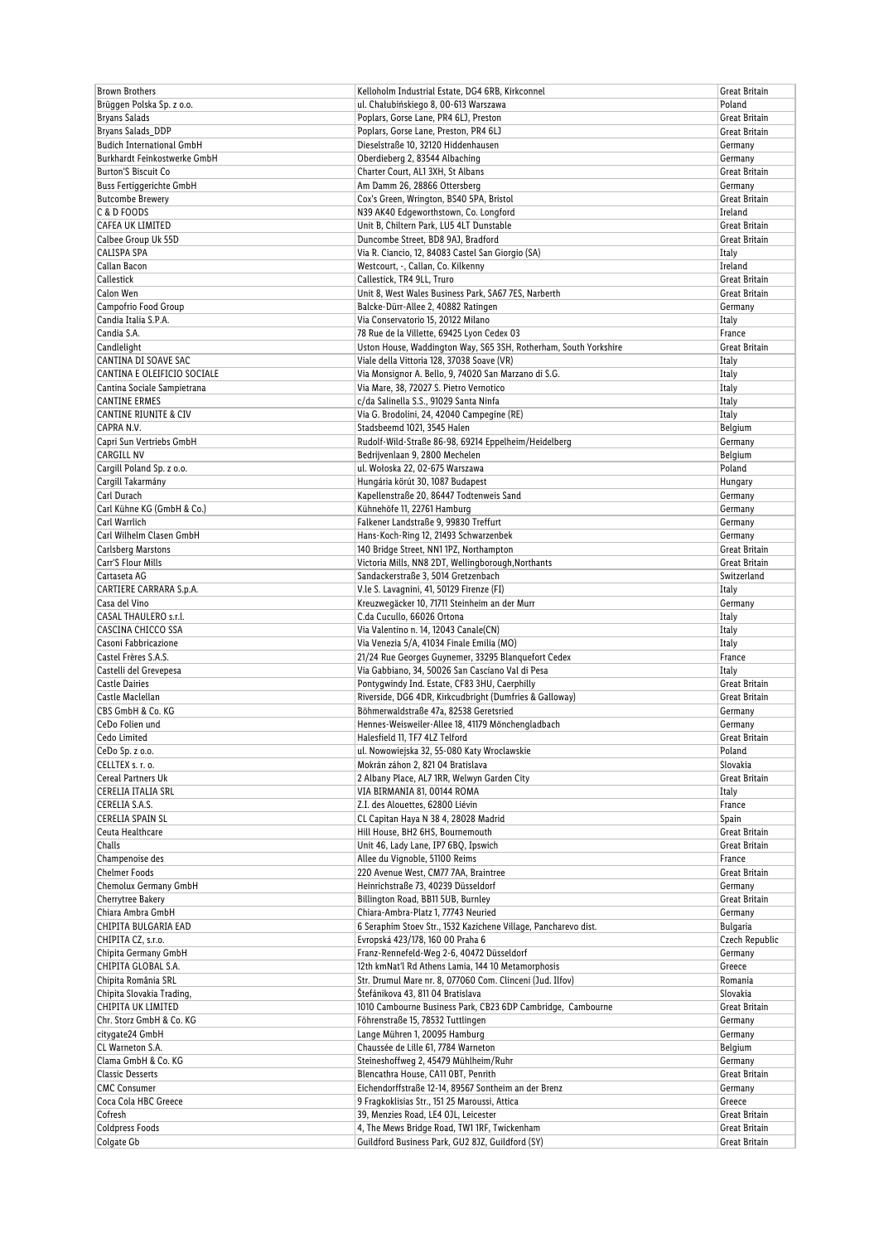| <b>Brown Brothers</b>               | Kelloholm Industrial Estate, DG4 6RB, Kirkconnel                                                               | Great Britain   |
|-------------------------------------|----------------------------------------------------------------------------------------------------------------|-----------------|
| Brüggen Polska Sp. z o.o.           | ul. Chałubińskiego 8, 00-613 Warszawa                                                                          | Poland          |
| <b>Bryans Salads</b>                | Poplars, Gorse Lane, PR4 6LJ, Preston                                                                          | Great Britain   |
| Bryans Salads_DDP                   | Poplars, Gorse Lane, Preston, PR4 6LJ                                                                          | Great Britain   |
| <b>Budich International GmbH</b>    | Dieselstraße 10, 32120 Hiddenhausen                                                                            | Germany         |
| Burkhardt Feinkostwerke GmbH        | Oberdieberg 2, 83544 Albaching                                                                                 | Germany         |
| <b>Burton'S Biscuit Co</b>          | Charter Court, AL1 3XH, St Albans                                                                              | Great Britain   |
| <b>Buss Fertiggerichte GmbH</b>     | Am Damm 26, 28866 Ottersberg                                                                                   | Germany         |
| <b>Butcombe Brewery</b>             | Cox's Green, Wrington, BS40 5PA, Bristol                                                                       | Great Britain   |
| C & D FOODS                         | N39 AK40 Edgeworthstown, Co. Longford                                                                          | Ireland         |
| CAFEA UK LIMITED                    | Unit B, Chiltern Park, LU5 4LT Dunstable                                                                       | Great Britain   |
| Calbee Group Uk 55D                 | Duncombe Street, BD8 9AJ, Bradford                                                                             | Great Britain   |
| CALISPA SPA                         | Via R. Ciancio, 12, 84083 Castel San Giorgio (SA)                                                              | Italy           |
| Callan Bacon                        | Westcourt, -, Callan, Co. Kilkenny                                                                             | Ireland         |
| Callestick                          | Callestick, TR4 9LL, Truro                                                                                     | Great Britain   |
| Calon Wen                           | Unit 8, West Wales Business Park, SA67 7ES, Narberth                                                           | Great Britain   |
| Campofrio Food Group                | Balcke-Dürr-Allee 2, 40882 Ratingen                                                                            | Germany         |
| Candia Italia S.P.A.<br>Candia S.A. | Via Conservatorio 15, 20122 Milano                                                                             | Italy<br>France |
| Candlelight                         | 78 Rue de la Villette, 69425 Lyon Cedex 03                                                                     | Great Britain   |
| CANTINA DI SOAVE SAC                | Uston House, Waddington Way, S65 3SH, Rotherham, South Yorkshire<br>Viale della Vittoria 128, 37038 Soave (VR) |                 |
| CANTINA E OLEIFICIO SOCIALE         | Via Monsignor A. Bello, 9, 74020 San Marzano di S.G.                                                           | Italy<br>Italy  |
| Cantina Sociale Sampietrana         | Via Mare, 38, 72027 S. Pietro Vernotico                                                                        | Italy           |
| <b>CANTINE ERMES</b>                | c/da Salinella S.S., 91029 Santa Ninfa                                                                         | Italy           |
| <b>CANTINE RIUNITE &amp; CIV</b>    | Via G. Brodolini, 24, 42040 Campegine (RE)                                                                     | Italy           |
| CAPRA N.V.                          | Stadsbeemd 1021, 3545 Halen                                                                                    | Belgium         |
| Capri Sun Vertriebs GmbH            | Rudolf-Wild-Straße 86-98, 69214 Eppelheim/Heidelberg                                                           | Germany         |
| CARGILL NV                          | Bedrijvenlaan 9, 2800 Mechelen                                                                                 | Belgium         |
| Cargill Poland Sp. z o.o.           | ul. Wołoska 22, 02-675 Warszawa                                                                                | Poland          |
| Cargill Takarmány                   | Hungária körút 30, 1087 Budapest                                                                               | Hungary         |
| Carl Durach                         | Kapellenstraße 20, 86447 Todtenweis Sand                                                                       | Germany         |
| Carl Kühne KG (GmbH & Co.)          | Kühnehöfe 11, 22761 Hamburg                                                                                    | Germany         |
| Carl Warrlich                       | Falkener Landstraße 9, 99830 Treffurt                                                                          | Germany         |
| Carl Wilhelm Clasen GmbH            | Hans-Koch-Ring 12, 21493 Schwarzenbek                                                                          | Germany         |
| Carlsberg Marstons                  | 140 Bridge Street, NN1 1PZ, Northampton                                                                        | Great Britain   |
| Carr'S Flour Mills                  | Victoria Mills, NN8 2DT, Wellingborough, Northants                                                             | Great Britain   |
| Cartaseta AG                        | Sandackerstraße 3, 5014 Gretzenbach                                                                            | Switzerland     |
| CARTIERE CARRARA S.p.A.             | V.le S. Lavagnini, 41, 50129 Firenze (FI)                                                                      | Italy           |
| Casa del Vino                       | Kreuzwegäcker 10, 71711 Steinheim an der Murr                                                                  | Germany         |
| CASAL THAULERO s.r.l.               | C.da Cucullo, 66026 Ortona                                                                                     | Italy           |
| CASCINA CHICCO SSA                  | Via Valentino n. 14, 12043 Canale(CN)                                                                          | Italy           |
| Casoni Fabbricazione                | Via Venezia 5/A, 41034 Finale Emilia (MO)                                                                      | Italy           |
| Castel Frères S.A.S.                | 21/24 Rue Georges Guynemer, 33295 Blanquefort Cedex                                                            | France          |
| Castelli del Grevepesa              | Via Gabbiano, 34, 50026 San Casciano Val di Pesa                                                               | Italy           |
| <b>Castle Dairies</b>               | Pontygwindy Ind. Estate, CF83 3HU, Caerphilly                                                                  | Great Britain   |
| Castle Maclellan                    | Riverside, DG6 4DR, Kirkcudbright (Dumfries & Galloway)                                                        | Great Britain   |
| CBS GmbH & Co. KG                   | Böhmerwaldstraße 47a, 82538 Geretsried                                                                         | Germany         |
| CeDo Folien und                     | Hennes-Weisweiler-Allee 18, 41179 Mönchengladbach                                                              | Germany         |
| Cedo Limited                        | Halesfield 11, TF7 4LZ Telford                                                                                 | Great Britain   |
| CeDo Sp. z o.o.                     | ul. Nowowiejska 32, 55-080 Katy Wroclawskie                                                                    | Poland          |
| CELLTEX s. r. o.                    | Mokrán záhon 2, 821 04 Bratislava                                                                              | Slovakia        |
| Cereal Partners Uk                  | 2 Albany Place, AL7 1RR, Welwyn Garden City                                                                    | Great Britain   |
| CERELIA ITALIA SRL                  | VIA BIRMANIA 81, 00144 ROMA                                                                                    | Italy           |
| CERELIA S.A.S.                      | Z.I. des Alouettes, 62800 Liévin                                                                               | France          |
| CERELIA SPAIN SL                    | CL Capitan Haya N 38 4, 28028 Madrid                                                                           | Spain           |
| Ceuta Healthcare                    | Hill House, BH2 6HS, Bournemouth                                                                               | Great Britain   |
| Challs                              | Unit 46, Lady Lane, IP7 6BQ, Ipswich                                                                           | Great Britain   |
| Champenoise des                     | Allee du Vignoble, 51100 Reims                                                                                 | France          |
| <b>Chelmer Foods</b>                | 220 Avenue West, CM77 7AA, Braintree                                                                           | Great Britain   |
| Chemolux Germany GmbH               | Heinrichstraße 73, 40239 Düsseldorf                                                                            | Germany         |
| Cherrytree Bakery                   | Billington Road, BB11 5UB, Burnley                                                                             | Great Britain   |
| Chiara Ambra GmbH                   | Chiara-Ambra-Platz 1, 77743 Neuried                                                                            | Germany         |
| CHIPITA BULGARIA EAD                | 6 Seraphim Stoev Str., 1532 Kazichene Village, Pancharevo dist.                                                | Bulgaria        |
| CHIPITA CZ, s.r.o.                  | Evropská 423/178, 160 00 Praha 6                                                                               | Czech Republic  |
| Chipita Germany GmbH                | Franz-Rennefeld-Weg 2-6, 40472 Düsseldorf                                                                      | Germany         |
| CHIPITA GLOBAL S.A.                 | 12th kmNat'l Rd Athens Lamia, 144 10 Metamorphosis                                                             | Greece          |
| Chipita România SRL                 | Str. Drumul Mare nr. 8, 077060 Com. Clinceni (Jud. Ilfov)                                                      | Romania         |
| Chipita Slovakia Trading,           | Štefánikova 43, 811 04 Bratislava                                                                              | Slovakia        |
| CHIPITA UK LIMITED                  | 1010 Cambourne Business Park, CB23 6DP Cambridge, Cambourne                                                    | Great Britain   |
| Chr. Storz GmbH & Co. KG            | Föhrenstraße 15, 78532 Tuttlingen                                                                              | Germany         |
| citygate24 GmbH                     | Lange Mühren 1, 20095 Hamburg                                                                                  | Germany         |
| CL Warneton S.A.                    | Chaussée de Lille 61, 7784 Warneton                                                                            | Belgium         |
| Clama GmbH & Co. KG                 | Steineshoffweg 2, 45479 Mühlheim/Ruhr                                                                          | Germany         |
| <b>Classic Desserts</b>             | Blencathra House, CA11 OBT, Penrith                                                                            | Great Britain   |
| <b>CMC Consumer</b>                 | Eichendorffstraße 12-14, 89567 Sontheim an der Brenz                                                           | Germany         |
| Coca Cola HBC Greece                | 9 Fragkoklisias Str., 151 25 Maroussi, Attica                                                                  | Greece          |
| Cofresh                             | 39, Menzies Road, LE4 OJL, Leicester                                                                           | Great Britain   |
| <b>Coldpress Foods</b>              | 4, The Mews Bridge Road, TW1 1RF, Twickenham                                                                   | Great Britain   |
| Colgate Gb                          | Guildford Business Park, GU2 8JZ, Guildford (SY)                                                               | Great Britain   |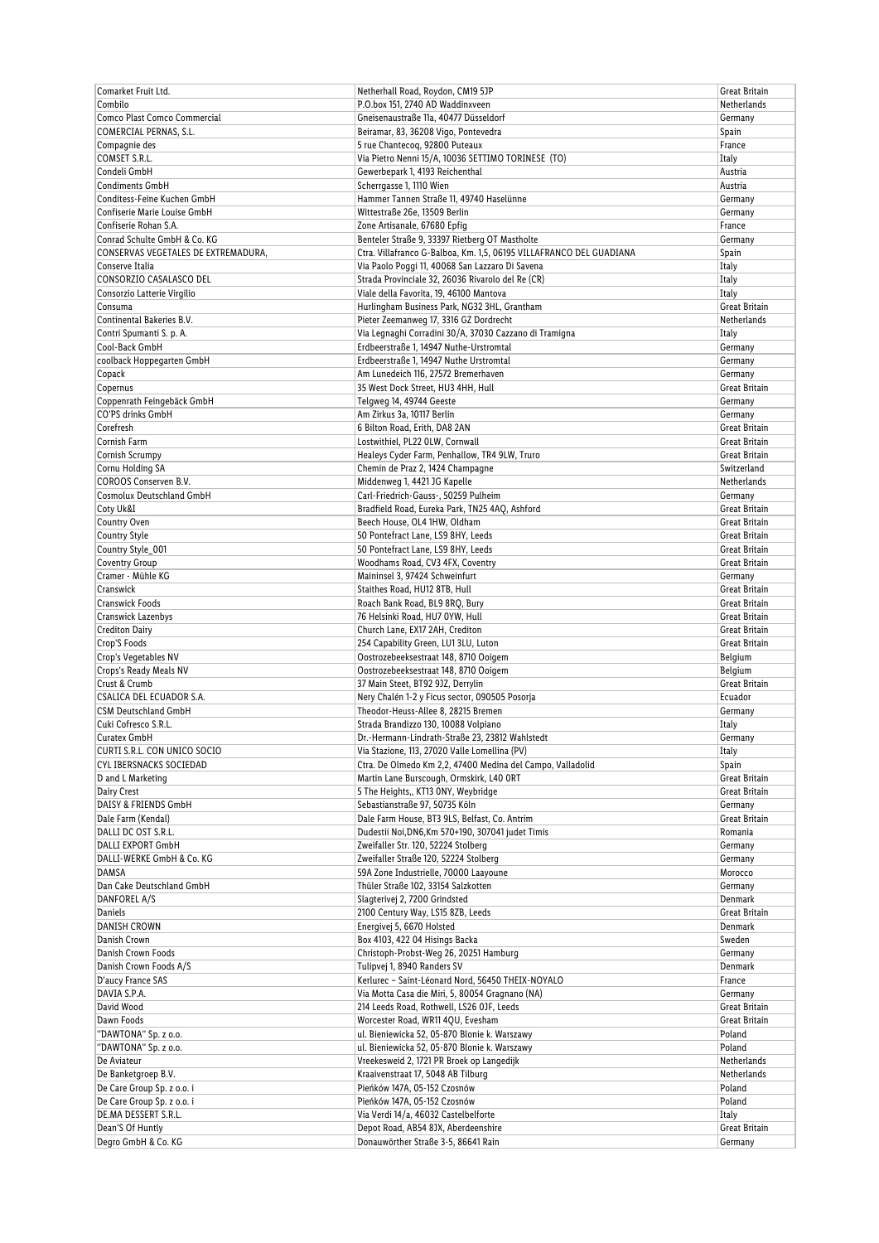| Comarket Fruit Ltd.                 | Netherhall Road, Roydon, CM19 5JP                                   | <b>Great Britain</b>     |
|-------------------------------------|---------------------------------------------------------------------|--------------------------|
| Combilo                             | P.O.box 151, 2740 AD Waddinxveen                                    | Netherlands              |
| Comco Plast Comco Commercial        | Gneisenaustraße 11a, 40477 Düsseldorf                               | Germany                  |
| <b>COMERCIAL PERNAS, S.L.</b>       | Beiramar, 83, 36208 Vigo, Pontevedra                                | Spain                    |
| Compagnie des                       | 5 rue Chantecog, 92800 Puteaux                                      | France                   |
| COMSET S.R.L.                       | Via Pietro Nenni 15/A, 10036 SETTIMO TORINESE (TO)                  | Italy                    |
| Condeli GmbH                        | Gewerbepark 1, 4193 Reichenthal                                     | Austria                  |
| <b>Condiments GmbH</b>              | Scherrgasse 1, 1110 Wien                                            | Austria                  |
| Conditess-Feine Kuchen GmbH         | Hammer Tannen Straße 11, 49740 Haselünne                            | Germany                  |
| Confiserie Marie Louise GmbH        | Wittestraße 26e, 13509 Berlin                                       | Germany                  |
| Confiserie Rohan S.A.               | Zone Artisanale, 67680 Epfig                                        | France                   |
| Conrad Schulte GmbH & Co. KG        | Benteler Straße 9, 33397 Rietberg OT Mastholte                      | Germany                  |
| CONSERVAS VEGETALES DE EXTREMADURA, | Ctra. Villafranco G-Balboa, Km. 1,5, 06195 VILLAFRANCO DEL GUADIANA | Spain                    |
| Conserve Italia                     | Via Paolo Poggi 11, 40068 San Lazzaro Di Savena                     | Italy                    |
| CONSORZIO CASALASCO DEL             | Strada Provinciale 32, 26036 Rivarolo del Re (CR)                   | Italy                    |
| Consorzio Latterie Virgilio         | Viale della Favorita, 19, 46100 Mantova                             | Italy                    |
| Consuma                             | Hurlingham Business Park, NG32 3HL, Grantham                        | Great Britain            |
| Continental Bakeries B.V.           | Pieter Zeemanweg 17, 3316 GZ Dordrecht                              | Netherlands              |
| Contri Spumanti S. p. A.            | Via Legnaghi Corradini 30/A, 37030 Cazzano di Tramigna              | Italy                    |
| Cool-Back GmbH                      | Erdbeerstraße 1, 14947 Nuthe-Urstromtal                             | Germany                  |
| coolback Hoppegarten GmbH           | Erdbeerstraße 1, 14947 Nuthe Urstromtal                             | Germany                  |
| Copack                              | Am Lunedeich 116, 27572 Bremerhaven                                 | Germany                  |
| Copernus                            | 35 West Dock Street, HU3 4HH, Hull                                  | Great Britain            |
| Coppenrath Feingebäck GmbH          | Telgweg 14, 49744 Geeste                                            | Germany                  |
| CO'PS drinks GmbH                   | Am Zirkus 3a, 10117 Berlin                                          | Germany                  |
| Corefresh                           | 6 Bilton Road, Erith, DA8 2AN                                       | Great Britain            |
| Cornish Farm                        | Lostwithiel, PL22 OLW, Cornwall                                     | Great Britain            |
| Cornish Scrumpy                     | Healeys Cyder Farm, Penhallow, TR4 9LW, Truro                       | Great Britain            |
| Cornu Holding SA                    | Chemin de Praz 2, 1424 Champagne                                    | Switzerland              |
| COROOS Conserven B.V.               | Middenweg 1, 4421 JG Kapelle                                        | Netherlands              |
| Cosmolux Deutschland GmbH           | Carl-Friedrich-Gauss-, 50259 Pulheim                                |                          |
|                                     |                                                                     | Germany<br>Great Britain |
| Coty Uk&I                           | Bradfield Road, Eureka Park, TN25 4AQ, Ashford                      |                          |
| Country Oven                        | Beech House, OL4 1HW, Oldham                                        | Great Britain            |
| <b>Country Style</b>                | 50 Pontefract Lane, LS9 8HY, Leeds                                  | Great Britain            |
| Country Style_001                   | 50 Pontefract Lane, LS9 8HY, Leeds                                  | Great Britain            |
| <b>Coventry Group</b>               | Woodhams Road, CV3 4FX, Coventry                                    | Great Britain            |
| Cramer - Mühle KG                   | Maininsel 3, 97424 Schweinfurt                                      | Germany                  |
| Cranswick                           | Staithes Road, HU12 8TB, Hull                                       | Great Britain            |
| Cranswick Foods                     | Roach Bank Road, BL9 8RQ, Bury                                      | Great Britain            |
| Cranswick Lazenbys                  | 76 Helsinki Road, HU7 0YW, Hull                                     | Great Britain            |
| <b>Crediton Dairy</b>               | Church Lane, EX17 2AH, Crediton                                     | Great Britain            |
| Crop'S Foods                        | 254 Capability Green, LU1 3LU, Luton                                | Great Britain            |
| Crop's Vegetables NV                | Oostrozebeeksestraat 148, 8710 Ooigem                               | Belgium                  |
| Crops's Ready Meals NV              | Oostrozebeeksestraat 148, 8710 Ooigem                               | Belgium                  |
| Crust & Crumb                       | 37 Main Steet, BT92 9JZ, Derrylin                                   | Great Britain            |
| CSALICA DEL ECUADOR S.A.            | Nery Chalén 1-2 y Ficus sector, 090505 Posorja                      | Ecuador                  |
| <b>CSM Deutschland GmbH</b>         | Theodor-Heuss-Allee 8, 28215 Bremen                                 | Germany                  |
| Cuki Cofresco S.R.L.                | Strada Brandizzo 130, 10088 Volpiano                                | Italy                    |
| Curatex GmbH                        | Dr.-Hermann-Lindrath-Straße 23, 23812 Wahlstedt                     | Germany                  |
| CURTI S.R.L. CON UNICO SOCIO        | Via Stazione, 113, 27020 Valle Lomellina (PV)                       | Italy                    |
| CYL IBERSNACKS SOCIEDAD             | Ctra. De Olmedo Km 2,2, 47400 Medina del Campo, Valladolid          | Spain                    |
| D and L Marketing                   | Martin Lane Burscough, Ormskirk, L40 ORT                            | Great Britain            |
| Dairy Crest                         | 5 The Heights,, KT13 ONY, Weybridge                                 | Great Britain            |
| DAISY & FRIENDS GmbH                | Sebastianstraße 97, 50735 Köln                                      | Germany                  |
| Dale Farm (Kendal)                  | Dale Farm House, BT3 9LS, Belfast, Co. Antrim                       | Great Britain            |
| DALLI DC OST S.R.L.                 | Dudestii Noi, DN6, Km 570+190, 307041 judet Timis                   | Romania                  |
| DALLI EXPORT GmbH                   | Zweifaller Str. 120, 52224 Stolberg                                 | Germany                  |
| DALLI-WERKE GmbH & Co. KG           | Zweifaller Straße 120, 52224 Stolberg                               | Germany                  |
| <b>DAMSA</b>                        | 59A Zone Industrielle, 70000 Laayoune                               | Morocco                  |
| Dan Cake Deutschland GmbH           | Thüler Straße 102, 33154 Salzkotten                                 | Germany                  |
| DANFOREL A/S                        | Slagterivej 2, 7200 Grindsted                                       | Denmark                  |
| <b>Daniels</b>                      | 2100 Century Way, LS15 8ZB, Leeds                                   | Great Britain            |
| DANISH CROWN                        | Energivej 5, 6670 Holsted                                           | Denmark                  |
| Danish Crown                        | Box 4103, 422 04 Hisings Backa                                      | Sweden                   |
| Danish Crown Foods                  | Christoph-Probst-Weg 26, 20251 Hamburg                              | Germany                  |
| Danish Crown Foods A/S              | Tulipvej 1, 8940 Randers SV                                         | Denmark                  |
| D'aucy France SAS                   | Kerlurec - Saint-Léonard Nord, 56450 THEIX-NOYALO                   | France                   |
| DAVIA S.P.A.                        | Via Motta Casa die Miri, 5, 80054 Gragnano (NA)                     | Germany                  |
| David Wood                          | 214 Leeds Road, Rothwell, LS26 0JF, Leeds                           | Great Britain            |
| Dawn Foods                          | Worcester Road, WR11 4QU, Evesham                                   | Great Britain            |
| "DAWTONA" Sp. z o.o.                | ul. Bieniewicka 52, 05-870 Blonie k. Warszawy                       | Poland                   |
| "DAWTONA" Sp. z o.o.                | ul. Bieniewicka 52, 05-870 Blonie k. Warszawy                       | Poland                   |
| De Aviateur                         | Vreekesweid 2, 1721 PR Broek op Langedijk                           | Netherlands              |
| De Banketgroep B.V.                 | Kraaivenstraat 17, 5048 AB Tilburg                                  | Netherlands              |
| De Care Group Sp. z o.o. i          | Pieńków 147A, 05-152 Czosnów                                        | Poland                   |
| De Care Group Sp. z o.o. i          | Pieńków 147A, 05-152 Czosnów                                        | Poland                   |
| DE.MA DESSERT S.R.L.                | Via Verdi 14/a, 46032 Castelbelforte                                | Italy                    |
| Dean'S Of Huntly                    | Depot Road, AB54 8JX, Aberdeenshire                                 | Great Britain            |
| Degro GmbH & Co. KG                 | Donauwörther Straße 3-5, 86641 Rain                                 | Germany                  |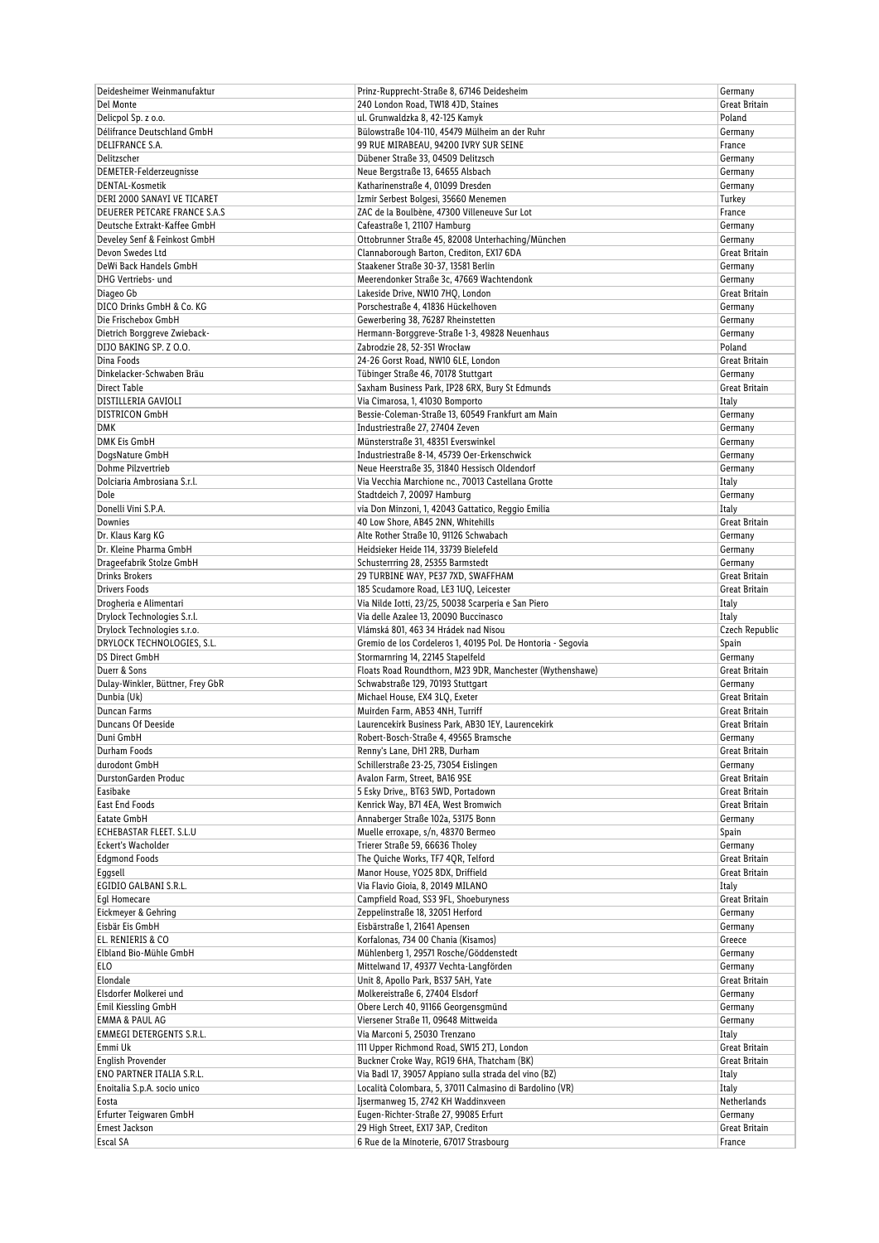| Deidesheimer Weinmanufaktur      | Prinz-Rupprecht-Straße 8, 67146 Deidesheim                                    | Germany                 |
|----------------------------------|-------------------------------------------------------------------------------|-------------------------|
| Del Monte                        | 240 London Road, TW18 4JD, Staines                                            | Great Britain           |
| Delicpol Sp. z o.o.              | ul. Grunwaldzka 8, 42-125 Kamyk                                               | Poland                  |
| Délifrance Deutschland GmbH      | Bülowstraße 104-110, 45479 Mülheim an der Ruhr                                | Germany                 |
| <b>DELIFRANCE S.A.</b>           | 99 RUE MIRABEAU, 94200 IVRY SUR SEINE                                         | France                  |
| Delitzscher                      | Dübener Straße 33, 04509 Delitzsch                                            | Germany                 |
| DEMETER-Felderzeugnisse          | Neue Bergstraße 13, 64655 Alsbach                                             | Germany                 |
|                                  |                                                                               |                         |
| <b>DENTAL-Kosmetik</b>           | Katharinenstraße 4, 01099 Dresden                                             | Germany                 |
| DERI 2000 SANAYI VE TICARET      | Izmir Serbest Bolgesi, 35660 Menemen                                          | Turkey                  |
| DEUERER PETCARE FRANCE S.A.S     | ZAC de la Boulbène, 47300 Villeneuve Sur Lot                                  | France                  |
| Deutsche Extrakt-Kaffee GmbH     | Cafeastraße 1, 21107 Hamburg                                                  | Germany                 |
| Develey Senf & Feinkost GmbH     | Ottobrunner Straße 45, 82008 Unterhaching/München                             | Germany                 |
| Devon Swedes Ltd                 | Clannaborough Barton, Crediton, EX17 6DA                                      | Great Britain           |
| DeWi Back Handels GmbH           | Staakener Straße 30-37, 13581 Berlin                                          | Germany                 |
| DHG Vertriebs- und               | Meerendonker Straße 3c, 47669 Wachtendonk                                     | Germany                 |
| Diageo Gb                        | Lakeside Drive, NW10 7HQ, London                                              | Great Britain           |
| DICO Drinks GmbH & Co. KG        | Porschestraße 4, 41836 Hückelhoven                                            | Germany                 |
| Die Frischebox GmbH              | Gewerbering 38, 76287 Rheinstetten                                            | Germany                 |
|                                  |                                                                               |                         |
| Dietrich Borggreve Zwieback-     | Hermann-Borggreve-Straße 1-3, 49828 Neuenhaus                                 | Germany                 |
| DIJO BAKING SP. Z O.O.           | Zabrodzie 28, 52-351 Wrocław                                                  | Poland                  |
| Dina Foods                       | 24-26 Gorst Road, NW10 6LE, London                                            | Great Britain           |
| Dinkelacker-Schwaben Bräu        | Tübinger Straße 46, 70178 Stuttgart                                           | Germany                 |
| <b>Direct Table</b>              | Saxham Business Park, IP28 6RX, Bury St Edmunds                               | Great Britain           |
| DISTILLERIA GAVIOLI              | Via Cimarosa, 1, 41030 Bomporto                                               | Italy                   |
| <b>DISTRICON GmbH</b>            | Bessie-Coleman-Straße 13, 60549 Frankfurt am Main                             | Germany                 |
| <b>DMK</b>                       | Industriestraße 27, 27404 Zeven                                               | Germany                 |
| <b>DMK Eis GmbH</b>              | Münsterstraße 31, 48351 Everswinkel                                           | Germany                 |
| DogsNature GmbH                  | Industriestraße 8-14, 45739 Oer-Erkenschwick                                  | Germany                 |
| Dohme Pilzvertrieb               | Neue Heerstraße 35, 31840 Hessisch Oldendorf                                  |                         |
|                                  |                                                                               | Germany                 |
| Dolciaria Ambrosiana S.r.l.      | Via Vecchia Marchione nc., 70013 Castellana Grotte                            | Italy                   |
| Dole                             | Stadtdeich 7, 20097 Hamburg                                                   | Germany                 |
| Donelli Vini S.P.A.              | via Don Minzoni, 1, 42043 Gattatico, Reggio Emilia                            | Italy                   |
| Downies                          | 40 Low Shore, AB45 2NN, Whitehills                                            | Great Britain           |
| Dr. Klaus Karg KG                | Alte Rother Straße 10, 91126 Schwabach                                        | Germany                 |
| Dr. Kleine Pharma GmbH           | Heidsieker Heide 114, 33739 Bielefeld                                         | Germany                 |
| Drageefabrik Stolze GmbH         | Schusterrring 28, 25355 Barmstedt                                             | Germany                 |
| <b>Drinks Brokers</b>            | 29 TURBINE WAY, PE37 7XD, SWAFFHAM                                            | Great Britain           |
| <b>Drivers Foods</b>             | 185 Scudamore Road, LE3 1UQ, Leicester                                        | Great Britain           |
|                                  |                                                                               |                         |
| Drogheria e Alimentari           | Via Nilde Iotti, 23/25, 50038 Scarperia e San Piero                           | Italy                   |
| Drylock Technologies S.r.l.      | Via delle Azalee 13, 20090 Buccinasco                                         | Italy                   |
| Drylock Technologies s.r.o.      | Vlámská 801, 463 34 Hrádek nad Nisou                                          | Czech Republic          |
|                                  |                                                                               |                         |
| DRYLOCK TECHNOLOGIES, S.L.       | Gremio de los Cordeleros 1, 40195 Pol. De Hontoria - Segovia                  | Spain                   |
| <b>DS Direct GmbH</b>            | Stormarnring 14, 22145 Stapelfeld                                             | Germany                 |
| Duerr & Sons                     | Floats Road Roundthorn, M23 9DR, Manchester (Wythenshawe)                     | Great Britain           |
| Dulay-Winkler, Büttner, Frey GbR | Schwabstraße 129, 70193 Stuttgart                                             | Germany                 |
| Dunbia (Uk)                      |                                                                               | <b>Great Britain</b>    |
| Duncan Farms                     | Michael House, EX4 3LQ, Exeter                                                |                         |
|                                  | Muirden Farm, AB53 4NH, Turriff                                               | Great Britain           |
| Duncans Of Deeside               | Laurencekirk Business Park, AB30 1EY, Laurencekirk                            | Great Britain           |
| Duni GmbH                        | Robert-Bosch-Straße 4, 49565 Bramsche                                         | Germany                 |
| Durham Foods                     | Renny's Lane, DH1 2RB, Durham                                                 | Great Britain           |
| durodont GmbH                    | Schillerstraße 23-25, 73054 Eislingen                                         | Germany                 |
| DurstonGarden Produc             | Avalon Farm, Street, BA16 9SE                                                 | Great Britain           |
| Easibake                         | 5 Esky Drive., BT63 5WD, Portadown                                            | Great Britain           |
| East End Foods                   | Kenrick Way, B71 4EA, West Bromwich                                           | Great Britain           |
| Eatate GmbH                      | Annaberger Straße 102a, 53175 Bonn                                            | Germany                 |
| ECHEBASTAR FLEET. S.L.U          | Muelle erroxape, s/n, 48370 Bermeo                                            | Spain                   |
| Eckert's Wacholder               | Trierer Straße 59, 66636 Tholey                                               | Germany                 |
| <b>Edgmond Foods</b>             | The Quiche Works, TF7 4QR, Telford                                            | Great Britain           |
|                                  | Manor House, YO25 8DX, Driffield                                              | Great Britain           |
| Eggsell<br>EGIDIO GALBANI S.R.L. |                                                                               |                         |
|                                  | Via Flavio Gioia, 8, 20149 MILANO                                             | Italy                   |
| Eql Homecare                     | Campfield Road, SS3 9FL, Shoeburyness                                         | Great Britain           |
| Eickmeyer & Gehring              | Zeppelinstraße 18, 32051 Herford                                              | Germany                 |
| Eisbär Eis GmbH                  | Eisbärstraße 1, 21641 Apensen                                                 | Germany                 |
| EL. RENIERIS & CO                | Korfalonas, 734 00 Chania (Kisamos)                                           | Greece                  |
| Elbland Bio-Mühle GmbH           | Mühlenberg 1, 29571 Rosche/Göddenstedt                                        | Germany                 |
| <b>ELO</b>                       | Mittelwand 17, 49377 Vechta-Langförden                                        | Germany                 |
| Elondale                         | Unit 8, Apollo Park, BS37 5AH, Yate                                           | Great Britain           |
| Elsdorfer Molkerei und           | Molkereistraße 6, 27404 Elsdorf                                               | Germany                 |
| Emil Kiessling GmbH              | Obere Lerch 40, 91166 Georgensgmünd                                           | Germany                 |
| <b>EMMA &amp; PAUL AG</b>        | Viersener Straße 11, 09648 Mittweida                                          | Germany                 |
| <b>EMMEGI DETERGENTS S.R.L.</b>  | Via Marconi 5, 25030 Trenzano                                                 | Italy                   |
|                                  |                                                                               |                         |
| Emmi Uk                          | 111 Upper Richmond Road, SW15 2TJ, London                                     | Great Britain           |
| <b>English Provender</b>         | Buckner Croke Way, RG19 6HA, Thatcham (BK)                                    | Great Britain           |
| ENO PARTNER ITALIA S.R.L.        | Via Badl 17, 39057 Appiano sulla strada del vino (BZ)                         | Italy                   |
| Enoitalia S.p.A. socio unico     | Località Colombara, 5, 37011 Calmasino di Bardolino (VR)                      | Italy                   |
| Eosta                            | Ijsermanweg 15, 2742 KH Waddinxveen                                           | Netherlands             |
| Erfurter Teigwaren GmbH          | Eugen-Richter-Straße 27, 99085 Erfurt                                         | Germany                 |
| Ernest Jackson<br>Escal SA       | 29 High Street, EX17 3AP, Crediton<br>6 Rue de la Minoterie, 67017 Strasbourg | Great Britain<br>France |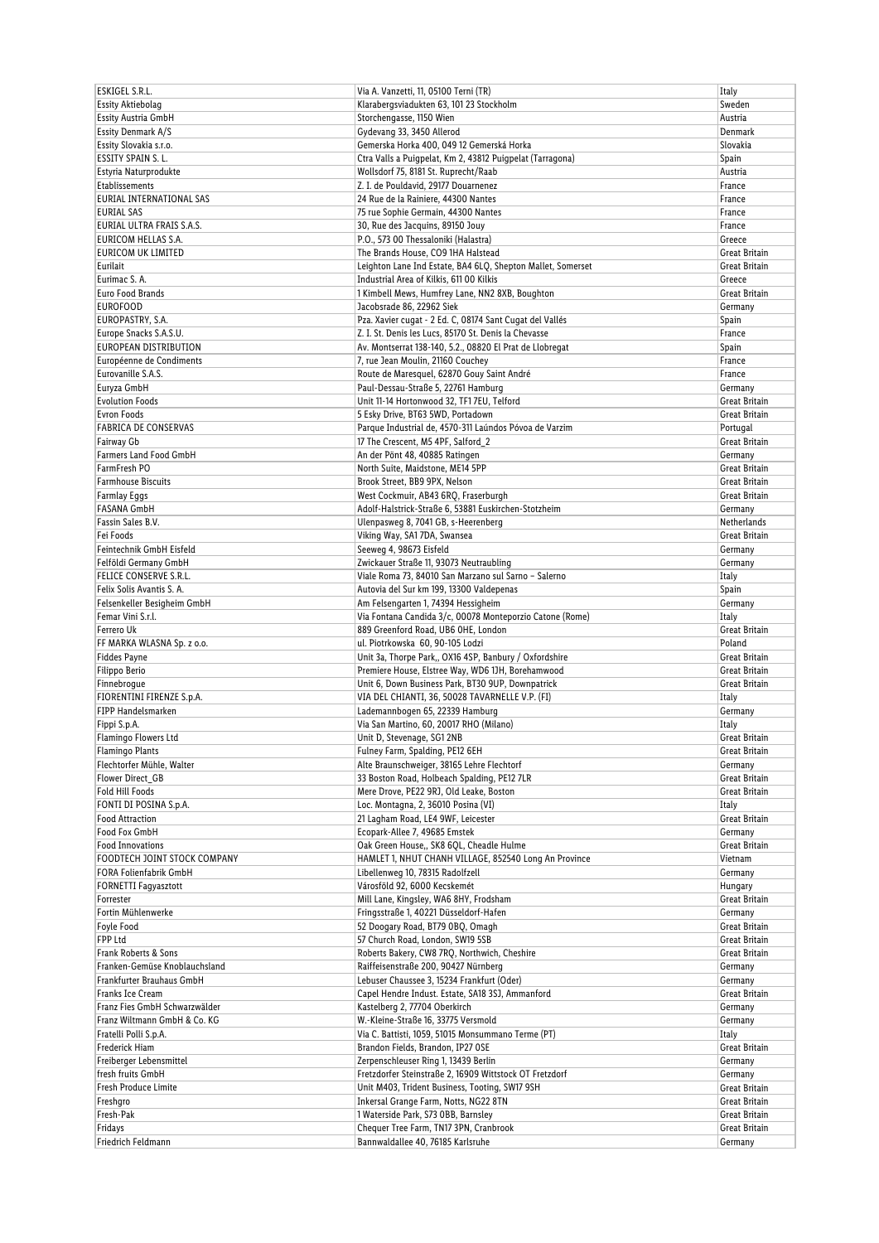| ESKIGEL S.R.L.                | Via A. Vanzetti, 11, 05100 Terni (TR)                       | Italy                |
|-------------------------------|-------------------------------------------------------------|----------------------|
| Essity Aktiebolag             | Klarabergsviadukten 63, 101 23 Stockholm                    | Sweden               |
| Essity Austria GmbH           | Storchengasse, 1150 Wien                                    | Austria              |
|                               |                                                             | Denmark              |
| Essity Denmark A/S            | Gydevang 33, 3450 Allerod                                   |                      |
| Essity Slovakia s.r.o.        | Gemerska Horka 400, 049 12 Gemerská Horka                   | Slovakia             |
| ESSITY SPAIN S.L.             | Ctra Valls a Puigpelat, Km 2, 43812 Puigpelat (Tarragona)   | Spain                |
| Estyria Naturprodukte         | Wollsdorf 75, 8181 St. Ruprecht/Raab                        | Austria              |
| Etablissements                | Z. I. de Pouldavid, 29177 Douarnenez                        | France               |
| EURIAL INTERNATIONAL SAS      | 24 Rue de la Rainiere, 44300 Nantes                         | France               |
| <b>EURIAL SAS</b>             | 75 rue Sophie Germain, 44300 Nantes                         | France               |
| EURIAL ULTRA FRAIS S.A.S.     | 30, Rue des Jacquins, 89150 Jouy                            | France               |
| <b>EURICOM HELLAS S.A.</b>    | P.O., 573 00 Thessaloniki (Halastra)                        | Greece               |
| <b>EURICOM UK LIMITED</b>     | The Brands House, CO9 1HA Halstead                          | Great Britain        |
| Eurilait                      | Leighton Lane Ind Estate, BA4 6LQ, Shepton Mallet, Somerset | Great Britain        |
| Eurimac S. A.                 | Industrial Area of Kilkis, 611 00 Kilkis                    | Greece               |
| Euro Food Brands              | 1 Kimbell Mews, Humfrey Lane, NN2 8XB, Boughton             | Great Britain        |
| <b>EUROFOOD</b>               | Jacobsrade 86, 22962 Siek                                   |                      |
|                               |                                                             | Germany              |
| EUROPASTRY, S.A.              | Pza. Xavier cugat - 2 Ed. C, 08174 Sant Cugat del Vallés    | Spain                |
| Europe Snacks S.A.S.U.        | Z. I. St. Denis les Lucs, 85170 St. Denis la Chevasse       | France               |
| EUROPEAN DISTRIBUTION         | Av. Montserrat 138-140, 5.2., 08820 El Prat de Llobregat    | Spain                |
| Européenne de Condiments      | 7, rue Jean Moulin, 21160 Couchey                           | France               |
| Eurovanille S.A.S.            | Route de Maresquel, 62870 Gouy Saint André                  | France               |
| Euryza GmbH                   | Paul-Dessau-Straße 5, 22761 Hamburg                         | Germany              |
| <b>Evolution Foods</b>        | Unit 11-14 Hortonwood 32, TF1 7EU, Telford                  | Great Britain        |
| Evron Foods                   | 5 Esky Drive, BT63 5WD, Portadown                           | <b>Great Britain</b> |
| <b>FABRICA DE CONSERVAS</b>   | Parque Industrial de, 4570-311 Laúndos Póvoa de Varzim      | Portugal             |
| Fairway Gb                    | 17 The Crescent, M5 4PF, Salford_2                          | Great Britain        |
| Farmers Land Food GmbH        | An der Pönt 48, 40885 Ratingen                              | Germany              |
| FarmFresh PO                  | North Suite, Maidstone, ME14 5PP                            | Great Britain        |
| <b>Farmhouse Biscuits</b>     | Brook Street, BB9 9PX, Nelson                               | Great Britain        |
|                               |                                                             |                      |
| <b>Farmlay Eggs</b>           | West Cockmuir, AB43 6RQ, Fraserburgh                        | Great Britain        |
| <b>FASANA GmbH</b>            | Adolf-Halstrick-Straße 6, 53881 Euskirchen-Stotzheim        | Germany              |
| Fassin Sales B.V.             | Ulenpasweg 8, 7041 GB, s-Heerenberg                         | Netherlands          |
| Fei Foods                     | Viking Way, SA1 7DA, Swansea                                | Great Britain        |
| Feintechnik GmbH Eisfeld      | Seeweg 4, 98673 Eisfeld                                     | Germany              |
| Felföldi Germany GmbH         | Zwickauer Straße 11, 93073 Neutraubling                     | Germany              |
| FELICE CONSERVE S.R.L.        | Viale Roma 73, 84010 San Marzano sul Sarno - Salerno        | Italy                |
| Felix Solis Avantis S.A.      | Autovia del Sur km 199, 13300 Valdepenas                    | Spain                |
| Felsenkeller Besigheim GmbH   | Am Felsengarten 1, 74394 Hessigheim                         | Germany              |
| Femar Vini S.r.l.             | Via Fontana Candida 3/c, 00078 Monteporzio Catone (Rome)    | Italy                |
| Ferrero Uk                    | 889 Greenford Road, UB6 OHE, London                         | Great Britain        |
| FF MARKA WLASNA Sp. z o.o.    | ul. Piotrkowska 60, 90-105 Lodzi                            | Poland               |
| <b>Fiddes Payne</b>           | Unit 3a, Thorpe Park,, OX16 4SP, Banbury / Oxfordshire      | Great Britain        |
| Filippo Berio                 | Premiere House, Elstree Way, WD6 1JH, Borehamwood           | Great Britain        |
| Finnebrogue                   | Unit 6, Down Business Park, BT30 9UP, Downpatrick           |                      |
|                               | VIA DEL CHIANTI, 36, 50028 TAVARNELLE V.P. (FI)             | Great Britain        |
| FIORENTINI FIRENZE S.p.A.     |                                                             | Italy                |
| FIPP Handelsmarken            | Lademannbogen 65, 22339 Hamburg                             | Germany              |
| Fippi S.p.A.                  | Via San Martino, 60, 20017 RHO (Milano)                     | Italy                |
| Flamingo Flowers Ltd          | Unit D, Stevenage, SG1 2NB                                  | Great Britain        |
| Flamingo Plants               | Fulney Farm, Spalding, PE12 6EH                             | Great Britain        |
| Flechtorfer Mühle, Walter     | Alte Braunschweiger, 38165 Lehre Flechtorf                  | Germany              |
| Flower Direct GB              | 33 Boston Road, Holbeach Spalding, PE12 7LR                 | Great Britain        |
| <b>Fold Hill Foods</b>        | Mere Drove, PE22 9RJ, Old Leake, Boston                     | Great Britain        |
| FONTI DI POSINA S.p.A.        | Loc. Montagna, 2, 36010 Posina (VI)                         | Italy                |
| <b>Food Attraction</b>        | 21 Lagham Road, LE4 9WF, Leicester                          | Great Britain        |
| Food Fox GmbH                 | Ecopark-Allee 7, 49685 Emstek                               | Germany              |
| <b>Food Innovations</b>       | Oak Green House,, SK8 6QL, Cheadle Hulme                    | Great Britain        |
| FOODTECH JOINT STOCK COMPANY  | HAMLET 1, NHUT CHANH VILLAGE, 852540 Long An Province       | Vietnam              |
| FORA Folienfabrik GmbH        | Libellenweg 10, 78315 Radolfzell                            | Germany              |
| <b>FORNETTI Fagyasztott</b>   | Városföld 92, 6000 Kecskemét                                | Hungary              |
| Forrester                     | Mill Lane, Kingsley, WA6 8HY, Frodsham                      | Great Britain        |
| Fortin Mühlenwerke            | Fringsstraße 1, 40221 Düsseldorf-Hafen                      | Germany              |
| Foyle Food                    | 52 Doogary Road, BT79 0BQ, Omagh                            | Great Britain        |
| FPP Ltd                       | 57 Church Road, London, SW19 5SB                            |                      |
|                               |                                                             | Great Britain        |
| Frank Roberts & Sons          | Roberts Bakery, CW8 7RQ, Northwich, Cheshire                | Great Britain        |
| Franken-Gemüse Knoblauchsland | Raiffeisenstraße 200, 90427 Nürnberg                        | Germany              |
| Frankfurter Brauhaus GmbH     | Lebuser Chaussee 3, 15234 Frankfurt (Oder)                  | Germany              |
| Franks Ice Cream              | Capel Hendre Indust. Estate, SA18 3SJ, Ammanford            | Great Britain        |
| Franz Fies GmbH Schwarzwälder | Kastelberg 2, 77704 Oberkirch                               | Germany              |
| Franz Wiltmann GmbH & Co. KG  | W.-Kleine-Straße 16, 33775 Versmold                         | Germany              |
| Fratelli Polli S.p.A.         | Via C. Battisti, 1059, 51015 Monsummano Terme (PT)          | Italy                |
| Frederick Hiam                | Brandon Fields, Brandon, IP27 OSE                           | Great Britain        |
| Freiberger Lebensmittel       | Zerpenschleuser Ring 1, 13439 Berlin                        | Germany              |
| fresh fruits GmbH             | Fretzdorfer Steinstraße 2, 16909 Wittstock OT Fretzdorf     | Germany              |
| Fresh Produce Limite          | Unit M403, Trident Business, Tooting, SW17 9SH              | Great Britain        |
| Freshgro                      | Inkersal Grange Farm, Notts, NG22 8TN                       | Great Britain        |
| Fresh-Pak                     | 1 Waterside Park, S73 OBB, Barnsley                         | Great Britain        |
| Fridays                       | Chequer Tree Farm, TN17 3PN, Cranbrook                      | Great Britain        |
| Friedrich Feldmann            | Bannwaldallee 40, 76185 Karlsruhe                           | Germany              |
|                               |                                                             |                      |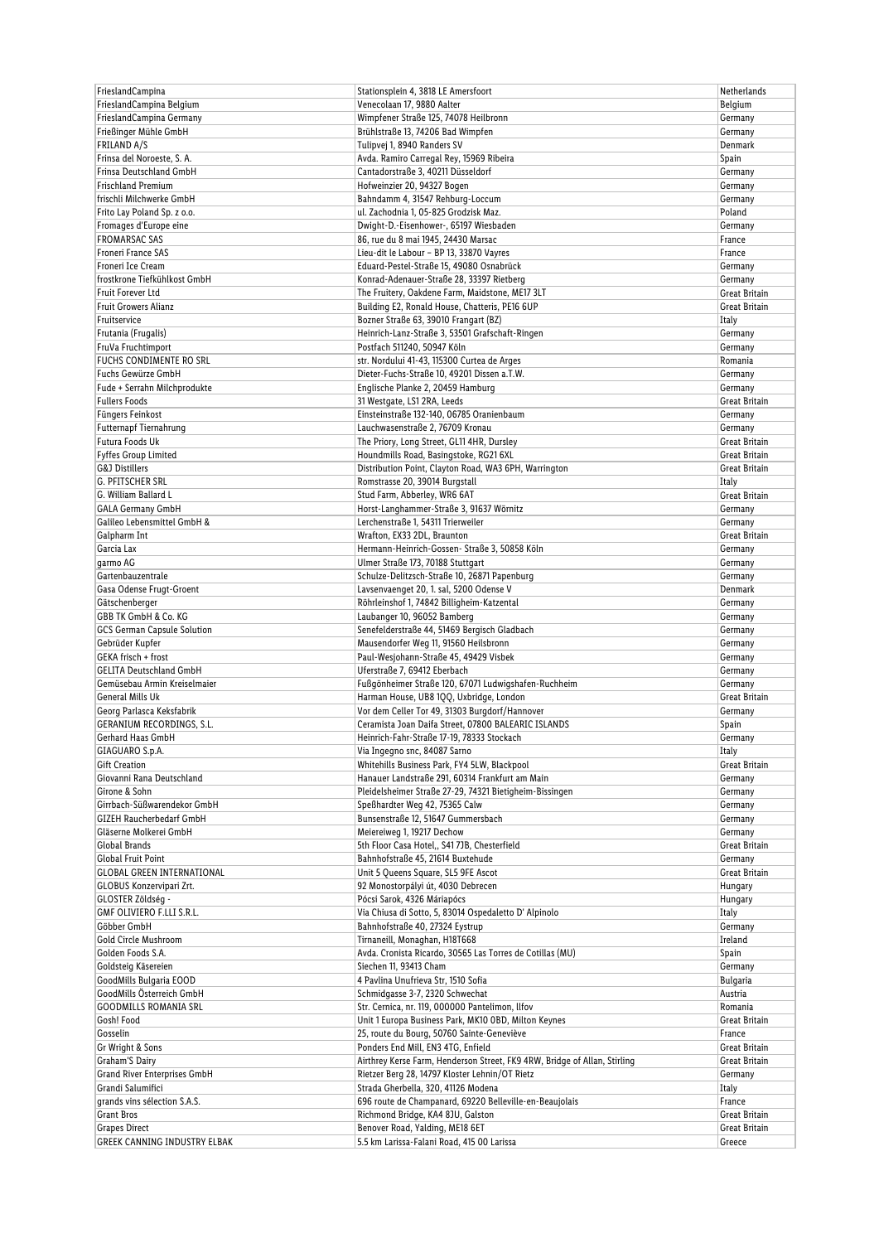| FrieslandCampina                                               | Stationsplein 4, 3818 LE Amersfoort                                                                   | <b>Netherlands</b>       |
|----------------------------------------------------------------|-------------------------------------------------------------------------------------------------------|--------------------------|
| FrieslandCampina Belgium                                       | Venecolaan 17, 9880 Aalter                                                                            | Belgium                  |
| FrieslandCampina Germany                                       | Wimpfener Straße 125, 74078 Heilbronn                                                                 | Germany                  |
| Frießinger Mühle GmbH                                          | Brühlstraße 13, 74206 Bad Wimpfen                                                                     | Germany                  |
| FRILAND A/S                                                    | Tulipvej 1, 8940 Randers SV                                                                           | Denmark                  |
| Frinsa del Noroeste, S.A.                                      | Avda. Ramiro Carregal Rey, 15969 Ribeira                                                              | Spain                    |
| Frinsa Deutschland GmbH                                        | Cantadorstraße 3, 40211 Düsseldorf                                                                    | Germany                  |
| Frischland Premium                                             | Hofweinzier 20, 94327 Bogen                                                                           | Germany                  |
| frischli Milchwerke GmbH                                       | Bahndamm 4, 31547 Rehburg-Loccum                                                                      | Germany                  |
| Frito Lay Poland Sp. z o.o.                                    | ul. Zachodnia 1, 05-825 Grodzisk Maz.                                                                 | Poland                   |
| Fromages d'Europe eine                                         | Dwight-D.-Eisenhower-, 65197 Wiesbaden                                                                | Germany                  |
| <b>FROMARSAC SAS</b>                                           | 86, rue du 8 mai 1945, 24430 Marsac                                                                   | France                   |
| Froneri France SAS                                             | Lieu-dit le Labour - BP 13, 33870 Vayres                                                              | France                   |
| Froneri Ice Cream                                              | Eduard-Pestel-Straße 15, 49080 Osnabrück                                                              | Germany                  |
| frostkrone Tiefkühlkost GmbH                                   | Konrad-Adenauer-Straße 28, 33397 Rietberg                                                             | Germany                  |
| <b>Fruit Forever Ltd</b>                                       | The Fruitery, Oakdene Farm, Maidstone, ME17 3LT                                                       | Great Britain            |
| <b>Fruit Growers Alianz</b>                                    | Building E2, Ronald House, Chatteris, PE16 6UP                                                        | Great Britain            |
| Fruitservice                                                   | Bozner Straße 63, 39010 Frangart (BZ)                                                                 | Italy                    |
| Frutania (Frugalis)                                            | Heinrich-Lanz-Straße 3, 53501 Grafschaft-Ringen                                                       | Germany                  |
| FruVa Fruchtimport                                             | Postfach 511240, 50947 Köln                                                                           | Germany                  |
| FUCHS CONDIMENTE RO SRL                                        | str. Nordului 41-43, 115300 Curtea de Arges                                                           | Romania                  |
| Fuchs Gewürze GmbH                                             | Dieter-Fuchs-Straße 10, 49201 Dissen a.T.W.                                                           | Germany                  |
| Fude + Serrahn Milchprodukte                                   | Englische Planke 2, 20459 Hamburg                                                                     | Germany                  |
| <b>Fullers Foods</b>                                           | 31 Westgate, LS1 2RA, Leeds                                                                           | Great Britain            |
| Füngers Feinkost                                               | Einsteinstraße 132-140, 06785 Oranienbaum                                                             | Germany                  |
| Futternapf Tiernahrung                                         | Lauchwasenstraße 2, 76709 Kronau                                                                      | Germany                  |
| Futura Foods Uk                                                | The Priory, Long Street, GL11 4HR, Dursley                                                            | Great Britain            |
| <b>Fyffes Group Limited</b>                                    | Houndmills Road, Basingstoke, RG21 6XL                                                                | <b>Great Britain</b>     |
| <b>G&amp;J Distillers</b>                                      | Distribution Point, Clayton Road, WA3 6PH, Warrington                                                 | Great Britain            |
| G. PFITSCHER SRL                                               | Romstrasse 20, 39014 Burgstall                                                                        | Italy                    |
| G. William Ballard L                                           | Stud Farm, Abberley, WR6 6AT                                                                          | Great Britain            |
| <b>GALA Germany GmbH</b>                                       | Horst-Langhammer-Straße 3, 91637 Wörnitz                                                              | Germany                  |
| Galileo Lebensmittel GmbH &                                    | Lerchenstraße 1, 54311 Trierweiler                                                                    | Germany                  |
| Galpharm Int                                                   | Wrafton, EX33 2DL, Braunton                                                                           | Great Britain            |
| Garcia Lax                                                     | Hermann-Heinrich-Gossen- Straße 3, 50858 Köln                                                         | Germany                  |
| garmo AG                                                       | Ulmer Straße 173, 70188 Stuttgart                                                                     | Germany                  |
| Gartenbauzentrale                                              | Schulze-Delitzsch-Straße 10, 26871 Papenburg                                                          | Germany                  |
| Gasa Odense Frugt-Groent                                       | Lavsenvaenget 20, 1. sal, 5200 Odense V                                                               | Denmark                  |
| Gätschenberger                                                 | Röhrleinshof 1, 74842 Billigheim-Katzental                                                            | Germany                  |
| GBB TK GmbH & Co. KG                                           | Laubanger 10, 96052 Bamberg                                                                           | Germany                  |
| GCS German Capsule Solution                                    | Senefelderstraße 44, 51469 Bergisch Gladbach                                                          | Germany                  |
| Gebrüder Kupfer                                                | Mausendorfer Weg 11, 91560 Heilsbronn                                                                 | Germany                  |
| GEKA frisch + frost                                            | Paul-Wesjohann-Straße 45, 49429 Visbek                                                                | Germany                  |
| <b>GELITA Deutschland GmbH</b><br>Gemüsebau Armin Kreiselmaier | Uferstraße 7, 69412 Eberbach                                                                          | Germany                  |
|                                                                | Fußgönheimer Straße 120, 67071 Ludwigshafen-Ruchheim                                                  | Germany                  |
| <b>General Mills Uk</b>                                        | Harman House, UB8 1QQ, Uxbridge, London                                                               | Great Britain            |
| Georg Parlasca Keksfabrik<br><b>GERANIUM RECORDINGS, S.L.</b>  | Vor dem Celler Tor 49, 31303 Burgdorf/Hannover<br>Ceramista Joan Daifa Street, 07800 BALEARIC ISLANDS | Germany                  |
|                                                                | Heinrich-Fahr-Straße 17-19, 78333 Stockach                                                            | Spain                    |
| Gerhard Haas GmbH                                              |                                                                                                       | Germany                  |
| GIAGUARO S.p.A.                                                | Via Ingegno snc, 84087 Sarno                                                                          | Italy                    |
| Gift Creation                                                  | Whitehills Business Park, FY4 5LW, Blackpool                                                          | Great Britain            |
| Giovanni Rana Deutschland<br>Girone & Sohn                     | Hanauer Landstraße 291, 60314 Frankfurt am Main                                                       | Germany                  |
| Girrbach-Süßwarendekor GmbH                                    | Pleidelsheimer Straße 27-29, 74321 Bietigheim-Bissingen<br>Speßhardter Weg 42, 75365 Calw             | Germany<br>Germany       |
|                                                                |                                                                                                       |                          |
| <b>GIZEH Raucherbedarf GmbH</b><br>Gläserne Molkerei GmbH      | Bunsenstraße 12, 51647 Gummersbach<br>Meiereiweg 1, 19217 Dechow                                      | Germany                  |
| Global Brands                                                  | 5th Floor Casa Hotel,, S41 7JB, Chesterfield                                                          | Germany<br>Great Britain |
| Global Fruit Point                                             | Bahnhofstraße 45, 21614 Buxtehude                                                                     | Germany                  |
| <b>GLOBAL GREEN INTERNATIONAL</b>                              | Unit 5 Queens Square, SL5 9FE Ascot                                                                   | Great Britain            |
| GLOBUS Konzervipari Zrt.                                       | 92 Monostorpályi út, 4030 Debrecen                                                                    | Hungary                  |
| GLOSTER Zöldség -                                              | Pócsi Sarok, 4326 Máriapócs                                                                           | Hungary                  |
| GMF OLIVIERO F.LLI S.R.L.                                      | Via Chiusa di Sotto, 5, 83014 Ospedaletto D' Alpinolo                                                 | Italy                    |
| Göbber GmbH                                                    | Bahnhofstraße 40, 27324 Eystrup                                                                       | Germany                  |
| Gold Circle Mushroom                                           | Tirnaneill, Monaghan, H18T668                                                                         | Ireland                  |
| Golden Foods S.A.                                              | Avda. Cronista Ricardo, 30565 Las Torres de Cotillas (MU)                                             | Spain                    |
| Goldsteig Käsereien                                            | Siechen 11, 93413 Cham                                                                                | Germany                  |
| GoodMills Bulgaria EOOD                                        | 4 Pavlina Unufrieva Str, 1510 Sofia                                                                   | <b>Bulgaria</b>          |
| GoodMills Österreich GmbH                                      | Schmidgasse 3-7, 2320 Schwechat                                                                       | Austria                  |
| <b>GOODMILLS ROMANIA SRL</b>                                   | Str. Cernica, nr. 119, 000000 Pantelimon, Ilfov                                                       | Romania                  |
| Gosh! Food                                                     | Unit 1 Europa Business Park, MK10 OBD, Milton Keynes                                                  | Great Britain            |
| Gosselin                                                       | 25, route du Bourg, 50760 Sainte-Geneviève                                                            | France                   |
| Gr Wright & Sons                                               | Ponders End Mill, EN3 4TG, Enfield                                                                    | Great Britain            |
| Graham'S Dairy                                                 | Airthrey Kerse Farm, Henderson Street, FK9 4RW, Bridge of Allan, Stirling                             | Great Britain            |
| <b>Grand River Enterprises GmbH</b>                            | Rietzer Berg 28, 14797 Kloster Lehnin/OT Rietz                                                        | Germany                  |
| Grandi Salumifici                                              | Strada Gherbella, 320, 41126 Modena                                                                   | Italy                    |
| grands vins sélection S.A.S.                                   | 696 route de Champanard, 69220 Belleville-en-Beaujolais                                               | France                   |
| Grant Bros                                                     | Richmond Bridge, KA4 8JU, Galston                                                                     | Great Britain            |
| <b>Grapes Direct</b>                                           | Benover Road, Yalding, ME18 6ET                                                                       | Great Britain            |
| GREEK CANNING INDUSTRY ELBAK                                   | 5.5 km Larissa-Falani Road, 415 00 Larissa                                                            | Greece                   |
|                                                                |                                                                                                       |                          |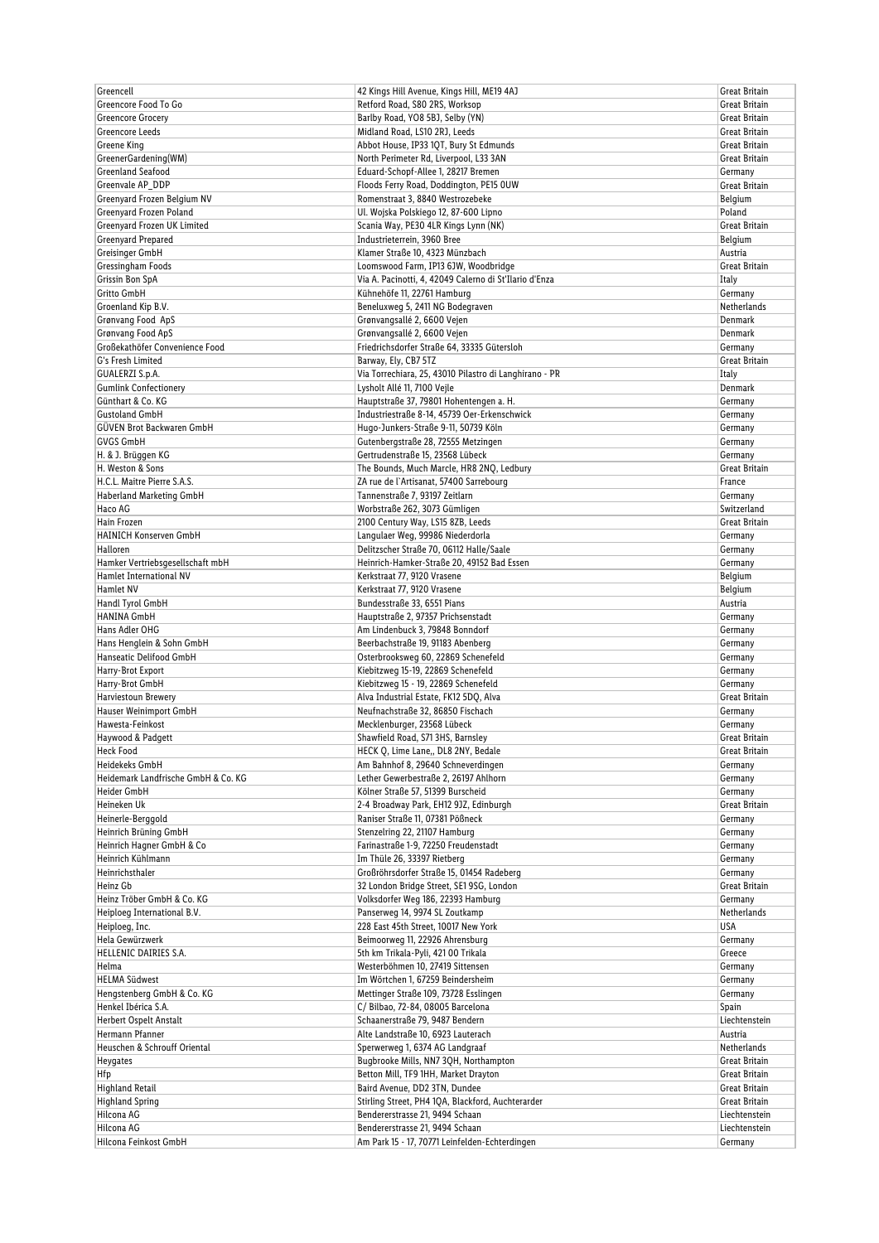| Greencell                           | 42 Kings Hill Avenue, Kings Hill, ME19 4AJ                                        | Great Britain            |
|-------------------------------------|-----------------------------------------------------------------------------------|--------------------------|
| Greencore Food To Go                | Retford Road, S80 2RS, Worksop                                                    | Great Britain            |
| <b>Greencore Grocery</b>            | Barlby Road, YO8 5BJ, Selby (YN)                                                  | Great Britain            |
| Greencore Leeds                     | Midland Road, LS10 2RJ, Leeds                                                     | Great Britain            |
| Greene King                         | Abbot House, IP33 1QT, Bury St Edmunds                                            | Great Britain            |
| GreenerGardening(WM)                | North Perimeter Rd, Liverpool, L33 3AN                                            | Great Britain            |
| Greenland Seafood                   | Eduard-Schopf-Allee 1, 28217 Bremen                                               | Germany                  |
| Greenvale AP_DDP                    | Floods Ferry Road, Doddington, PE15 OUW                                           | Great Britain            |
| Greenyard Frozen Belgium NV         | Romenstraat 3, 8840 Westrozebeke                                                  | Belgium                  |
| Greenyard Frozen Poland             | Ul. Wojska Polskiego 12, 87-600 Lipno                                             | Poland                   |
| Greenyard Frozen UK Limited         | Scania Way, PE30 4LR Kings Lynn (NK)                                              | Great Britain            |
| Greenyard Prepared                  | Industrieterrein, 3960 Bree                                                       | Belgium                  |
| Greisinger GmbH                     | Klamer Straße 10, 4323 Münzbach                                                   | Austria                  |
| Gressingham Foods                   | Loomswood Farm, IP13 6JW, Woodbridge                                              | <b>Great Britain</b>     |
| Grissin Bon SpA                     | Via A. Pacinotti, 4, 42049 Calerno di St'Ilario d'Enza                            | Italy                    |
| <b>Gritto GmbH</b>                  | Kühnehöfe 11, 22761 Hamburg                                                       | Germany                  |
| Groenland Kip B.V.                  | Beneluxweg 5, 2411 NG Bodegraven                                                  | Netherlands              |
| Grønvang Food ApS                   | Grønvangsallé 2, 6600 Vejen                                                       | Denmark                  |
| Grønvang Food ApS                   | Grønvangsallé 2, 6600 Vejen                                                       | Denmark                  |
| Großekathöfer Convenience Food      | Friedrichsdorfer Straße 64, 33335 Gütersloh                                       | Germany                  |
| G's Fresh Limited                   | Barway, Ely, CB7 5TZ                                                              | Great Britain            |
| GUALERZI S.p.A.                     | Via Torrechiara, 25, 43010 Pilastro di Langhirano - PR                            | Italy                    |
| <b>Gumlink Confectionery</b>        | Lysholt Allé 11, 7100 Vejle                                                       | Denmark                  |
| Günthart & Co. KG                   | Hauptstraße 37, 79801 Hohentengen a. H.                                           | Germany                  |
| <b>Gustoland GmbH</b>               | Industriestraße 8-14, 45739 Oer-Erkenschwick                                      | Germany                  |
| GÜVEN Brot Backwaren GmbH           | Hugo-Junkers-Straße 9-11, 50739 Köln                                              | Germany                  |
| <b>GVGS GmbH</b>                    | Gutenbergstraße 28, 72555 Metzingen                                               | Germany                  |
| H. & J. Brüggen KG                  | Gertrudenstraße 15, 23568 Lübeck                                                  | Germany                  |
| H. Weston & Sons                    | The Bounds, Much Marcle, HR8 2NQ, Ledbury                                         | Great Britain            |
| H.C.L. Maitre Pierre S.A.S.         | ZA rue de l'Artisanat, 57400 Sarrebourg                                           | France                   |
| Haberland Marketing GmbH            | Tannenstraße 7, 93197 Zeitlarn                                                    | Germany                  |
| Haco AG                             | Worbstraße 262, 3073 Gümligen                                                     | Switzerland              |
| Hain Frozen                         |                                                                                   |                          |
|                                     | 2100 Century Way, LS15 8ZB, Leeds                                                 | Great Britain            |
| HAINICH Konserven GmbH              | Langulaer Weg, 99986 Niederdorla                                                  | Germany                  |
| Halloren                            | Delitzscher Straße 70, 06112 Halle/Saale                                          | Germany                  |
| Hamker Vertriebsgesellschaft mbH    | Heinrich-Hamker-Straße 20, 49152 Bad Essen                                        | Germany                  |
| Hamlet International NV             | Kerkstraat 77, 9120 Vrasene                                                       | Belgium                  |
| Hamlet NV                           | Kerkstraat 77, 9120 Vrasene                                                       | Belgium                  |
| Handl Tyrol GmbH                    | Bundesstraße 33, 6551 Pians                                                       | Austria                  |
| <b>HANINA GmbH</b>                  | Hauptstraße 2, 97357 Prichsenstadt                                                | Germany                  |
| Hans Adler OHG                      | Am Lindenbuck 3, 79848 Bonndorf                                                   | Germany                  |
| Hans Henglein & Sohn GmbH           | Beerbachstraße 19, 91183 Abenberg                                                 | Germany                  |
| Hanseatic Delifood GmbH             | Osterbrooksweg 60, 22869 Schenefeld                                               | Germany                  |
| Harry-Brot Export                   | Kiebitzweg 15-19, 22869 Schenefeld                                                | Germany                  |
| Harry-Brot GmbH                     | Kiebitzweg 15 - 19, 22869 Schenefeld                                              | Germany                  |
| Harviestoun Brewery                 | Alva Industrial Estate, FK12 5DQ, Alva                                            | Great Britain            |
| Hauser Weinimport GmbH              | Neufnachstraße 32, 86850 Fischach                                                 | Germany                  |
| Hawesta-Feinkost                    | Mecklenburger, 23568 Lübeck                                                       | Germany                  |
| Haywood & Padgett                   | Shawfield Road, S71 3HS, Barnsley                                                 | Great Britain            |
| <b>Heck Food</b>                    | HECK Q, Lime Lane,, DL8 2NY, Bedale                                               | Great Britain            |
| Heidekeks GmbH                      | Am Bahnhof 8, 29640 Schneverdingen                                                | Germany                  |
| Heidemark Landfrische GmbH & Co. KG | Lether Gewerbestraße 2, 26197 Ahlhorn                                             | Germany                  |
| Heider GmbH                         | Kölner Straße 57, 51399 Burscheid                                                 | Germany                  |
| Heineken Uk                         | 2-4 Broadway Park, EH12 9JZ, Edinburgh                                            | Great Britain            |
| Heinerle-Berggold                   | Raniser Straße 11, 07381 Pößneck                                                  | Germany                  |
| Heinrich Brüning GmbH               | Stenzelring 22, 21107 Hamburg                                                     | Germany                  |
| Heinrich Hagner GmbH & Co           | Farinastraße 1-9, 72250 Freudenstadt                                              | Germany                  |
| Heinrich Kühlmann                   | Im Thüle 26, 33397 Rietberg                                                       | Germany                  |
| Heinrichsthaler                     | Großröhrsdorfer Straße 15, 01454 Radeberg                                         | Germany                  |
| Heinz Gb                            | 32 London Bridge Street, SE1 9SG, London                                          | Great Britain            |
| Heinz Tröber GmbH & Co. KG          | Volksdorfer Weg 186, 22393 Hamburg                                                | Germany                  |
| Heiploeg International B.V.         | Panserweg 14, 9974 SL Zoutkamp                                                    | Netherlands              |
| Heiploeg, Inc.                      | 228 East 45th Street, 10017 New York                                              | USA                      |
| Hela Gewürzwerk                     | Beimoorweg 11, 22926 Ahrensburg                                                   | Germany                  |
| HELLENIC DAIRIES S.A.               | 5th km Trikala-Pyli, 421 00 Trikala                                               | Greece                   |
| Helma                               | Westerböhmen 10, 27419 Sittensen                                                  | Germany                  |
| <b>HELMA Südwest</b>                | Im Wörtchen 1, 67259 Beindersheim                                                 | Germany                  |
| Hengstenberg GmbH & Co. KG          | Mettinger Straße 109, 73728 Esslingen                                             | Germany                  |
| Henkel Ibérica S.A.                 | C/ Bilbao, 72-84, 08005 Barcelona                                                 | Spain                    |
| Herbert Ospelt Anstalt              |                                                                                   | Liechtenstein            |
|                                     | Schaanerstraße 79, 9487 Bendern                                                   |                          |
| Hermann Pfanner                     | Alte Landstraße 10, 6923 Lauterach                                                | Austria                  |
| Heuschen & Schrouff Oriental        | Sperwerweg 1, 6374 AG Landgraaf                                                   | Netherlands              |
| Heygates                            | Bugbrooke Mills, NN7 3QH, Northampton                                             | Great Britain            |
| Hfp                                 | Betton Mill, TF9 1HH, Market Drayton                                              | Great Britain            |
| Highland Retail                     | Baird Avenue, DD2 3TN, Dundee                                                     | Great Britain            |
| <b>Highland Spring</b>              | Stirling Street, PH4 1QA, Blackford, Auchterarder                                 | Great Britain            |
| Hilcona AG                          | Bendererstrasse 21, 9494 Schaan                                                   | Liechtenstein            |
| Hilcona AG<br>Hilcona Feinkost GmbH | Bendererstrasse 21, 9494 Schaan<br>Am Park 15 - 17, 70771 Leinfelden-Echterdingen | Liechtenstein<br>Germany |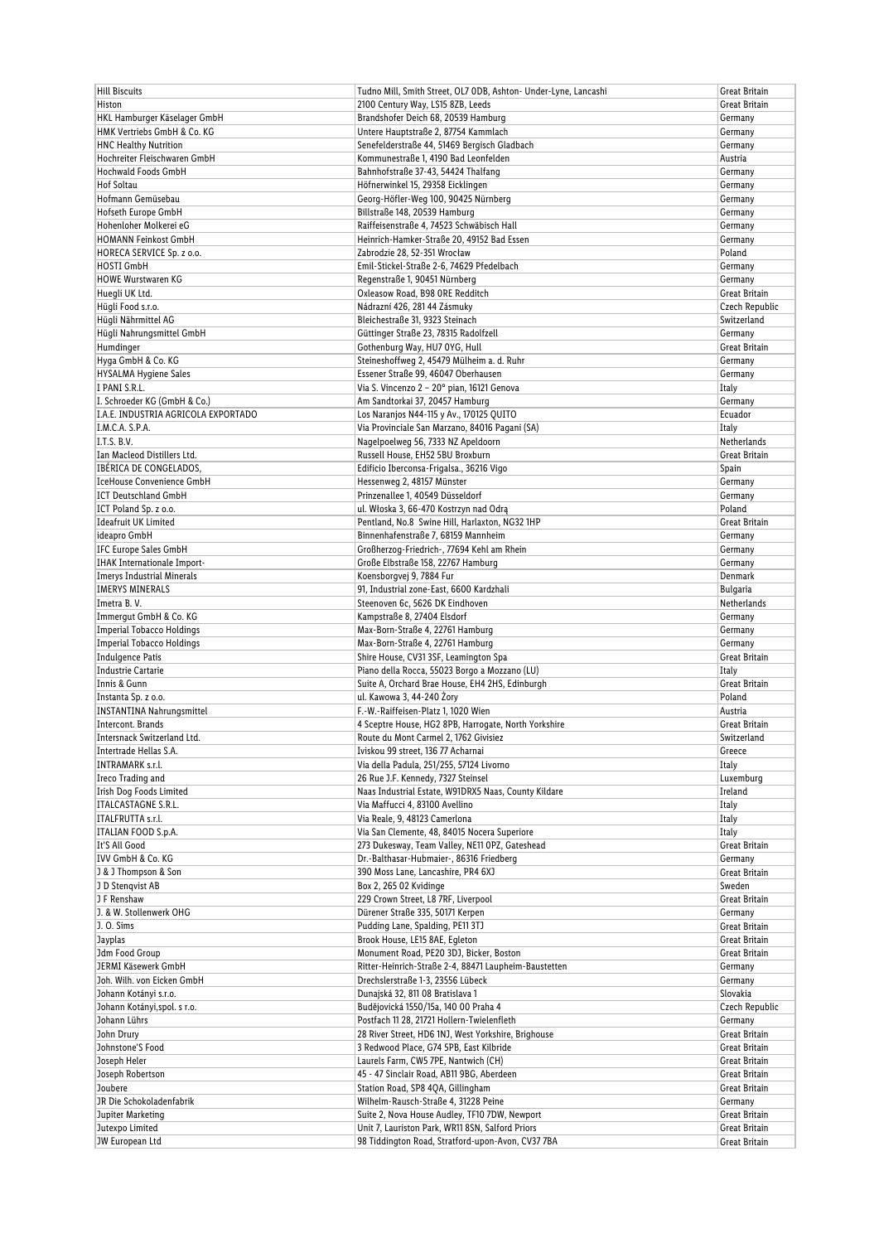| <b>Hill Biscuits</b>                                         | Tudno Mill, Smith Street, OL7 ODB, Ashton- Under-Lyne, Lancashi                            | Great Britain                  |
|--------------------------------------------------------------|--------------------------------------------------------------------------------------------|--------------------------------|
| Histon                                                       | 2100 Century Way, LS15 8ZB, Leeds                                                          | Great Britain                  |
| HKL Hamburger Käselager GmbH                                 | Brandshofer Deich 68, 20539 Hamburg                                                        | Germany                        |
| HMK Vertriebs GmbH & Co. KG                                  | Untere Hauptstraße 2, 87754 Kammlach                                                       | Germany                        |
| <b>HNC Healthy Nutrition</b>                                 | Senefelderstraße 44, 51469 Bergisch Gladbach                                               | Germany                        |
| Hochreiter Fleischwaren GmbH                                 | Kommunestraße 1, 4190 Bad Leonfelden                                                       | Austria                        |
| Hochwald Foods GmbH                                          | Bahnhofstraße 37-43, 54424 Thalfang                                                        | Germany                        |
| <b>Hof Soltau</b>                                            | Höfnerwinkel 15, 29358 Eicklingen                                                          | Germany                        |
| Hofmann Gemüsebau                                            | Georg-Höfler-Weg 100, 90425 Nürnberg                                                       | Germany                        |
| Hofseth Europe GmbH                                          | Billstraße 148, 20539 Hamburg                                                              | Germany                        |
| Hohenloher Molkerei eG                                       | Raiffeisenstraße 4, 74523 Schwäbisch Hall                                                  | Germany                        |
| <b>HOMANN Feinkost GmbH</b>                                  | Heinrich-Hamker-Straße 20, 49152 Bad Essen                                                 | Germany                        |
| HORECA SERVICE Sp. z o.o.                                    | Zabrodzie 28, 52-351 Wrocław                                                               | Poland                         |
| <b>HOSTI GmbH</b>                                            | Emil-Stickel-Straße 2-6, 74629 Pfedelbach                                                  | Germany                        |
| <b>HOWE Wurstwaren KG</b>                                    | Regenstraße 1, 90451 Nürnberg                                                              | Germany                        |
| Huegli UK Ltd.                                               | Oxleasow Road, B98 ORE Redditch                                                            | Great Britain                  |
| Hügli Food s.r.o.                                            | Nádrazní 426, 281 44 Zásmuky                                                               | Czech Republic                 |
| Hügli Nährmittel AG                                          | Bleichestraße 31, 9323 Steinach                                                            | Switzerland                    |
| Hügli Nahrungsmittel GmbH                                    | Güttinger Straße 23, 78315 Radolfzell                                                      | Germany                        |
| Humdinger                                                    | Gothenburg Way, HU7 0YG, Hull                                                              | Great Britain                  |
| Hyga GmbH & Co. KG                                           | Steineshoffweg 2, 45479 Mülheim a. d. Ruhr                                                 | Germany                        |
| HYSALMA Hygiene Sales                                        | Essener Straße 99, 46047 Oberhausen                                                        | Germany                        |
| I PANI S.R.L.                                                | Via S. Vincenzo 2 - 20° pian, 16121 Genova                                                 | Italy                          |
| I. Schroeder KG (GmbH & Co.)                                 | Am Sandtorkai 37, 20457 Hamburg                                                            | Germany                        |
| I.A.E. INDUSTRIA AGRICOLA EXPORTADO                          | Los Naranjos N44-115 y Av., 170125 QUITO                                                   | Ecuador                        |
| I.M.C.A. S.P.A.                                              | Via Provinciale San Marzano, 84016 Pagani (SA)                                             | Italy                          |
| I.T.S. B.V.                                                  | Nagelpoelweg 56, 7333 NZ Apeldoorn                                                         | Netherlands                    |
| Ian Macleod Distillers Ltd.                                  | Russell House, EH52 5BU Broxburn                                                           | Great Britain                  |
| <b>IBÉRICA DE CONGELADOS.</b>                                | Edificio Iberconsa-Frigalsa., 36216 Vigo                                                   | Spain                          |
| <b>IceHouse Convenience GmbH</b>                             | Hessenweg 2, 48157 Münster                                                                 | Germany                        |
| <b>ICT Deutschland GmbH</b>                                  | Prinzenallee 1, 40549 Düsseldorf                                                           | Germany                        |
| ICT Poland Sp. z o.o.                                        | ul. Włoska 3, 66-470 Kostrzyn nad Odrą                                                     | Poland                         |
| <b>Ideafruit UK Limited</b>                                  | Pentland, No.8 Swine Hill, Harlaxton, NG32 1HP                                             | Great Britain                  |
| ideapro GmbH                                                 | Binnenhafenstraße 7, 68159 Mannheim                                                        | Germany                        |
| IFC Europe Sales GmbH                                        | Großherzog-Friedrich-, 77694 Kehl am Rhein                                                 | Germany                        |
| <b>IHAK</b> Internationale Import-                           | Große Elbstraße 158, 22767 Hamburg                                                         | Germany                        |
| <b>Imerys Industrial Minerals</b>                            |                                                                                            | Denmark                        |
| <b>IMERYS MINERALS</b>                                       | Koensborgvej 9, 7884 Fur<br>91, Industrial zone-East, 6600 Kardzhali                       | <b>Bulgaria</b>                |
| Imetra B.V.                                                  |                                                                                            |                                |
| Immergut GmbH & Co. KG                                       | Steenoven 6c, 5626 DK Eindhoven<br>Kampstraße 8, 27404 Elsdorf                             | Netherlands                    |
| <b>Imperial Tobacco Holdings</b>                             | Max-Born-Straße 4, 22761 Hamburg                                                           | Germany                        |
|                                                              |                                                                                            | Germany                        |
| <b>Imperial Tobacco Holdings</b>                             | Max-Born-Straße 4, 22761 Hamburg<br>Shire House, CV31 3SF, Leamington Spa                  | Germany<br>Great Britain       |
| <b>Indulgence Patis</b><br><b>Industrie Cartarie</b>         | Piano della Rocca, 55023 Borgo a Mozzano (LU)                                              |                                |
|                                                              | Suite A, Orchard Brae House, EH4 2HS, Edinburgh                                            | Italy                          |
| Innis & Gunn                                                 | ul. Kawowa 3, 44-240 Żory                                                                  | Great Britain                  |
| Instanta Sp. z o.o.                                          |                                                                                            | Poland<br>Austria              |
| <b>INSTANTINA Nahrungsmittel</b>                             | F.-W.-Raiffeisen-Platz 1, 1020 Wien                                                        |                                |
| Intercont. Brands                                            | 4 Sceptre House, HG2 8PB, Harrogate, North Yorkshire                                       | Great Britain                  |
| Intersnack Switzerland Ltd.                                  | Route du Mont Carmel 2, 1762 Givisiez                                                      | Switzerland                    |
| Intertrade Hellas S.A.                                       | Iviskou 99 street, 136 77 Acharnai                                                         | Greece                         |
| INTRAMARK s.r.l.                                             | Via della Padula, 251/255, 57124 Livorno                                                   | Italy                          |
| Ireco Trading and                                            | 26 Rue J.F. Kennedy, 7327 Steinsel                                                         | Luxemburg                      |
| <b>Irish Dog Foods Limited</b><br><b>ITALCASTAGNE S.R.L.</b> | Naas Industrial Estate, W91DRX5 Naas, County Kildare<br>Via Maffucci 4, 83100 Avellino     | Ireland<br>Italy               |
|                                                              |                                                                                            |                                |
| ITALFRUTTA s.r.l.                                            | Via Reale, 9, 48123 Camerlona<br>Via San Clemente, 48, 84015 Nocera Superiore              | Italy                          |
| ITALIAN FOOD S.p.A.<br>It'S All Good                         | 273 Dukesway, Team Valley, NE11 OPZ, Gateshead                                             | Italy                          |
|                                                              |                                                                                            | Great Britain                  |
| IVV GmbH & Co. KG<br>J & J Thompson & Son                    | Dr.-Balthasar-Hubmaier-, 86316 Friedberg                                                   | Germany<br>Great Britain       |
| J D Stengvist AB                                             | 390 Moss Lane, Lancashire, PR4 6XJ<br>Box 2, 265 02 Kvidinge                               | Sweden                         |
| J F Renshaw                                                  | 229 Crown Street, L8 7RF, Liverpool                                                        | Great Britain                  |
| J. & W. Stollenwerk OHG                                      | Dürener Straße 335, 50171 Kerpen                                                           |                                |
| J. O. Sims                                                   | Pudding Lane, Spalding, PE11 3TJ                                                           | Germany<br>Great Britain       |
|                                                              |                                                                                            |                                |
| <b>Jayplas</b><br>Jdm Food Group                             | Brook House, LE15 8AE, Egleton<br>Monument Road, PE20 3DJ, Bicker, Boston                  | Great Britain<br>Great Britain |
| <b>JERMI Käsewerk GmbH</b>                                   |                                                                                            |                                |
| Joh. Wilh. von Eicken GmbH                                   | Ritter-Heinrich-Straße 2-4, 88471 Laupheim-Baustetten<br>Drechslerstraße 1-3, 23556 Lübeck | Germany<br>Germany             |
| Johann Kotányi s.r.o.                                        | Dunajská 32, 811 08 Bratislava 1                                                           | Slovakia                       |
| Johann Kotányi, spol. s r.o.                                 | Budějovická 1550/15a, 140 00 Praha 4                                                       | Czech Republic                 |
| Johann Lührs                                                 | Postfach 11 28, 21721 Hollern-Twielenfleth                                                 | Germany                        |
|                                                              |                                                                                            |                                |
| John Drury<br>Johnstone'S Food                               | 28 River Street, HD6 1NJ, West Yorkshire, Brighouse                                        | Great Britain                  |
| Joseph Heler                                                 | 3 Redwood Place, G74 5PB, East Kilbride                                                    | Great Britain                  |
| Joseph Robertson                                             | Laurels Farm, CW5 7PE, Nantwich (CH)                                                       | Great Britain                  |
|                                                              | 45 - 47 Sinclair Road, AB11 9BG, Aberdeen                                                  | Great Britain                  |
| Joubere                                                      | Station Road, SP8 4QA, Gillingham                                                          | Great Britain                  |
| JR Die Schokoladenfabrik                                     | Wilhelm-Rausch-Straße 4, 31228 Peine                                                       | Germany                        |
| Jupiter Marketing                                            | Suite 2, Nova House Audley, TF10 7DW, Newport                                              | Great Britain                  |
| Jutexpo Limited                                              | Unit 7, Lauriston Park, WR11 8SN, Salford Priors                                           | Great Britain                  |
| <b>JW European Ltd</b>                                       | 98 Tiddington Road, Stratford-upon-Avon, CV37 7BA                                          | Great Britain                  |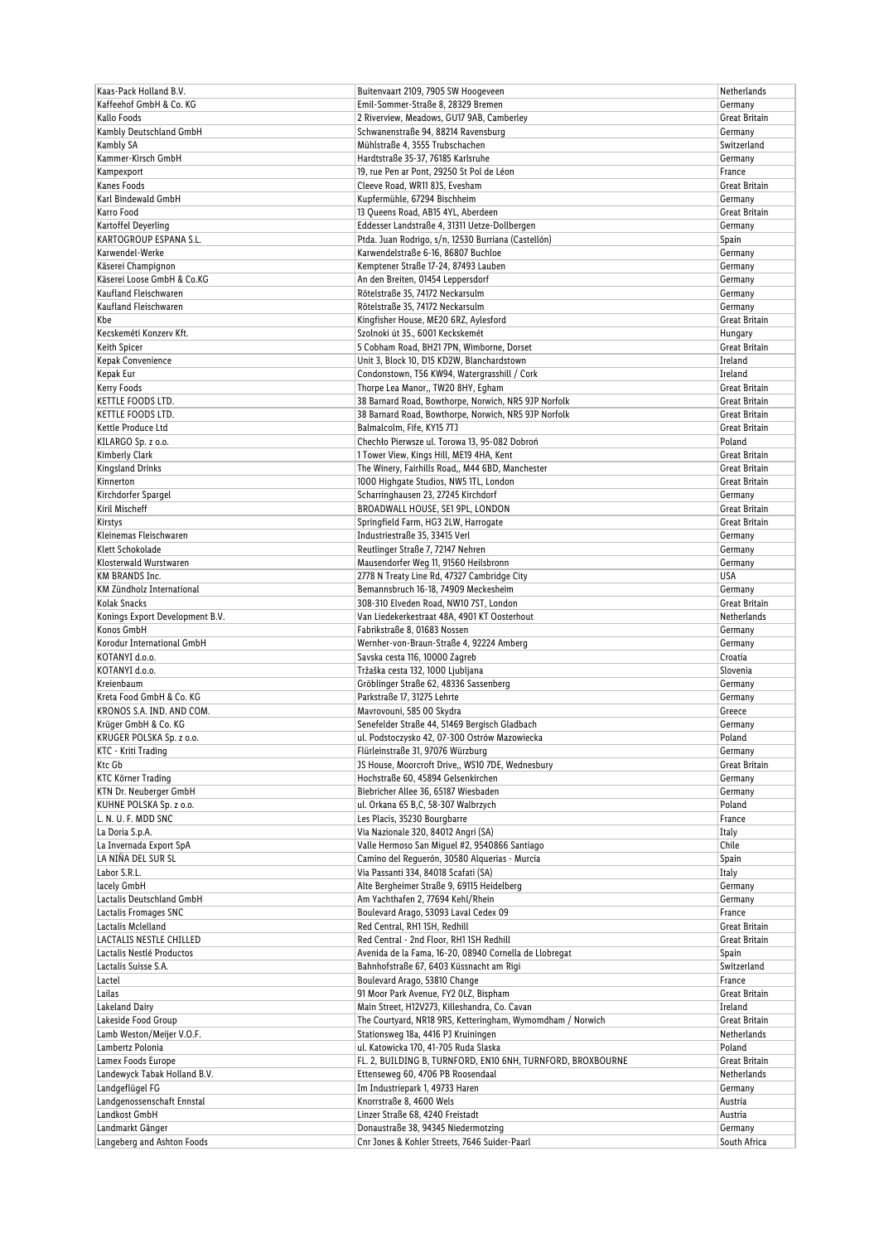| Kaas-Pack Holland B.V.          | Buitenvaart 2109, 7905 SW Hoogeveen                         | Netherlands   |
|---------------------------------|-------------------------------------------------------------|---------------|
| Kaffeehof GmbH & Co. KG         | Emil-Sommer-Straße 8, 28329 Bremen                          | Germany       |
| Kallo Foods                     | 2 Riverview, Meadows, GU17 9AB, Camberley                   | Great Britain |
| Kambly Deutschland GmbH         | Schwanenstraße 94, 88214 Ravensburg                         | Germany       |
| Kambly SA                       | Mühlstraße 4, 3555 Trubschachen                             | Switzerland   |
| Kammer-Kirsch GmbH              | Hardtstraße 35-37, 76185 Karlsruhe                          | Germany       |
| Kampexport                      | 19, rue Pen ar Pont, 29250 St Pol de Léon                   | France        |
| Kanes Foods                     | Cleeve Road, WR11 8JS, Evesham                              | Great Britain |
| Karl Bindewald GmbH             | Kupfermühle, 67294 Bischheim                                | Germany       |
| Karro Food                      | 13 Queens Road, AB15 4YL, Aberdeen                          | Great Britain |
| Kartoffel Deyerling             | Eddesser Landstraße 4, 31311 Uetze-Dollbergen               | Germany       |
| KARTOGROUP ESPANA S.L.          | Ptda. Juan Rodrigo, s/n, 12530 Burriana (Castellón)         | Spain         |
| Karwendel-Werke                 | Karwendelstraße 6-16, 86807 Buchloe                         | Germany       |
| Käserei Champignon              | Kemptener Straße 17-24, 87493 Lauben                        | Germany       |
| Käserei Loose GmbH & Co.KG      | An den Breiten, 01454 Leppersdorf                           | Germany       |
| Kaufland Fleischwaren           | Rötelstraße 35, 74172 Neckarsulm                            | Germany       |
| Kaufland Fleischwaren           | Rötelstraße 35, 74172 Neckarsulm                            | Germany       |
| Kbe                             | Kingfisher House, ME20 6RZ, Aylesford                       | Great Britain |
| Kecskeméti Konzerv Kft.         | Szolnoki út 35., 6001 Keckskemét                            | Hungary       |
| Keith Spicer                    | 5 Cobham Road, BH217PN, Wimborne, Dorset                    | Great Britain |
| Kepak Convenience               | Unit 3, Block 10, D15 KD2W, Blanchardstown                  | Ireland       |
| Kepak Eur                       | Condonstown, T56 KW94, Watergrasshill / Cork                | Ireland       |
| Kerry Foods                     | Thorpe Lea Manor,, TW20 8HY, Egham                          | Great Britain |
| KETTLE FOODS LTD.               | 38 Barnard Road, Bowthorpe, Norwich, NR5 9JP Norfolk        | Great Britain |
| KETTLE FOODS LTD.               | 38 Barnard Road, Bowthorpe, Norwich, NR5 9JP Norfolk        | Great Britain |
| Kettle Produce Ltd              | Balmalcolm, Fife, KY15 7TJ                                  | Great Britain |
| KILARGO Sp. z o.o.              | Chechło Pierwsze ul. Torowa 13, 95-082 Dobroń               | Poland        |
| Kimberly Clark                  | 1 Tower View, Kings Hill, ME19 4HA, Kent                    | Great Britain |
| Kingsland Drinks                | The Winery, Fairhills Road,, M44 6BD, Manchester            | Great Britain |
| Kinnerton                       | 1000 Highgate Studios, NW5 1TL, London                      | Great Britain |
| Kirchdorfer Spargel             | Scharringhausen 23, 27245 Kirchdorf                         | Germany       |
| Kiril Mischeff                  | BROADWALL HOUSE, SE1 9PL, LONDON                            | Great Britain |
| Kirstys                         | Springfield Farm, HG3 2LW, Harrogate                        | Great Britain |
| Kleinemas Fleischwaren          | Industriestraße 35, 33415 Verl                              | Germany       |
| Klett Schokolade                | Reutlinger Straße 7, 72147 Nehren                           | Germany       |
| Klosterwald Wurstwaren          | Mausendorfer Weg 11, 91560 Heilsbronn                       | Germany       |
| KM BRANDS Inc.                  | 2778 N Treaty Line Rd, 47327 Cambridge City                 | USA           |
| KM Zündholz International       | Bemannsbruch 16-18, 74909 Meckesheim                        | Germany       |
| Kolak Snacks                    | 308-310 Elveden Road, NW10 7ST, London                      | Great Britain |
| Konings Export Development B.V. | Van Liedekerkestraat 48A, 4901 KT Oosterhout                | Netherlands   |
| Konos GmbH                      | Fabrikstraße 8, 01683 Nossen                                | Germany       |
| Korodur International GmbH      | Wernher-von-Braun-Straße 4, 92224 Amberg                    | Germany       |
| KOTANYI d.o.o.                  | Savska cesta 116, 10000 Zagreb                              | Croatia       |
| KOTANYI d.o.o.                  | Tržaška cesta 132, 1000 Ljubljana                           | Slovenia      |
| Kreienbaum                      | Gröblinger Straße 62, 48336 Sassenberg                      | Germany       |
| Kreta Food GmbH & Co. KG        | Parkstraße 17, 31275 Lehrte                                 | Germany       |
| KRONOS S.A. IND. AND COM.       | Mavrovouni, 585 00 Skydra                                   | Greece        |
| Krüger GmbH & Co. KG            | Senefelder Straße 44, 51469 Bergisch Gladbach               | Germany       |
| KRUGER POLSKA Sp. z o.o.        | ul. Podstoczysko 42, 07-300 Ostrów Mazowiecka               | Poland        |
| KTC - Kriti Trading             | Flürleinstraße 31, 97076 Würzburg                           | Germany       |
| Ktc Gb                          | JS House, Moorcroft Drive,, WS10 7DE, Wednesbury            | Great Britain |
| <b>KTC Körner Trading</b>       | Hochstraße 60, 45894 Gelsenkirchen                          | Germany       |
| KTN Dr. Neuberger GmbH          | Biebricher Allee 36, 65187 Wiesbaden                        | Germany       |
| KUHNE POLSKA Sp. z o.o.         | ul. Orkana 65 B,C, 58-307 Walbrzych                         | Poland        |
| L. N. U. F. MDD SNC             | Les Placis, 35230 Bourgbarre                                | France        |
| La Doria S.p.A.                 | Via Nazionale 320, 84012 Angri (SA)                         | Italy         |
| La Invernada Export SpA         | Valle Hermoso San Miguel #2, 9540866 Santiago               | Chile         |
| LA NIÑA DEL SUR SL              | Camino del Reguerón, 30580 Alguerias - Murcia               | Spain         |
| Labor S.R.L.                    | Via Passanti 334, 84018 Scafati (SA)                        | Italy         |
| lacely GmbH                     | Alte Bergheimer Straße 9, 69115 Heidelberg                  | Germany       |
| Lactalis Deutschland GmbH       | Am Yachthafen 2, 77694 Kehl/Rhein                           | Germany       |
| Lactalis Fromages SNC           | Boulevard Arago, 53093 Laval Cedex 09                       | France        |
| Lactalis Mclelland              | Red Central, RH1 1SH, Redhill                               | Great Britain |
| LACTALIS NESTLE CHILLED         | Red Central - 2nd Floor, RH1 1SH Redhill                    | Great Britain |
| Lactalis Nestlé Productos       | Avenida de la Fama, 16-20, 08940 Cornella de Llobregat      | Spain         |
| Lactalis Suisse S.A.            | Bahnhofstraße 67, 6403 Küssnacht am Rigi                    | Switzerland   |
| Lactel                          | Boulevard Arago, 53810 Change                               | France        |
| Lailas                          | 91 Moor Park Avenue, FY2 OLZ, Bispham                       | Great Britain |
| Lakeland Dairy                  | Main Street, H12V273, Killeshandra, Co. Cavan               | Ireland       |
| Lakeside Food Group             | The Courtyard, NR18 9RS, Ketteringham, Wymomdham / Norwich  | Great Britain |
| Lamb Weston/Meijer V.O.F.       | Stationsweg 18a, 4416 PJ Kruiningen                         | Netherlands   |
| Lambertz Polonia                | ul. Katowicka 170, 41-705 Ruda Slaska                       | Poland        |
| Lamex Foods Europe              | FL. 2, BUILDING B, TURNFORD, EN10 6NH, TURNFORD, BROXBOURNE | Great Britain |
| Landewyck Tabak Holland B.V.    | Ettenseweg 60, 4706 PB Roosendaal                           | Netherlands   |
| Landgeflügel FG                 | Im Industriepark 1, 49733 Haren                             | Germany       |
| Landgenossenschaft Ennstal      | Knorrstraße 8, 4600 Wels                                    | Austria       |
| Landkost GmbH                   | Linzer Straße 68, 4240 Freistadt                            | Austria       |
| Landmarkt Gänger                | Donaustraße 38, 94345 Niedermotzing                         | Germany       |
| Langeberg and Ashton Foods      | Cnr Jones & Kohler Streets, 7646 Suider-Paarl               | South Africa  |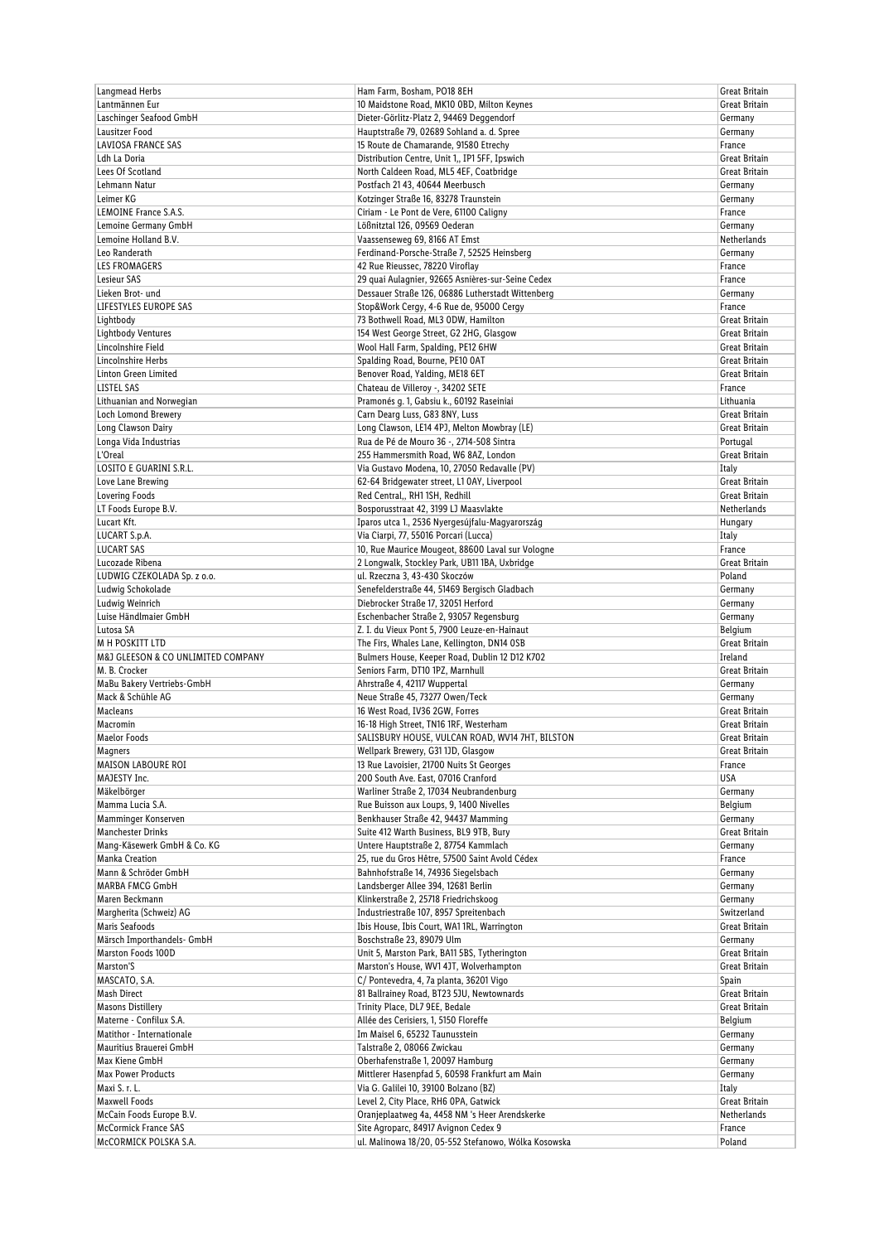| Langmead Herbs                     | Ham Farm, Bosham, PO18 8EH                           | Great Britain      |
|------------------------------------|------------------------------------------------------|--------------------|
| Lantmännen Eur                     | 10 Maidstone Road, MK10 OBD, Milton Keynes           | Great Britain      |
| Laschinger Seafood GmbH            | Dieter-Görlitz-Platz 2, 94469 Deggendorf             | Germany            |
| Lausitzer Food                     | Hauptstraße 79, 02689 Sohland a. d. Spree            | Germany            |
| LAVIOSA FRANCE SAS                 | 15 Route de Chamarande, 91580 Etrechy                | France             |
| Ldh La Doria                       | Distribution Centre, Unit 1,, IP1 5FF, Ipswich       | Great Britain      |
| Lees Of Scotland                   | North Caldeen Road, ML5 4EF, Coatbridge              | Great Britain      |
| Lehmann Natur                      | Postfach 21 43, 40644 Meerbusch                      | Germany            |
| Leimer KG                          | Kotzinger Straße 16, 83278 Traunstein                | Germany            |
| LEMOINE France S.A.S.              | Ciriam - Le Pont de Vere, 61100 Caligny              | France             |
| Lemoine Germany GmbH               | Lößnitztal 126, 09569 Oederan                        | Germany            |
| Lemoine Holland B.V.               | Vaassenseweg 69, 8166 AT Emst                        | Netherlands        |
| Leo Randerath                      | Ferdinand-Porsche-Straße 7, 52525 Heinsberg          | Germany            |
| <b>LES FROMAGERS</b>               | 42 Rue Rieussec, 78220 Viroflay                      | France             |
| Lesieur SAS                        | 29 quai Aulagnier, 92665 Asnières-sur-Seine Cedex    | France             |
| Lieken Brot- und                   | Dessauer Straße 126, 06886 Lutherstadt Wittenberg    | Germany            |
| LIFESTYLES EUROPE SAS              | Stop&Work Cergy, 4-6 Rue de, 95000 Cergy             | France             |
| Lightbody                          | 73 Bothwell Road, ML3 ODW, Hamilton                  | Great Britain      |
| Lightbody Ventures                 | 154 West George Street, G2 2HG, Glasgow              | Great Britain      |
| Lincolnshire Field                 | Wool Hall Farm, Spalding, PE12 6HW                   | Great Britain      |
| Lincolnshire Herbs                 | Spalding Road, Bourne, PE10 OAT                      | Great Britain      |
| Linton Green Limited               | Benover Road, Yalding, ME18 6ET                      | Great Britain      |
| LISTEL SAS                         | Chateau de Villeroy -, 34202 SETE                    | France             |
| Lithuanian and Norwegian           | Pramonés q. 1, Gabsiu k., 60192 Raseiniai            | Lithuania          |
| <b>Loch Lomond Brewery</b>         | Carn Dearg Luss, G83 8NY, Luss                       | Great Britain      |
| Long Clawson Dairy                 | Long Clawson, LE14 4PJ, Melton Mowbray (LE)          | Great Britain      |
| Longa Vida Industrias              | Rua de Pé de Mouro 36 -, 2714-508 Sintra             | Portugal           |
| L'Oreal                            | 255 Hammersmith Road, W6 8AZ, London                 | Great Britain      |
| LOSITO E GUARINI S.R.L.            | Via Gustavo Modena, 10, 27050 Redavalle (PV)         | Italy              |
| Love Lane Brewing                  | 62-64 Bridgewater street, L1 0AY, Liverpool          | Great Britain      |
| <b>Lovering Foods</b>              | Red Central,, RH11SH, Redhill                        | Great Britain      |
| LT Foods Europe B.V.               | Bosporusstraat 42, 3199 LJ Maasvlakte                | <b>Netherlands</b> |
|                                    |                                                      |                    |
| Lucart Kft.                        | Iparos utca 1., 2536 Nyergesújfalu-Magyarország      | Hungary            |
| LUCART S.p.A.                      | Via Ciarpi, 77, 55016 Porcari (Lucca)                | Italy              |
| <b>LUCART SAS</b>                  | 10, Rue Maurice Mougeot, 88600 Laval sur Vologne     | France             |
| Lucozade Ribena                    | 2 Longwalk, Stockley Park, UB11 1BA, Uxbridge        | Great Britain      |
| LUDWIG CZEKOLADA Sp. z o.o.        | ul. Rzeczna 3, 43-430 Skoczów                        | Poland             |
| Ludwig Schokolade                  | Senefelderstraße 44, 51469 Bergisch Gladbach         | Germany            |
| Ludwig Weinrich                    | Diebrocker Straße 17, 32051 Herford                  | Germany            |
| Luise Händlmaier GmbH              | Eschenbacher Straße 2, 93057 Regensburg              | Germany            |
| Lutosa SA                          | Z. I. du Vieux Pont 5, 7900 Leuze-en-Hainaut         | Belgium            |
| M H POSKITT LTD                    | The Firs, Whales Lane, Kellington, DN14 OSB          | Great Britain      |
| M&J GLEESON & CO UNLIMITED COMPANY | Bulmers House, Keeper Road, Dublin 12 D12 K702       | Ireland            |
| M. B. Crocker                      | Seniors Farm, DT10 1PZ, Marnhull                     | Great Britain      |
| MaBu Bakery Vertriebs-GmbH         | Ahrstraße 4, 42117 Wuppertal                         | Germany            |
| Mack & Schühle AG                  | Neue Straße 45, 73277 Owen/Teck                      | Germany            |
| Macleans                           | 16 West Road, IV36 2GW, Forres                       | Great Britain      |
| Macromin                           | 16-18 High Street, TN16 1RF, Westerham               | Great Britain      |
| <b>Maelor Foods</b>                | SALISBURY HOUSE, VULCAN ROAD, WV14 7HT, BILSTON      | Great Britain      |
| Magners                            | Wellpark Brewery, G31 1JD, Glasgow                   | Great Britain      |
| MAISON LABOURE ROI                 | 13 Rue Lavoisier, 21700 Nuits St Georges             | France             |
| MAJESTY Inc.                       | 200 South Ave. East, 07016 Cranford                  | USA                |
| Mäkelbörger                        | Warliner Straße 2, 17034 Neubrandenburg              | Germany            |
| Mamma Lucia S.A.                   | Rue Buisson aux Loups, 9, 1400 Nivelles              | Belgium            |
| Mamminger Konserven                | Benkhauser Straße 42, 94437 Mamming                  | Germany            |
| <b>Manchester Drinks</b>           | Suite 412 Warth Business, BL9 9TB, Bury              | Great Britain      |
| Mang-Käsewerk GmbH & Co. KG        | Untere Hauptstraße 2, 87754 Kammlach                 | Germany            |
| <b>Manka Creation</b>              | 25, rue du Gros Hêtre, 57500 Saint Avold Cédex       | France             |
| Mann & Schröder GmbH               | Bahnhofstraße 14, 74936 Siegelsbach                  | Germany            |
| <b>MARBA FMCG GmbH</b>             | Landsberger Allee 394, 12681 Berlin                  | Germany            |
| Maren Beckmann                     | Klinkerstraße 2, 25718 Friedrichskoog                | Germany            |
| Margherita (Schweiz) AG            | Industriestraße 107, 8957 Spreitenbach               | Switzerland        |
| Maris Seafoods                     | Ibis House, Ibis Court, WA1 1RL, Warrington          | Great Britain      |
| Märsch Importhandels- GmbH         | Boschstraße 23, 89079 Ulm                            | Germany            |
| Marston Foods 100D                 | Unit 5, Marston Park, BA11 5BS, Tytherington         | Great Britain      |
| Marston'S                          | Marston's House, WV1 4JT, Wolverhampton              | Great Britain      |
| MASCATO, S.A.                      | C/Pontevedra, 4, 7a planta, 36201 Vigo               | Spain              |
| Mash Direct                        | 81 Ballrainey Road, BT23 5JU, Newtownards            | Great Britain      |
| <b>Masons Distillery</b>           | Trinity Place, DL7 9EE, Bedale                       | Great Britain      |
| Materne - Confilux S.A.            | Allée des Cerisiers, 1, 5150 Floreffe                | Belgium            |
| Matithor - Internationale          | Im Maisel 6, 65232 Taunusstein                       | Germany            |
| Mauritius Brauerei GmbH            | Talstraße 2, 08066 Zwickau                           | Germany            |
| Max Kiene GmbH                     | Oberhafenstraße 1, 20097 Hamburg                     | Germany            |
| <b>Max Power Products</b>          | Mittlerer Hasenpfad 5, 60598 Frankfurt am Main       | Germany            |
| Maxi S. r. L.                      | Via G. Galilei 10, 39100 Bolzano (BZ)                | Italy              |
| <b>Maxwell Foods</b>               | Level 2, City Place, RH6 OPA, Gatwick                | Great Britain      |
| McCain Foods Europe B.V.           | Oranjeplaatweg 4a, 4458 NM 's Heer Arendskerke       | Netherlands        |
| <b>McCormick France SAS</b>        | Site Agroparc, 84917 Avignon Cedex 9                 | France             |
| McCORMICK POLSKA S.A.              | ul. Malinowa 18/20, 05-552 Stefanowo, Wólka Kosowska | Poland             |
|                                    |                                                      |                    |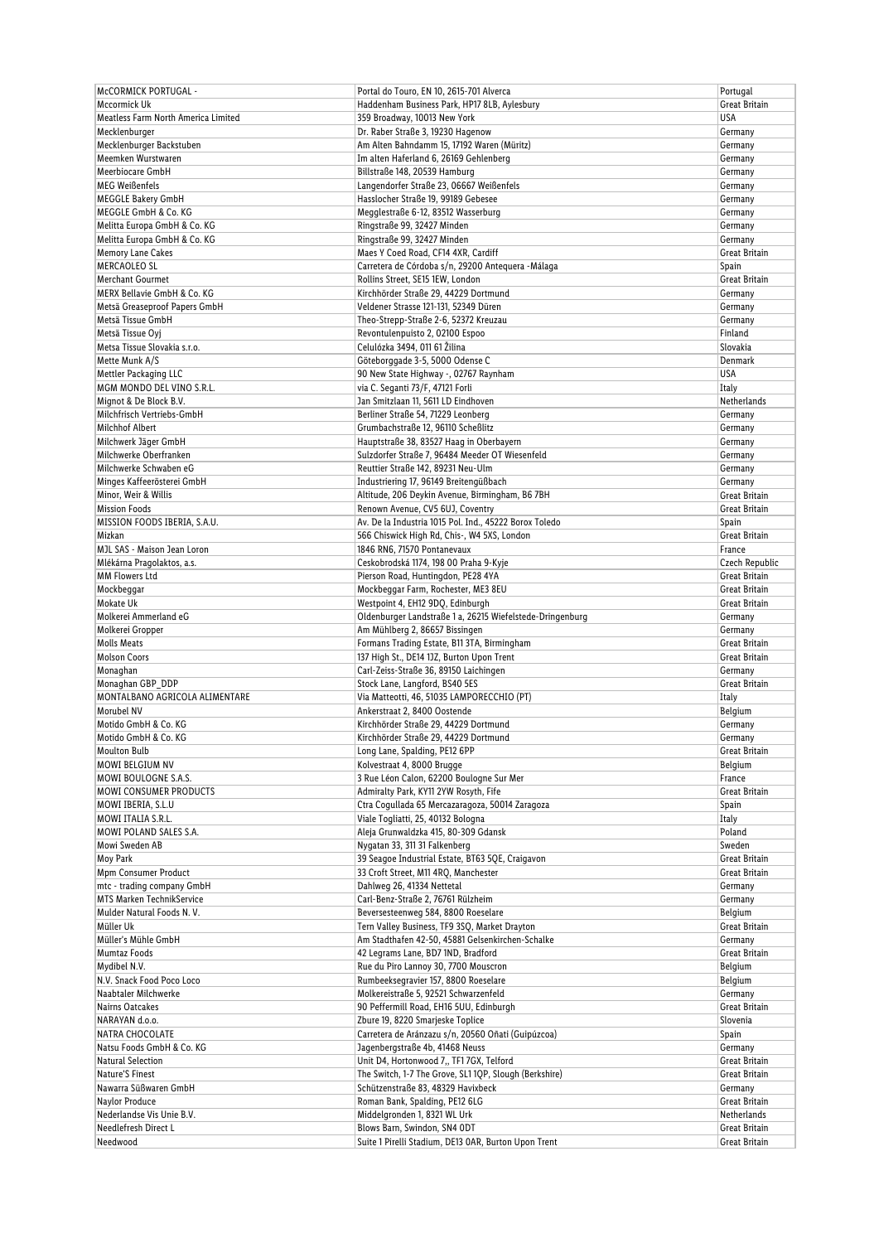| <b>McCORMICK PORTUGAL -</b>         | Portal do Touro, EN 10, 2615-701 Alverca                  | Portugal                     |
|-------------------------------------|-----------------------------------------------------------|------------------------------|
| Mccormick Uk                        | Haddenham Business Park, HP17 8LB, Aylesbury              | Great Britain                |
| Meatless Farm North America Limited | 359 Broadway, 10013 New York                              | USA                          |
| Mecklenburger                       | Dr. Raber Straße 3, 19230 Hagenow                         | Germany                      |
| Mecklenburger Backstuben            | Am Alten Bahndamm 15, 17192 Waren (Müritz)                | Germany                      |
| Meemken Wurstwaren                  | Im alten Haferland 6, 26169 Gehlenberg                    | Germany                      |
| Meerbiocare GmbH                    | Billstraße 148, 20539 Hamburg                             | Germany                      |
| <b>MEG Weißenfels</b>               | Langendorfer Straße 23, 06667 Weißenfels                  | Germany                      |
| <b>MEGGLE Bakery GmbH</b>           | Hasslocher Straße 19, 99189 Gebesee                       | Germany                      |
| MEGGLE GmbH & Co. KG                | Megglestraße 6-12, 83512 Wasserburg                       | Germany                      |
| Melitta Europa GmbH & Co. KG        | Ringstraße 99, 32427 Minden                               | Germany                      |
| Melitta Europa GmbH & Co. KG        | Ringstraße 99, 32427 Minden                               | Germany                      |
| Memory Lane Cakes                   | Maes Y Coed Road, CF14 4XR, Cardiff                       | Great Britain                |
| <b>MERCAOLEO SL</b>                 | Carretera de Córdoba s/n, 29200 Antequera - Málaga        | Spain                        |
| <b>Merchant Gourmet</b>             | Rollins Street, SE15 1EW, London                          | Great Britain                |
| MERX Bellavie GmbH & Co. KG         | Kirchhörder Straße 29, 44229 Dortmund                     | Germany                      |
| Metsä Greaseproof Papers GmbH       | Veldener Strasse 121-131, 52349 Düren                     | Germany                      |
| Metsä Tissue GmbH                   | Theo-Strepp-Straße 2-6, 52372 Kreuzau                     | Germany                      |
| Metsä Tissue Oyj                    | Revontulenpuisto 2, 02100 Espoo                           | Finland                      |
| Metsa Tissue Slovakia s.r.o.        | Celulózka 3494, 011 61 Žilina                             | Slovakia                     |
| Mette Munk A/S                      | Göteborggade 3-5, 5000 Odense C                           | Denmark                      |
| Mettler Packaging LLC               | 90 New State Highway -, 02767 Raynham                     | <b>USA</b>                   |
| MGM MONDO DEL VINO S.R.L.           | via C. Seganti 73/F, 47121 Forli                          | Italy                        |
| Mignot & De Block B.V.              | Jan Smitzlaan 11, 5611 LD Eindhoven                       | Netherlands                  |
| Milchfrisch Vertriebs-GmbH          | Berliner Straße 54, 71229 Leonberg                        | Germany                      |
| <b>Milchhof Albert</b>              | Grumbachstraße 12, 96110 Scheßlitz                        | Germany                      |
| Milchwerk Jäger GmbH                | Hauptstraße 38, 83527 Haag in Oberbayern                  | Germany                      |
| Milchwerke Oberfranken              | Sulzdorfer Straße 7, 96484 Meeder OT Wiesenfeld           | Germany                      |
| Milchwerke Schwaben eG              | Reuttier Straße 142, 89231 Neu-Ulm                        | Germany                      |
| Minges Kaffeerösterei GmbH          | Industriering 17, 96149 Breitengüßbach                    | Germany                      |
| Minor, Weir & Willis                | Altitude, 206 Deykin Avenue, Birmingham, B6 7BH           | Great Britain                |
| <b>Mission Foods</b>                | Renown Avenue, CV5 6UJ, Coventry                          | Great Britain                |
| MISSION FOODS IBERIA, S.A.U.        | Av. De la Industria 1015 Pol. Ind., 45222 Borox Toledo    | Spain                        |
| Mizkan                              | 566 Chiswick High Rd, Chis-, W4 5XS, London               | Great Britain                |
| MJL SAS - Maison Jean Loron         | 1846 RN6, 71570 Pontanevaux                               | France                       |
| Mlékárna Pragolaktos, a.s.          | Ceskobrodská 1174, 198 00 Praha 9-Kyje                    | Czech Republic               |
| <b>MM Flowers Ltd</b>               | Pierson Road, Huntingdon, PE28 4YA                        | Great Britain                |
| Mockbeggar                          | Mockbeggar Farm, Rochester, ME3 8EU                       | Great Britain                |
| Mokate Uk                           | Westpoint 4, EH12 9DQ, Edinburgh                          | Great Britain                |
| Molkerei Ammerland eG               | Oldenburger Landstraße 1 a, 26215 Wiefelstede-Dringenburg | Germany                      |
| Molkerei Gropper                    | Am Mühlberg 2, 86657 Bissingen                            | Germany                      |
| <b>Molls Meats</b>                  | Formans Trading Estate, B11 3TA, Birmingham               | Great Britain                |
| <b>Molson Coors</b>                 | 137 High St., DE14 1JZ, Burton Upon Trent                 | Great Britain                |
| Monaghan                            | Carl-Zeiss-Straße 36, 89150 Laichingen                    | Germany                      |
| Monaghan GBP_DDP                    | Stock Lane, Langford, BS40 5ES                            | Great Britain                |
| MONTALBANO AGRICOLA ALIMENTARE      | Via Matteotti, 46, 51035 LAMPORECCHIO (PT)                | Italy                        |
| Morubel NV                          | Ankerstraat 2, 8400 Oostende                              | Belgium                      |
| Motido GmbH & Co. KG                | Kirchhörder Straße 29, 44229 Dortmund                     | Germany                      |
| Motido GmbH & Co. KG                | Kirchhörder Straße 29, 44229 Dortmund                     | Germany                      |
| <b>Moulton Bulb</b>                 | Long Lane, Spalding, PE12 6PP                             | Great Britain                |
| MOWI BELGIUM NV                     | Kolvestraat 4, 8000 Brugge                                | Belgium                      |
| MOWI BOULOGNE S.A.S.                | 3 Rue Léon Calon, 62200 Boulogne Sur Mer                  | France                       |
| <b>MOWI CONSUMER PRODUCTS</b>       | Admiralty Park, KY11 2YW Rosyth, Fife                     | Great Britain                |
| MOWI IBERIA, S.L.U                  | Ctra Cogullada 65 Mercazaragoza, 50014 Zaragoza           | Spain                        |
| MOWI ITALIA S.R.L.                  | Viale Togliatti, 25, 40132 Bologna                        | Italy                        |
| MOWI POLAND SALES S.A.              | Aleja Grunwaldzka 415, 80-309 Gdansk                      | Poland                       |
| Mowi Sweden AB                      | Nygatan 33, 311 31 Falkenberg                             | Sweden                       |
| Moy Park                            | 39 Seagoe Industrial Estate, BT63 5QE, Craigavon          | Great Britain                |
| Mpm Consumer Product                | 33 Croft Street, M11 4RO, Manchester                      | Great Britain                |
| mtc - trading company GmbH          | Dahlweg 26, 41334 Nettetal                                | Germany                      |
| MTS Marken TechnikService           | Carl-Benz-Straße 2, 76761 Rülzheim                        | Germany                      |
| Mulder Natural Foods N.V.           | Beversesteenweg 584, 8800 Roeselare                       | Belgium                      |
| Müller Uk                           | Tern Valley Business, TF9 3SQ, Market Drayton             | Great Britain                |
| Müller's Mühle GmbH                 | Am Stadthafen 42-50, 45881 Gelsenkirchen-Schalke          | Germany                      |
| Mumtaz Foods                        | 42 Legrams Lane, BD7 1ND, Bradford                        | Great Britain                |
| Mydibel N.V.                        | Rue du Piro Lannoy 30, 7700 Mouscron                      | Belgium                      |
| N.V. Snack Food Poco Loco           | Rumbeeksegravier 157, 8800 Roeselare                      | Belgium                      |
| Naabtaler Milchwerke                | Molkereistraße 5, 92521 Schwarzenfeld                     | Germany                      |
| Nairns Oatcakes                     | 90 Peffermill Road, EH16 5UU, Edinburgh                   | Great Britain                |
| NARAYAN d.o.o.                      | Zbure 19, 8220 Smarjeske Toplice                          | Slovenia                     |
| NATRA CHOCOLATE                     | Carretera de Aránzazu s/n, 20560 Oñati (Guipúzcoa)        | Spain                        |
| Natsu Foods GmbH & Co. KG           | Jagenbergstraße 4b, 41468 Neuss                           | Germany                      |
| <b>Natural Selection</b>            | Unit D4, Hortonwood 7,, TF1 7GX, Telford                  | Great Britain                |
| Nature'S Finest                     | The Switch, 1-7 The Grove, SL1 1QP, Slough (Berkshire)    | Great Britain                |
| Nawarra Süßwaren GmbH               | Schützenstraße 83, 48329 Havixbeck                        | Germany                      |
| Naylor Produce                      | Roman Bank, Spalding, PE12 6LG                            |                              |
| Nederlandse Vis Unie B.V.           | Middelgronden 1, 8321 WL Urk                              | Great Britain<br>Netherlands |
| Needlefresh Direct L                | Blows Barn, Swindon, SN4 ODT                              |                              |
|                                     |                                                           | Great Britain                |
| Needwood                            | Suite 1 Pirelli Stadium, DE13 OAR, Burton Upon Trent      | Great Britain                |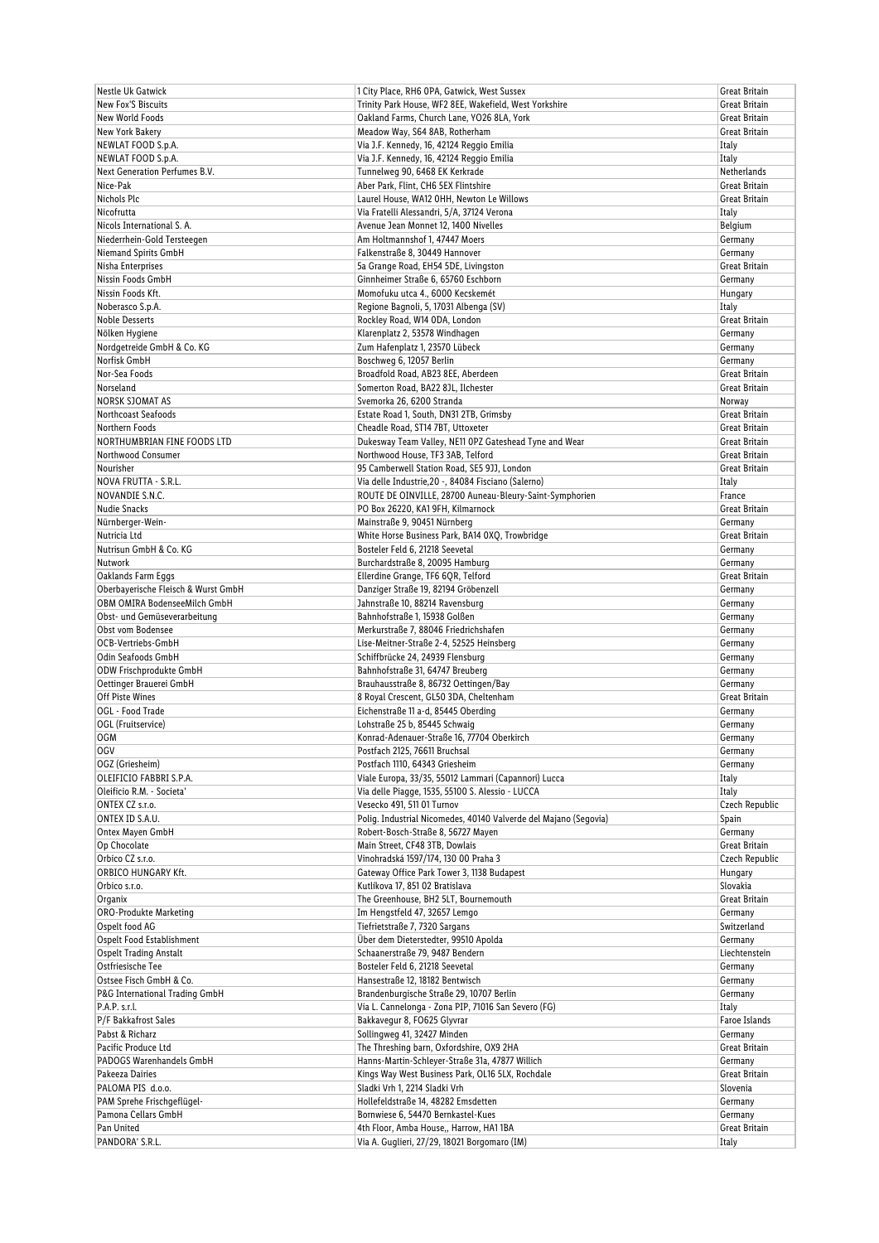| <b>Nestle Uk Gatwick</b>            | 1 City Place, RH6 OPA, Gatwick, West Sussex                      | Great Britain  |
|-------------------------------------|------------------------------------------------------------------|----------------|
| <b>New Fox'S Biscuits</b>           | Trinity Park House, WF2 8EE, Wakefield, West Yorkshire           | Great Britain  |
| <b>New World Foods</b>              | Oakland Farms, Church Lane, YO26 8LA, York                       | Great Britain  |
| <b>New York Bakery</b>              | Meadow Way, S64 8AB, Rotherham                                   | Great Britain  |
| NEWLAT FOOD S.p.A.                  | Via J.F. Kennedy, 16, 42124 Reggio Emilia                        | Italy          |
| NEWLAT FOOD S.p.A.                  | Via J.F. Kennedy, 16, 42124 Reggio Emilia                        | Italy          |
| Next Generation Perfumes B.V.       | Tunnelweg 90, 6468 EK Kerkrade                                   | Netherlands    |
|                                     |                                                                  |                |
| Nice-Pak                            | Aber Park, Flint, CH6 5EX Flintshire                             | Great Britain  |
| Nichols Plc                         | Laurel House, WA12 OHH, Newton Le Willows                        | Great Britain  |
| Nicofrutta                          | Via Fratelli Alessandri, 5/A, 37124 Verona                       | Italy          |
| Nicols International S. A.          | Avenue Jean Monnet 12, 1400 Nivelles                             | Belgium        |
| Niederrhein-Gold Tersteegen         | Am Holtmannshof 1, 47447 Moers                                   | Germany        |
| Niemand Spirits GmbH                | Falkenstraße 8, 30449 Hannover                                   | Germany        |
| Nisha Enterprises                   | 5a Grange Road, EH54 5DE, Livingston                             | Great Britain  |
| Nissin Foods GmbH                   | Ginnheimer Straße 6, 65760 Eschborn                              | Germany        |
| Nissin Foods Kft.                   | Momofuku utca 4., 6000 Kecskemét                                 | Hungary        |
| Noberasco S.p.A.                    | Regione Bagnoli, 5, 17031 Albenga (SV)                           | Italy          |
| <b>Noble Desserts</b>               | Rockley Road, W14 ODA, London                                    | Great Britain  |
|                                     |                                                                  |                |
| Nölken Hygiene                      | Klarenplatz 2, 53578 Windhagen                                   | Germany        |
| Nordgetreide GmbH & Co. KG          | Zum Hafenplatz 1, 23570 Lübeck                                   | Germany        |
| Norfisk GmbH                        | Boschweg 6, 12057 Berlin                                         | Germany        |
| Nor-Sea Foods                       | Broadfold Road, AB23 8EE, Aberdeen                               | Great Britain  |
| Norseland                           | Somerton Road, BA22 8JL, Ilchester                               | Great Britain  |
| <b>NORSK SJOMAT AS</b>              | Svemorka 26, 6200 Stranda                                        | Norway         |
| Northcoast Seafoods                 | Estate Road 1, South, DN31 2TB, Grimsby                          | Great Britain  |
| Northern Foods                      | Cheadle Road, ST14 7BT, Uttoxeter                                | Great Britain  |
| NORTHUMBRIAN FINE FOODS LTD         | Dukesway Team Valley, NE11 OPZ Gateshead Tyne and Wear           | Great Britain  |
| Northwood Consumer                  | Northwood House, TF3 3AB, Telford                                | Great Britain  |
|                                     |                                                                  |                |
| Nourisher                           | 95 Camberwell Station Road, SE5 9JJ, London                      | Great Britain  |
| NOVA FRUTTA - S.R.L.                | Via delle Industrie, 20 -, 84084 Fisciano (Salerno)              | Italy          |
| NOVANDIE S.N.C.                     | ROUTE DE OINVILLE, 28700 Auneau-Bleury-Saint-Symphorien          | France         |
| Nudie Snacks                        | PO Box 26220, KA1 9FH, Kilmarnock                                | Great Britain  |
| Nürnberger-Wein-                    | Mainstraße 9, 90451 Nürnberg                                     | Germany        |
| Nutricia Ltd                        | White Horse Business Park, BA14 0XQ, Trowbridge                  | Great Britain  |
| Nutrisun GmbH & Co. KG              | Bosteler Feld 6, 21218 Seevetal                                  | Germany        |
| Nutwork                             | Burchardstraße 8, 20095 Hamburg                                  | Germany        |
| Oaklands Farm Eggs                  | Ellerdine Grange, TF6 6QR, Telford                               | Great Britain  |
| Oberbayerische Fleisch & Wurst GmbH | Danziger Straße 19, 82194 Gröbenzell                             | Germany        |
|                                     |                                                                  |                |
| OBM OMIRA BodenseeMilch GmbH        | Jahnstraße 10, 88214 Ravensburg                                  | Germany        |
| Obst- und Gemüseverarbeitung        | Bahnhofstraße 1, 15938 Golßen                                    | Germany        |
| Obst vom Bodensee                   | Merkurstraße 7, 88046 Friedrichshafen                            | Germany        |
| OCB-Vertriebs-GmbH                  | Lise-Meitner-Straße 2-4, 52525 Heinsberg                         | Germany        |
| Odin Seafoods GmbH                  | Schiffbrücke 24, 24939 Flensburg                                 | Germany        |
| ODW Frischprodukte GmbH             | Bahnhofstraße 31, 64747 Breuberg                                 | Germany        |
| Oettinger Brauerei GmbH             | Brauhausstraße 8, 86732 Oettingen/Bay                            | Germany        |
| Off Piste Wines                     | 8 Royal Crescent, GL50 3DA, Cheltenham                           | Great Britain  |
| OGL - Food Trade                    | Eichenstraße 11 a-d, 85445 Oberding                              | Germany        |
| OGL (Fruitservice)                  | Lohstraße 25 b, 85445 Schwaig                                    | Germany        |
| <b>OGM</b>                          | Konrad-Adenauer-Straße 16, 77704 Oberkirch                       | Germany        |
| 0GV                                 | Postfach 2125, 76611 Bruchsal                                    | Germany        |
| OGZ (Griesheim)                     | Postfach 1110, 64343 Griesheim                                   | Germany        |
| OLEIFICIO FABBRI S.P.A.             |                                                                  |                |
|                                     | Viale Europa, 33/35, 55012 Lammari (Capannori) Lucca             | Italy          |
| Oleificio R.M. - Societa'           | Via delle Piagge, 1535, 55100 S. Alessio - LUCCA                 | Italy          |
| ONTEX CZ s.r.o.                     | Vesecko 491, 511 01 Turnov                                       | Czech Republic |
| ONTEX ID S.A.U.                     | Polig. Industrial Nicomedes, 40140 Valverde del Majano (Segovia) | Spain          |
| Ontex Mayen GmbH                    | Robert-Bosch-Straße 8, 56727 Mayen                               | Germany        |
| Op Chocolate                        | Main Street, CF48 3TB, Dowlais                                   | Great Britain  |
| Orbico CZ s.r.o.                    | Vinohradská 1597/174, 130 00 Praha 3                             | Czech Republic |
| <b>ORBICO HUNGARY Kft.</b>          | Gateway Office Park Tower 3, 1138 Budapest                       | Hungary        |
| Orbico s.r.o.                       | Kutlíkova 17, 851 02 Bratislava                                  | Slovakia       |
| Organix                             | The Greenhouse, BH2 5LT, Bournemouth                             | Great Britain  |
| <b>ORO-Produkte Marketing</b>       | Im Hengstfeld 47, 32657 Lemgo                                    | Germany        |
| Ospelt food AG                      | Tiefrietstraße 7, 7320 Sargans                                   | Switzerland    |
|                                     | Über dem Dieterstedter, 99510 Apolda                             |                |
| Ospelt Food Establishment           |                                                                  | Germany        |
| <b>Ospelt Trading Anstalt</b>       | Schaanerstraße 79, 9487 Bendern                                  | Liechtenstein  |
| Ostfriesische Tee                   | Bosteler Feld 6, 21218 Seevetal                                  | Germany        |
| Ostsee Fisch GmbH & Co.             | Hansestraße 12, 18182 Bentwisch                                  | Germany        |
| P&G International Trading GmbH      | Brandenburgische Straße 29, 10707 Berlin                         | Germany        |
| P.A.P. s.r.l.                       | Via L. Cannelonga - Zona PIP, 71016 San Severo (FG)              | Italy          |
| P/F Bakkafrost Sales                | Bakkavegur 8, FO625 Glyvrar                                      | Faroe Islands  |
| Pabst & Richarz                     | Sollingweg 41, 32427 Minden                                      | Germany        |
| Pacific Produce Ltd                 | The Threshing barn, Oxfordshire, OX9 2HA                         | Great Britain  |
| PADOGS Warenhandels GmbH            | Hanns-Martin-Schleyer-Straße 31a, 47877 Willich                  | Germany        |
| Pakeeza Dairies                     | Kings Way West Business Park, OL16 5LX, Rochdale                 | Great Britain  |
| PALOMA PIS d.o.o.                   | Sladki Vrh 1, 2214 Sladki Vrh                                    | Slovenia       |
|                                     |                                                                  |                |
| PAM Sprehe Frischgeflügel-          | Hollefeldstraße 14, 48282 Emsdetten                              | Germany        |
| Pamona Cellars GmbH                 | Bornwiese 6, 54470 Bernkastel-Kues                               | Germany        |
| Pan United                          | 4th Floor, Amba House,, Harrow, HA11BA                           | Great Britain  |
| PANDORA' S.R.L.                     | Via A. Guglieri, 27/29, 18021 Borgomaro (IM)                     | Italy          |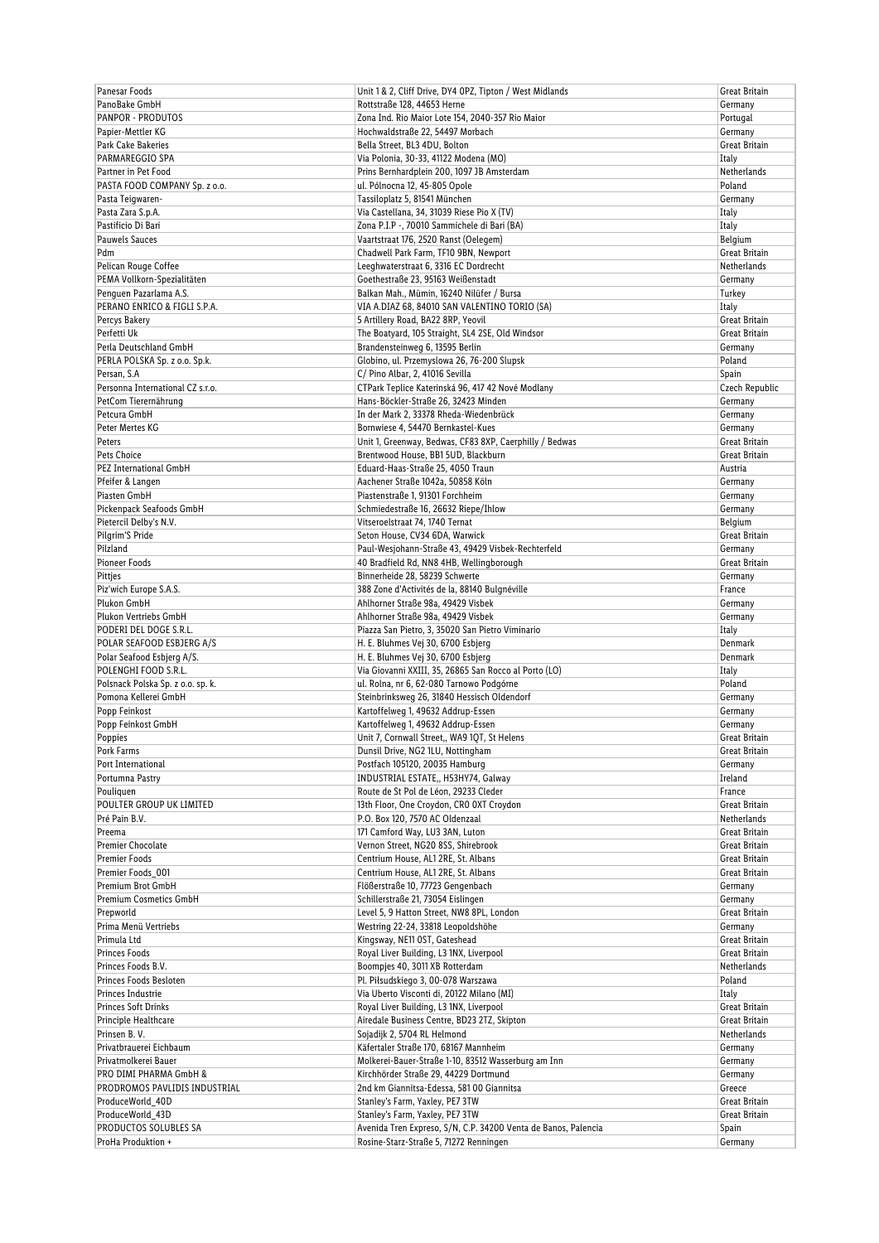| Panesar Foods                                   | Unit 1 & 2, Cliff Drive, DY4 0PZ, Tipton / West Midlands                               | <b>Great Britain</b>     |
|-------------------------------------------------|----------------------------------------------------------------------------------------|--------------------------|
| PanoBake GmbH                                   | Rottstraße 128, 44653 Herne                                                            | Germany                  |
| PANPOR - PRODUTOS                               | Zona Ind. Rio Maior Lote 154, 2040-357 Rio Maior                                       | Portugal                 |
| Papier-Mettler KG                               | Hochwaldstraße 22, 54497 Morbach                                                       | Germany                  |
| Park Cake Bakeries                              | Bella Street, BL3 4DU, Bolton                                                          | Great Britain            |
| PARMAREGGIO SPA                                 | Via Polonia, 30-33, 41122 Modena (MO)                                                  | Italy                    |
| Partner in Pet Food                             | Prins Bernhardplein 200, 1097 JB Amsterdam                                             | Netherlands              |
| PASTA FOOD COMPANY Sp. z o.o.                   | ul. Pólnocna 12, 45-805 Opole                                                          | Poland                   |
| Pasta Teigwaren-                                | Tassiloplatz 5, 81541 München                                                          | Germany                  |
| Pasta Zara S.p.A.                               | Via Castellana, 34, 31039 Riese Pio X (TV)                                             | Italy                    |
| Pastificio Di Bari                              | Zona P.I.P -, 70010 Sammichele di Bari (BA)                                            | Italy<br>Belgium         |
| <b>Pauwels Sauces</b><br>Pdm                    | Vaartstraat 176, 2520 Ranst (Oelegem)<br>Chadwell Park Farm, TF10 9BN, Newport         | Great Britain            |
| Pelican Rouge Coffee                            | Leeghwaterstraat 6, 3316 EC Dordrecht                                                  | Netherlands              |
| PEMA Vollkorn-Spezialitäten                     | Goethestraße 23, 95163 Weißenstadt                                                     | Germany                  |
| Penguen Pazarlama A.S.                          | Balkan Mah., Mümin, 16240 Nilüfer / Bursa                                              | Turkey                   |
| PERANO ENRICO & FIGLI S.P.A.                    | VIA A.DIAZ 68, 84010 SAN VALENTINO TORIO (SA)                                          | Italy                    |
| Percys Bakery                                   | 5 Artillery Road, BA22 8RP, Yeovil                                                     | Great Britain            |
| Perfetti Uk                                     | The Boatyard, 105 Straight, SL4 2SE, Old Windsor                                       | <b>Great Britain</b>     |
| Perla Deutschland GmbH                          | Brandensteinweg 6, 13595 Berlin                                                        | Germany                  |
| PERLA POLSKA Sp. z o.o. Sp.k.                   | Globino, ul. Przemyslowa 26, 76-200 Slupsk                                             | Poland                   |
| Persan, S.A                                     | C/ Pino Albar, 2, 41016 Sevilla                                                        | Spain                    |
| Personna International CZ s.r.o.                | CTPark Teplice Katerinská 96, 417 42 Nové Modlany                                      | Czech Republic           |
| PetCom Tierernährung                            | Hans-Böckler-Straße 26, 32423 Minden                                                   | Germany                  |
| Petcura GmbH                                    | In der Mark 2, 33378 Rheda-Wiedenbrück                                                 | Germany                  |
| Peter Mertes KG                                 | Bornwiese 4, 54470 Bernkastel-Kues                                                     | Germany                  |
| Peters                                          | Unit 1, Greenway, Bedwas, CF83 8XP, Caerphilly / Bedwas                                | Great Britain            |
| Pets Choice                                     | Brentwood House, BB1 5UD, Blackburn                                                    | Great Britain            |
| <b>PEZ International GmbH</b>                   | Eduard-Haas-Straße 25, 4050 Traun                                                      | Austria                  |
| Pfeifer & Langen                                | Aachener Straße 1042a, 50858 Köln                                                      | Germany                  |
| Piasten GmbH                                    | Piastenstraße 1, 91301 Forchheim                                                       | Germany                  |
| Pickenpack Seafoods GmbH                        | Schmiedestraße 16, 26632 Riepe/Ihlow                                                   | Germany                  |
| Pietercil Delby's N.V.                          | Vitseroelstraat 74, 1740 Ternat                                                        | Belgium                  |
| Pilgrim'S Pride                                 | Seton House, CV34 6DA, Warwick                                                         | Great Britain            |
| Pilzland                                        | Paul-Wesjohann-Straße 43, 49429 Visbek-Rechterfeld                                     | Germany                  |
| <b>Pioneer Foods</b>                            | 40 Bradfield Rd, NN8 4HB, Wellingborough                                               | Great Britain            |
| Pittjes                                         | Binnerheide 28, 58239 Schwerte                                                         | Germany                  |
| Piz'wich Europe S.A.S.                          | 388 Zone d'Activités de la, 88140 Bulgnéville                                          | France                   |
| Plukon GmbH                                     | Ahlhorner Straße 98a, 49429 Visbek                                                     | Germany                  |
| Plukon Vertriebs GmbH<br>PODERI DEL DOGE S.R.L. | Ahlhorner Straße 98a, 49429 Visbek<br>Piazza San Pietro, 3, 35020 San Pietro Viminario | Germany<br>Italy         |
| POLAR SEAFOOD ESBJERG A/S                       | H. E. Bluhmes Vej 30, 6700 Esbjerg                                                     | Denmark                  |
| Polar Seafood Esbjerg A/S.                      | H. E. Bluhmes Vej 30, 6700 Esbjerg                                                     | Denmark                  |
| POLENGHI FOOD S.R.L.                            | Via Giovanni XXIII, 35, 26865 San Rocco al Porto (LO)                                  | Italy                    |
| Polsnack Polska Sp. z o.o. sp. k.               | ul. Rolna, nr 6, 62-080 Tarnowo Podgórne                                               | Poland                   |
| Pomona Kellerei GmbH                            | Steinbrinksweg 26, 31840 Hessisch Oldendorf                                            | Germany                  |
| Popp Feinkost                                   | Kartoffelweg 1, 49632 Addrup-Essen                                                     | Germany                  |
| Popp Feinkost GmbH                              | Kartoffelweg 1, 49632 Addrup-Essen                                                     | Germany                  |
| Poppies                                         | Unit 7, Cornwall Street,, WA9 1QT, St Helens                                           | Great Britain            |
| Pork Farms                                      | Dunsil Drive, NG2 1LU, Nottingham                                                      | Great Britain            |
| Port International                              | Postfach 105120, 20035 Hamburg                                                         | Germany                  |
| Portumna Pastry                                 | INDUSTRIAL ESTATE,, H53HY74, Galway                                                    | Ireland                  |
| Pouliquen                                       | Route de St Pol de Léon, 29233 Cleder                                                  | France                   |
| POULTER GROUP UK LIMITED                        | 13th Floor, One Croydon, CRO OXT Croydon                                               | Great Britain            |
| Pré Pain B.V.                                   | P.O. Box 120, 7570 AC Oldenzaal                                                        | Netherlands              |
| Preema                                          | 171 Camford Way, LU3 3AN, Luton                                                        | Great Britain            |
| <b>Premier Chocolate</b>                        | Vernon Street, NG20 8SS, Shirebrook                                                    | Great Britain            |
| <b>Premier Foods</b>                            | Centrium House, AL1 2RE, St. Albans                                                    | Great Britain            |
| Premier Foods_001                               | Centrium House, AL1 2RE, St. Albans                                                    | Great Britain            |
| Premium Brot GmbH                               | Flößerstraße 10, 77723 Gengenbach                                                      | Germany                  |
| Premium Cosmetics GmbH                          | Schillerstraße 21, 73054 Eislingen                                                     | Germany                  |
| Prepworld<br>Prima Menü Vertriebs               | Level 5, 9 Hatton Street, NW8 8PL, London<br>Westring 22-24, 33818 Leopoldshöhe        | Great Britain<br>Germany |
| Primula Ltd                                     | Kingsway, NE11 OST, Gateshead                                                          | Great Britain            |
| <b>Princes Foods</b>                            | Royal Liver Building, L3 1NX, Liverpool                                                | Great Britain            |
| Princes Foods B.V.                              | Boompjes 40, 3011 XB Rotterdam                                                         | Netherlands              |
| Princes Foods Besloten                          | Pl. Piłsudskiego 3, 00-078 Warszawa                                                    | Poland                   |
| Princes Industrie                               | Via Uberto Visconti di, 20122 Milano (MI)                                              | Italy                    |
| Princes Soft Drinks                             | Royal Liver Building, L3 1NX, Liverpool                                                | Great Britain            |
| Principle Healthcare                            | Airedale Business Centre, BD23 2TZ, Skipton                                            | Great Britain            |
| Prinsen B.V.                                    | Sojadijk 2, 5704 RL Helmond                                                            | Netherlands              |
| Privatbrauerei Eichbaum                         | Käfertaler Straße 170, 68167 Mannheim                                                  | Germany                  |
| Privatmolkerei Bauer                            | Molkerei-Bauer-Straße 1-10, 83512 Wasserburg am Inn                                    | Germany                  |
| PRO DIMI PHARMA GmbH &                          | Kirchhörder Straße 29, 44229 Dortmund                                                  | Germany                  |
| PRODROMOS PAVLIDIS INDUSTRIAL                   | 2nd km Giannitsa-Edessa, 581 00 Giannitsa                                              | Greece                   |
| ProduceWorld_40D                                | Stanley's Farm, Yaxley, PE7 3TW                                                        | Great Britain            |
| ProduceWorld_43D                                | Stanley's Farm, Yaxley, PE7 3TW                                                        | Great Britain            |
| PRODUCTOS SOLUBLES SA                           | Avenida Tren Expreso, S/N, C.P. 34200 Venta de Banos, Palencia                         | Spain                    |
| ProHa Produktion +                              | Rosine-Starz-Straße 5, 71272 Renningen                                                 | Germany                  |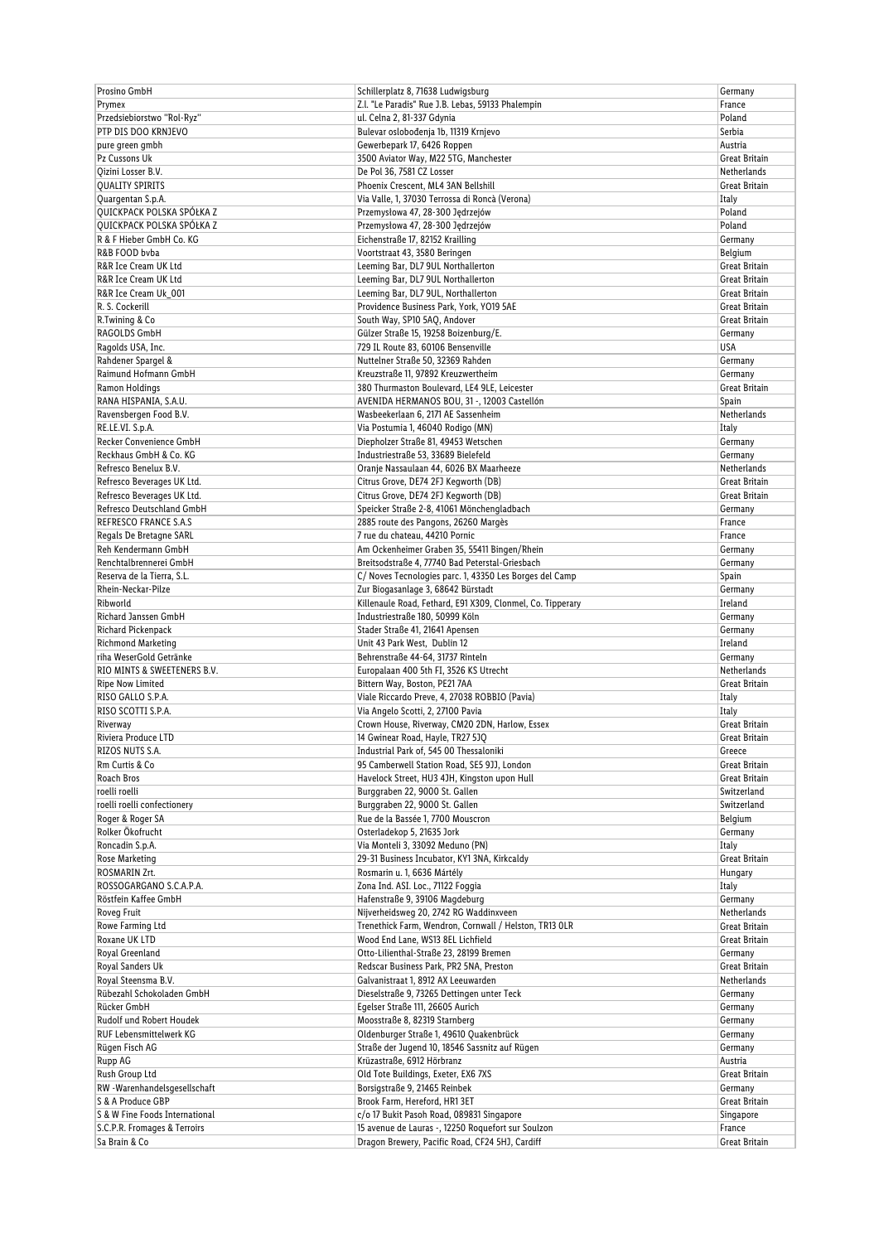| Prosino GmbH                   | Schillerplatz 8, 71638 Ludwigsburg                         | Germany              |
|--------------------------------|------------------------------------------------------------|----------------------|
| Prymex                         | Z.I. "Le Paradis" Rue J.B. Lebas, 59133 Phalempin          | France               |
| Przedsiebiorstwo "Rol-Ryz"     | ul. Celna 2, 81-337 Gdynia                                 | Poland               |
| PTP DIS DOO KRNJEVO            | Bulevar oslobođenja 1b, 11319 Krnjevo                      | Serbia               |
| pure green gmbh                | Gewerbepark 17, 6426 Roppen                                | Austria              |
| Pz Cussons Uk                  | 3500 Aviator Way, M22 5TG, Manchester                      | Great Britain        |
| Qizini Losser B.V.             | De Pol 36, 7581 CZ Losser                                  | Netherlands          |
| <b>QUALITY SPIRITS</b>         | Phoenix Crescent, ML4 3AN Bellshill                        | Great Britain        |
| Quargentan S.p.A.              | Via Valle, 1, 37030 Terrossa di Roncà (Verona)             | Italy                |
| QUICKPACK POLSKA SPÓŁKA Z      | Przemysłowa 47, 28-300 Jędrzejów                           | Poland               |
| QUICKPACK POLSKA SPÓŁKA Z      | Przemysłowa 47, 28-300 Jędrzejów                           | Poland               |
| R & F Hieber GmbH Co. KG       | Eichenstraße 17, 82152 Krailling                           | Germany              |
| R&B FOOD byba                  | Voortstraat 43, 3580 Beringen                              | Belgium              |
| R&R Ice Cream UK Ltd           | Leeming Bar, DL7 9UL Northallerton                         | Great Britain        |
|                                |                                                            |                      |
| R&R Ice Cream UK Ltd           | Leeming Bar, DL7 9UL Northallerton                         | Great Britain        |
| R&R Ice Cream Uk_001           | Leeming Bar, DL7 9UL, Northallerton                        | Great Britain        |
| R. S. Cockerill                | Providence Business Park, York, YO19 5AE                   | Great Britain        |
| R.Twining & Co                 | South Way, SP10 5AQ, Andover                               | Great Britain        |
| RAGOLDS GmbH                   | Gülzer Straße 15, 19258 Boizenburg/E.                      | Germany              |
| Ragolds USA, Inc.              | 729 IL Route 83, 60106 Bensenville                         | USA                  |
| Rahdener Spargel &             | Nuttelner Straße 50, 32369 Rahden                          | Germany              |
| Raimund Hofmann GmbH           | Kreuzstraße 11, 97892 Kreuzwertheim                        | Germany              |
| Ramon Holdings                 | 380 Thurmaston Boulevard, LE4 9LE, Leicester               | Great Britain        |
| RANA HISPANIA, S.A.U.          | AVENIDA HERMANOS BOU, 31 -, 12003 Castellón                | Spain                |
| Ravensbergen Food B.V.         | Wasbeekerlaan 6, 2171 AE Sassenheim                        | <b>Netherlands</b>   |
| RE.LE.VI. S.p.A.               | Via Postumia 1, 46040 Rodigo (MN)                          | Italy                |
| Recker Convenience GmbH        | Diepholzer Straße 81, 49453 Wetschen                       | Germany              |
| Reckhaus GmbH & Co. KG         | Industriestraße 53, 33689 Bielefeld                        | Germany              |
| Refresco Benelux B.V.          | Oranje Nassaulaan 44, 6026 BX Maarheeze                    | Netherlands          |
| Refresco Beverages UK Ltd.     | Citrus Grove, DE74 2FJ Keqworth (DB)                       | Great Britain        |
| Refresco Beverages UK Ltd.     | Citrus Grove, DE74 2FJ Kegworth (DB)                       | Great Britain        |
| Refresco Deutschland GmbH      | Speicker Straße 2-8, 41061 Mönchengladbach                 | Germany              |
| REFRESCO FRANCE S.A.S          |                                                            | France               |
|                                | 2885 route des Pangons, 26260 Margès                       |                      |
| Regals De Bretagne SARL        | 7 rue du chateau, 44210 Pornic                             | France               |
| Reh Kendermann GmbH            | Am Ockenheimer Graben 35, 55411 Bingen/Rhein               | Germany              |
| Renchtalbrennerei GmbH         | Breitsodstraße 4, 77740 Bad Peterstal-Griesbach            | Germany              |
| Reserva de la Tierra, S.L.     | C/ Noves Tecnologies parc. 1, 43350 Les Borges del Camp    | Spain                |
| Rhein-Neckar-Pilze             | Zur Biogasanlage 3, 68642 Bürstadt                         | Germany              |
| Ribworld                       | Killenaule Road, Fethard, E91 X309, Clonmel, Co. Tipperary | Ireland              |
| Richard Janssen GmbH           | Industriestraße 180, 50999 Köln                            | Germany              |
| Richard Pickenpack             | Stader Straße 41, 21641 Apensen                            | Germany              |
| <b>Richmond Marketing</b>      | Unit 43 Park West, Dublin 12                               | Ireland              |
| riha WeserGold Getränke        | Behrenstraße 44-64, 31737 Rinteln                          | Germany              |
| RIO MINTS & SWEETENERS B.V.    | Europalaan 400 5th FI, 3526 KS Utrecht                     | Netherlands          |
| Ripe Now Limited               | Bittern Way, Boston, PE21 7AA                              | Great Britain        |
| RISO GALLO S.P.A.              | Viale Riccardo Preve, 4, 27038 ROBBIO (Pavia)              | Italy                |
| RISO SCOTTI S.P.A.             | Via Angelo Scotti, 2, 27100 Pavia                          | Italy                |
| Riverway                       | Crown House, Riverway, CM20 2DN, Harlow, Essex             | <b>Great Britain</b> |
| Riviera Produce LTD            | 14 Gwinear Road, Hayle, TR27 5JQ                           | Great Britain        |
| RIZOS NUTS S.A.                | Industrial Park of, 545 00 Thessaloniki                    | Greece               |
| Rm Curtis & Co                 | 95 Camberwell Station Road, SE5 9JJ, London                | Great Britain        |
| Roach Bros                     | Havelock Street, HU3 4JH, Kingston upon Hull               | Great Britain        |
|                                | Burggraben 22, 9000 St. Gallen                             |                      |
| roelli roelli                  |                                                            | Switzerland          |
| roelli roelli confectionery    | Burggraben 22, 9000 St. Gallen                             | Switzerland          |
| Roger & Roger SA               | Rue de la Bassée 1, 7700 Mouscron                          | Belgium              |
| Rolker Ökofrucht               | Osterladekop 5, 21635 Jork                                 | Germany              |
| Roncadin S.p.A.                | Via Monteli 3, 33092 Meduno (PN)                           | Italy                |
| Rose Marketing                 | 29-31 Business Incubator, KY1 3NA, Kirkcaldy               | Great Britain        |
| ROSMARIN Zrt.                  | Rosmarin u. 1, 6636 Mártély                                | Hungary              |
| ROSSOGARGANO S.C.A.P.A.        | Zona Ind. ASI. Loc., 71122 Foggia                          | Italy                |
| Röstfein Kaffee GmbH           | Hafenstraße 9, 39106 Magdeburg                             | Germany              |
| Roveg Fruit                    | Nijverheidsweg 20, 2742 RG Waddinxveen                     | Netherlands          |
| Rowe Farming Ltd               | Trenethick Farm, Wendron, Cornwall / Helston, TR13 OLR     | Great Britain        |
| Roxane UK LTD                  | Wood End Lane, WS13 8EL Lichfield                          | Great Britain        |
| Royal Greenland                | Otto-Lilienthal-Straße 23, 28199 Bremen                    | Germany              |
| Royal Sanders Uk               | Redscar Business Park, PR2 5NA, Preston                    | Great Britain        |
| Royal Steensma B.V.            | Galvanistraat 1, 8912 AX Leeuwarden                        | Netherlands          |
| Rübezahl Schokoladen GmbH      | Dieselstraße 9, 73265 Dettingen unter Teck                 | Germany              |
| Rücker GmbH                    | Egelser Straße 111, 26605 Aurich                           | Germany              |
| Rudolf und Robert Houdek       | Moosstraße 8, 82319 Starnberg                              | Germany              |
| RUF Lebensmittelwerk KG        | Oldenburger Straße 1, 49610 Quakenbrück                    | Germany              |
| Rügen Fisch AG                 | Straße der Jugend 10, 18546 Sassnitz auf Rügen             | Germany              |
| Rupp AG                        | Krüzastraße, 6912 Hörbranz                                 | Austria              |
| Rush Group Ltd                 | Old Tote Buildings, Exeter, EX6 7XS                        | Great Britain        |
| RW -Warenhandelsgesellschaft   | Borsigstraße 9, 21465 Reinbek                              | Germany              |
| S & A Produce GBP              | Brook Farm, Hereford, HR1 3ET                              | Great Britain        |
| S & W Fine Foods International | c/o 17 Bukit Pasoh Road, 089831 Singapore                  |                      |
|                                |                                                            | Singapore            |
| S.C.P.R. Fromages & Terroirs   | 15 avenue de Lauras -, 12250 Roquefort sur Soulzon         | France               |
| Sa Brain & Co                  | Dragon Brewery, Pacific Road, CF24 5HJ, Cardiff            | Great Britain        |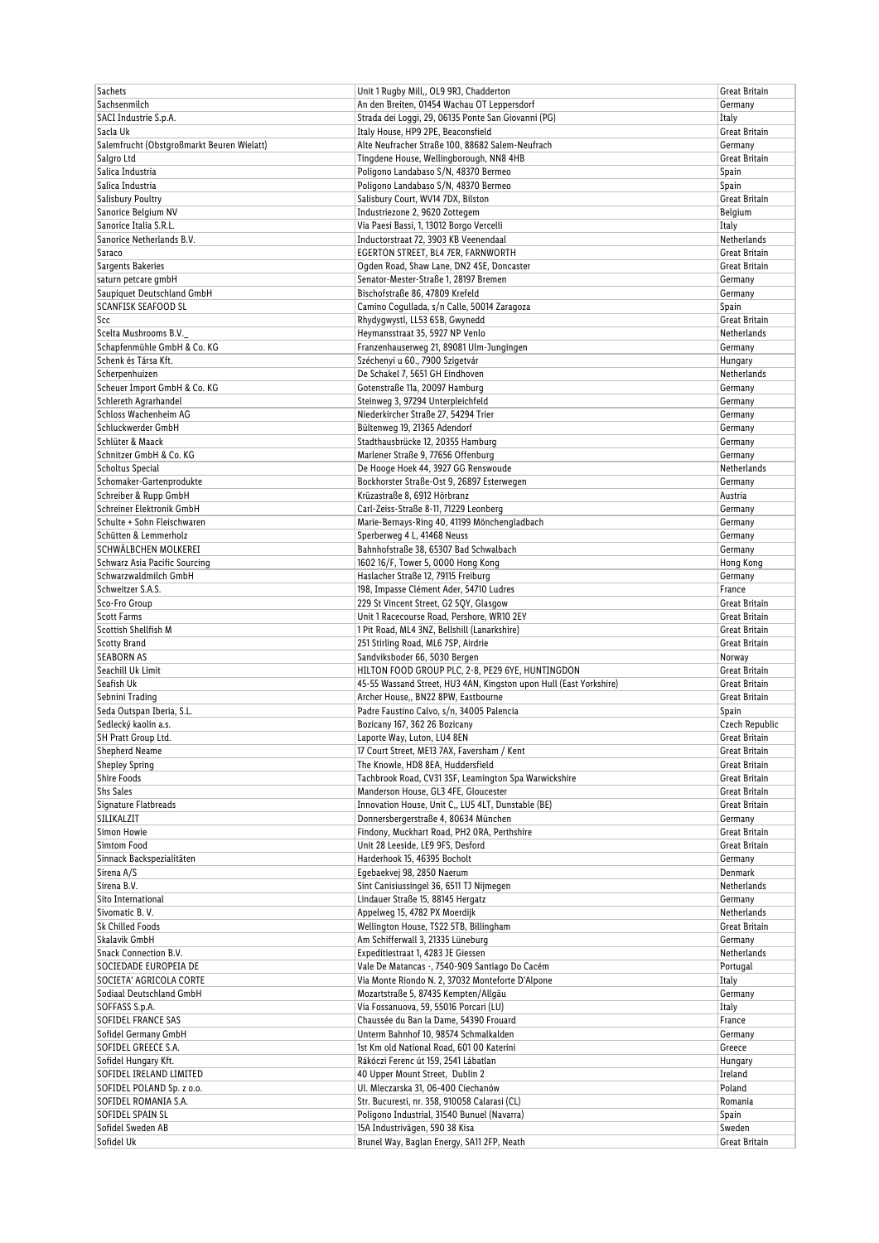| <b>Sachets</b>                             | Unit 1 Rugby Mill,, OL9 9RJ, Chadderton                            | Great Britain  |
|--------------------------------------------|--------------------------------------------------------------------|----------------|
| Sachsenmilch                               | An den Breiten, 01454 Wachau OT Leppersdorf                        | Germany        |
| SACI Industrie S.p.A.                      | Strada dei Loggi, 29, 06135 Ponte San Giovanni (PG)                | Italy          |
| Sacla Uk                                   | Italy House, HP9 2PE, Beaconsfield                                 | Great Britain  |
| Salemfrucht (Obstgroßmarkt Beuren Wielatt) | Alte Neufracher Straße 100, 88682 Salem-Neufrach                   | Germany        |
| Salgro Ltd                                 | Tingdene House, Wellingborough, NN8 4HB                            | Great Britain  |
|                                            |                                                                    |                |
| Salica Industria                           | Poligono Landabaso S/N, 48370 Bermeo                               | Spain          |
| Salica Industria                           | Poligono Landabaso S/N, 48370 Bermeo                               | Spain          |
| <b>Salisbury Poultry</b>                   | Salisbury Court, WV14 7DX, Bilston                                 | Great Britain  |
| Sanorice Belgium NV                        | Industriezone 2, 9620 Zottegem                                     | Belgium        |
| Sanorice Italia S.R.L.                     | Via Paesi Bassi, 1, 13012 Borgo Vercelli                           | Italy          |
| Sanorice Netherlands B.V.                  | Inductorstraat 72, 3903 KB Veenendaal                              | Netherlands    |
| Saraco                                     | EGERTON STREET, BL4 7ER, FARNWORTH                                 | Great Britain  |
| Sargents Bakeries                          | Ogden Road, Shaw Lane, DN2 4SE, Doncaster                          | Great Britain  |
| saturn petcare gmbH                        | Senator-Mester-Straße 1, 28197 Bremen                              | Germany        |
|                                            |                                                                    |                |
| Saupiquet Deutschland GmbH                 | Bischofstraße 86, 47809 Krefeld                                    | Germany        |
| <b>SCANFISK SEAFOOD SL</b>                 | Camino Cogullada, s/n Calle, 50014 Zaragoza                        | Spain          |
| Scc                                        | Rhydygwystl, LL53 6SB, Gwynedd                                     | Great Britain  |
| Scelta Mushrooms B.V.                      | Heymansstraat 35, 5927 NP Venlo                                    | Netherlands    |
| Schapfenmühle GmbH & Co. KG                | Franzenhauserweg 21, 89081 Ulm-Jungingen                           | Germany        |
| Schenk és Társa Kft.                       | Széchenyi u 60., 7900 Szigetvár                                    | Hungary        |
| Scherpenhuizen                             | De Schakel 7, 5651 GH Eindhoven                                    | Netherlands    |
| Scheuer Import GmbH & Co. KG               | Gotenstraße 11a, 20097 Hamburg                                     | Germany        |
| Schlereth Agrarhandel                      | Steinweg 3, 97294 Unterpleichfeld                                  | Germany        |
|                                            |                                                                    |                |
| Schloss Wachenheim AG                      | Niederkircher Straße 27, 54294 Trier                               | Germany        |
| Schluckwerder GmbH                         | Bültenweg 19, 21365 Adendorf                                       | Germany        |
| Schlüter & Maack                           | Stadthausbrücke 12, 20355 Hamburg                                  | Germany        |
| Schnitzer GmbH & Co. KG                    | Marlener Straße 9, 77656 Offenburg                                 | Germany        |
| Scholtus Special                           | De Hooge Hoek 44, 3927 GG Renswoude                                | Netherlands    |
| Schomaker-Gartenprodukte                   | Bockhorster Straße-Ost 9, 26897 Esterwegen                         | Germany        |
| Schreiber & Rupp GmbH                      | Krüzastraße 8, 6912 Hörbranz                                       | Austria        |
| Schreiner Elektronik GmbH                  | Carl-Zeiss-Straße 8-11, 71229 Leonberg                             | Germany        |
| Schulte + Sohn Fleischwaren                |                                                                    |                |
|                                            | Marie-Bernays-Ring 40, 41199 Mönchengladbach                       | Germany        |
| Schütten & Lemmerholz                      | Sperberweg 4 L, 41468 Neuss                                        | Germany        |
| SCHWÄLBCHEN MOLKEREI                       | Bahnhofstraße 38, 65307 Bad Schwalbach                             | Germany        |
| Schwarz Asia Pacific Sourcing              | 1602 16/F, Tower 5, 0000 Hong Kong                                 | Hong Kong      |
| Schwarzwaldmilch GmbH                      | Haslacher Straße 12, 79115 Freiburg                                | Germany        |
| Schweitzer S.A.S.                          | 198, Impasse Clément Ader, 54710 Ludres                            | France         |
| Sco-Fro Group                              | 229 St Vincent Street, G2 5QY, Glasgow                             | Great Britain  |
| <b>Scott Farms</b>                         | Unit 1 Racecourse Road, Pershore, WR10 2EY                         | Great Britain  |
| Scottish Shellfish M                       | 1 Pit Road, ML4 3NZ, Bellshill (Lanarkshire)                       | Great Britain  |
|                                            |                                                                    |                |
| <b>Scotty Brand</b>                        | 251 Stirling Road, ML6 7SP, Airdrie                                | Great Britain  |
| <b>SEABORN AS</b>                          | Sandviksboder 66, 5030 Bergen                                      | Norway         |
| Seachill Uk Limit                          | HILTON FOOD GROUP PLC, 2-8, PE29 6YE, HUNTINGDON                   | Great Britain  |
| Seafish Uk                                 | 45-55 Wassand Street, HU3 4AN, Kingston upon Hull (East Yorkshire) | Great Britain  |
| Sebnini Trading                            | Archer House,, BN22 8PW, Eastbourne                                | Great Britain  |
| Seda Outspan Iberia, S.L.                  | Padre Faustino Calvo, s/n, 34005 Palencia                          | Spain          |
| Sedlecký kaolin a.s.                       | Bozicany 167, 362 26 Bozicany                                      | Czech Republic |
| SH Pratt Group Ltd.                        | Laporte Way, Luton, LU4 8EN                                        | Great Britain  |
| Shepherd Neame                             | 17 Court Street, ME13 7AX, Faversham / Kent                        | Great Britain  |
|                                            |                                                                    |                |
| <b>Shepley Spring</b>                      | The Knowle, HD8 8EA, Huddersfield                                  | Great Britain  |
| Shire Foods                                | Tachbrook Road, CV31 3SF, Leamington Spa Warwickshire              | Great Britain  |
| <b>Shs Sales</b>                           | Manderson House, GL3 4FE, Gloucester                               | Great Britain  |
| Signature Flatbreads                       | Innovation House, Unit C,, LU5 4LT, Dunstable (BE)                 | Great Britain  |
| SILIKALZIT                                 | Donnersbergerstraße 4, 80634 München                               | Germany        |
| Simon Howie                                | Findony, Muckhart Road, PH2 ORA, Perthshire                        | Great Britain  |
| Simtom Food                                | Unit 28 Leeside, LE9 9FS, Desford                                  | Great Britain  |
| Sinnack Backspezialitäten                  | Harderhook 15, 46395 Bocholt                                       | Germany        |
| Sirena A/S                                 | Eqebaekvej 98, 2850 Naerum                                         | Denmark        |
| Sirena B.V.                                | Sint Canisiussingel 36, 6511 TJ Nijmegen                           | Netherlands    |
|                                            |                                                                    |                |
| Sito International                         | Lindauer Straße 15, 88145 Hergatz                                  | Germany        |
| Sivomatic B.V.                             | Appelweg 15, 4782 PX Moerdijk                                      | Netherlands    |
| <b>Sk Chilled Foods</b>                    | Wellington House, TS22 5TB, Billingham                             | Great Britain  |
| Skalavik GmbH                              | Am Schifferwall 3, 21335 Lüneburg                                  | Germany        |
| Snack Connection B.V.                      | Expeditiestraat 1, 4283 JE Giessen                                 | Netherlands    |
| SOCIEDADE EUROPEIA DE                      | Vale De Matancas -, 7540-909 Santiago Do Cacém                     | Portugal       |
| SOCIETA' AGRICOLA CORTE                    | Via Monte Riondo N. 2, 37032 Monteforte D'Alpone                   | Italy          |
| Sodiaal Deutschland GmbH                   | Mozartstraße 5, 87435 Kempten/Allgäu                               | Germany        |
| SOFFASS S.p.A.                             | Via Fossanuova, 59, 55016 Porcari (LU)                             | Italy          |
|                                            |                                                                    |                |
| SOFIDEL FRANCE SAS                         | Chaussée du Ban la Dame, 54390 Frouard                             | France         |
| Sofidel Germany GmbH                       | Unterm Bahnhof 10, 98574 Schmalkalden                              | Germany        |
| SOFIDEL GREECE S.A.                        | 1st Km old National Road, 601 00 Katerini                          | Greece         |
| Sofidel Hungary Kft.                       | Rákóczi Ferenc út 159, 2541 Lábatlan                               | Hungary        |
| SOFIDEL IRELAND LIMITED                    | 40 Upper Mount Street, Dublin 2                                    | Ireland        |
| SOFIDEL POLAND Sp. z o.o.                  | Ul. Mleczarska 31, 06-400 Ciechanów                                | Poland         |
| SOFIDEL ROMANIA S.A.                       | Str. Bucuresti, nr. 358, 910058 Calarasi (CL)                      | Romania        |
| SOFIDEL SPAIN SL                           | Poligono Industrial, 31540 Bunuel (Navarra)                        | Spain          |
| Sofidel Sweden AB                          | 15A Industrivägen, 590 38 Kisa                                     | Sweden         |
| Sofidel Uk                                 | Brunel Way, Baglan Energy, SA11 2FP, Neath                         |                |
|                                            |                                                                    | Great Britain  |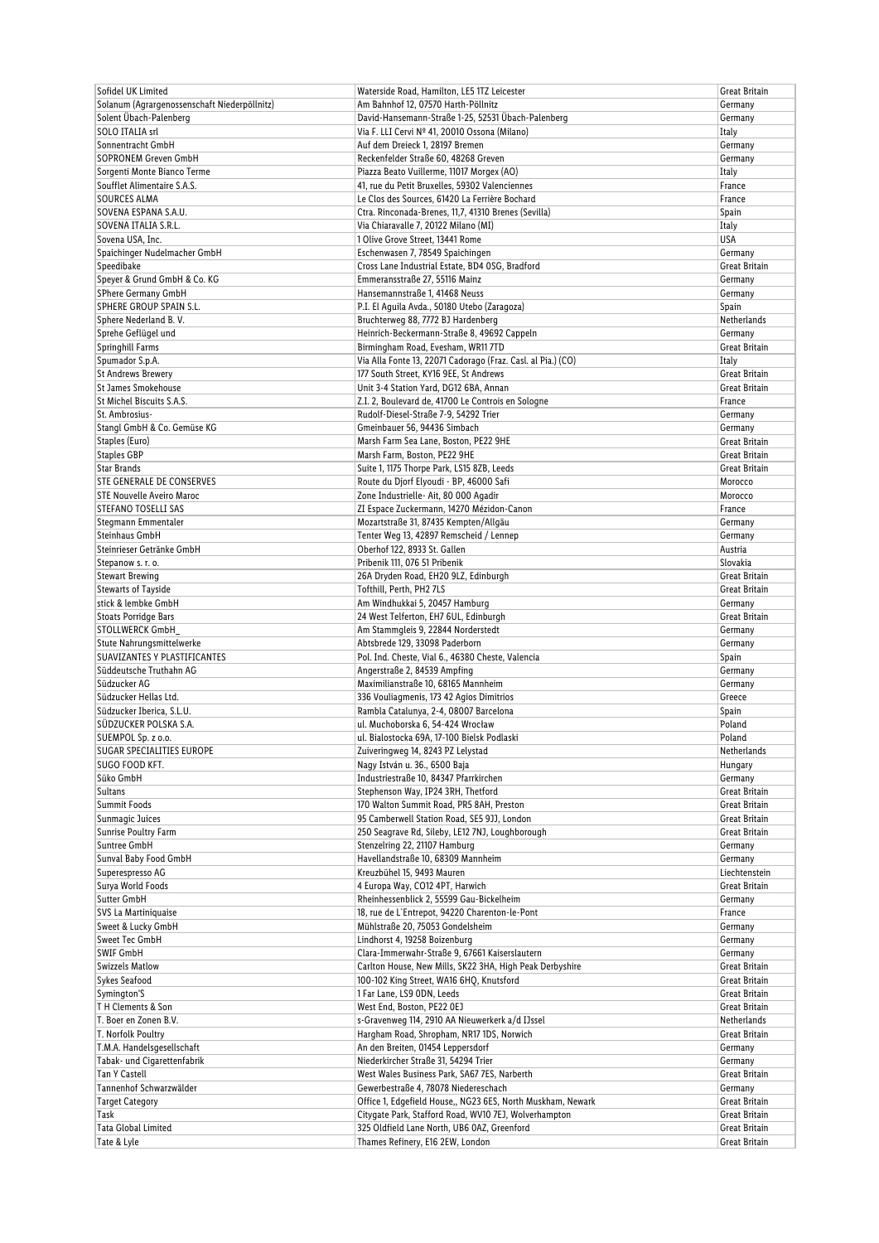|                                              | Waterside Road, Hamilton, LE5 1TZ Leicester                  | Great Britain        |
|----------------------------------------------|--------------------------------------------------------------|----------------------|
| Solanum (Agrargenossenschaft Niederpöllnitz) | Am Bahnhof 12, 07570 Harth-Pöllnitz                          | Germany              |
| Solent Übach-Palenberg                       | David-Hansemann-Straße 1-25, 52531 Übach-Palenberg           | Germany              |
| <b>SOLO ITALIA srl</b>                       | Via F. LLI Cervi Nº 41, 20010 Ossona (Milano)                | Italy                |
| Sonnentracht GmbH                            | Auf dem Dreieck 1, 28197 Bremen                              | Germany              |
| SOPRONEM Greven GmbH                         | Reckenfelder Straße 60, 48268 Greven                         |                      |
|                                              |                                                              | Germany              |
| Sorgenti Monte Bianco Terme                  | Piazza Beato Vuillerme, 11017 Morgex (AO)                    | Italy                |
| Soufflet Alimentaire S.A.S.                  | 41, rue du Petit Bruxelles, 59302 Valenciennes               | France               |
| <b>SOURCES ALMA</b>                          | Le Clos des Sources, 61420 La Ferrière Bochard               | France               |
| SOVENA ESPANA S.A.U.                         | Ctra. Rinconada-Brenes, 11,7, 41310 Brenes (Sevilla)         | Spain                |
| SOVENA ITALIA S.R.L.                         | Via Chiaravalle 7, 20122 Milano (MI)                         | Italy                |
| Sovena USA, Inc.                             | 1 Olive Grove Street, 13441 Rome                             | <b>USA</b>           |
| Spaichinger Nudelmacher GmbH                 | Eschenwasen 7, 78549 Spaichingen                             | Germany              |
| Speedibake                                   | Cross Lane Industrial Estate, BD4 0SG, Bradford              | Great Britain        |
| Speyer & Grund GmbH & Co. KG                 |                                                              |                      |
|                                              | Emmeransstraße 27, 55116 Mainz                               | Germany              |
| SPhere Germany GmbH                          | Hansemannstraße 1, 41468 Neuss                               | Germany              |
| SPHERE GROUP SPAIN S.L.                      | P.I. El Aguila Avda., 50180 Utebo (Zaragoza)                 | Spain                |
| Sphere Nederland B.V.                        | Bruchterweg 88, 7772 BJ Hardenberg                           | Netherlands          |
| Sprehe Geflügel und                          | Heinrich-Beckermann-Straße 8, 49692 Cappeln                  | Germany              |
| Springhill Farms                             | Birmingham Road, Evesham, WR11 7TD                           | Great Britain        |
| Spumador S.p.A.                              | Via Alla Fonte 13, 22071 Cadorago (Fraz. Casl. al Pia.) (CO) | Italy                |
| <b>St Andrews Brewery</b>                    | 177 South Street, KY16 9EE, St Andrews                       | Great Britain        |
| <b>St James Smokehouse</b>                   | Unit 3-4 Station Yard, DG12 6BA, Annan                       | <b>Great Britain</b> |
|                                              |                                                              |                      |
| St Michel Biscuits S.A.S.                    | Z.I. 2, Boulevard de, 41700 Le Controis en Sologne           | France               |
| St. Ambrosius-                               | Rudolf-Diesel-Straße 7-9, 54292 Trier                        | Germany              |
| Stangl GmbH & Co. Gemüse KG                  | Gmeinbauer 56, 94436 Simbach                                 | Germany              |
| Staples (Euro)                               | Marsh Farm Sea Lane, Boston, PE22 9HE                        | Great Britain        |
| <b>Staples GBP</b>                           | Marsh Farm, Boston, PE22 9HE                                 | Great Britain        |
| <b>Star Brands</b>                           | Suite 1, 1175 Thorpe Park, LS15 8ZB, Leeds                   | Great Britain        |
| <b>STE GENERALE DE CONSERVES</b>             | Route du Djorf Elyoudi - BP, 46000 Safi                      | Morocco              |
| <b>STE Nouvelle Aveiro Maroc</b>             | Zone Industrielle- Ait, 80 000 Agadir                        | Morocco              |
|                                              |                                                              |                      |
| <b>STEFANO TOSELLI SAS</b>                   | ZI Espace Zuckermann, 14270 Mézidon-Canon                    | France               |
| Stegmann Emmentaler                          | Mozartstraße 31, 87435 Kempten/Allgäu                        | Germany              |
| Steinhaus GmbH                               | Tenter Weg 13, 42897 Remscheid / Lennep                      | Germany              |
| Steinrieser Getränke GmbH                    | Oberhof 122, 8933 St. Gallen                                 | Austria              |
| Stepanow s. r. o.                            | Pribenik 111, 076 51 Pribenik                                | Slovakia             |
| <b>Stewart Brewing</b>                       | 26A Dryden Road, EH20 9LZ, Edinburgh                         | Great Britain        |
| <b>Stewarts of Tayside</b>                   | Tofthill, Perth, PH2 7LS                                     | Great Britain        |
| stick & lembke GmbH                          |                                                              |                      |
|                                              | Am Windhukkai 5, 20457 Hamburg                               | Germany              |
| Stoats Porridge Bars                         | 24 West Telferton, EH7 6UL, Edinburgh                        | Great Britain        |
| STOLLWERCK GmbH                              | Am Stammgleis 9, 22844 Norderstedt                           | Germany              |
| Stute Nahrungsmittelwerke                    | Abtsbrede 129, 33098 Paderborn                               | Germany              |
| SUAVIZANTES Y PLASTIFICANTES                 | Pol. Ind. Cheste, Vial 6., 46380 Cheste, Valencia            | Spain                |
| Süddeutsche Truthahn AG                      | Angerstraße 2, 84539 Ampfing                                 | Germany              |
| Südzucker AG                                 | Maximilianstraße 10, 68165 Mannheim                          | Germany              |
| Südzucker Hellas Ltd.                        | 336 Vouliagmenis, 173 42 Agios Dimitrios                     | Greece               |
|                                              | Rambla Catalunya, 2-4, 08007 Barcelona                       | Spain                |
|                                              |                                                              |                      |
| Südzucker Iberica, S.L.U.                    |                                                              |                      |
| SÜDZUCKER POLSKA S.A.                        | ul. Muchoborska 6, 54-424 Wrocław                            | Poland               |
| SUEMPOL Sp. z o.o.                           | ul. Bialostocka 69A, 17-100 Bielsk Podlaski                  | Poland               |
| SUGAR SPECIALITIES EUROPE                    | Zuiveringweg 14, 8243 PZ Lelystad                            | Netherlands          |
| SUGO FOOD KFT.                               | Nagy István u. 36., 6500 Baja                                | Hungary              |
| Süko GmbH                                    | Industriestraße 10, 84347 Pfarrkirchen                       | Germany              |
| <b>Sultans</b>                               | Stephenson Way, IP24 3RH, Thetford                           | Great Britain        |
| <b>Summit Foods</b>                          |                                                              | Great Britain        |
|                                              | 170 Walton Summit Road, PR5 8AH, Preston                     |                      |
| Sunmagic Juices                              | 95 Camberwell Station Road, SE5 9JJ, London                  | Great Britain        |
| Sunrise Poultry Farm                         | 250 Seagrave Rd, Sileby, LE12 7NJ, Loughborough              | Great Britain        |
| Suntree GmbH                                 | Stenzelring 22, 21107 Hamburg                                | Germany              |
| Sunval Baby Food GmbH                        | Havellandstraße 10, 68309 Mannheim                           | Germany              |
| Superespresso AG                             | Kreuzbühel 15, 9493 Mauren                                   | Liechtenstein        |
| Surya World Foods                            | 4 Europa Way, CO12 4PT, Harwich                              | Great Britain        |
| Sutter GmbH                                  | Rheinhessenblick 2, 55599 Gau-Bickelheim                     | Germany              |
| SVS La Martiniquaise                         | 18, rue de L'Entrepot, 94220 Charenton-le-Pont               | France               |
| Sweet & Lucky GmbH                           | Mühlstraße 20, 75053 Gondelsheim                             | Germany              |
|                                              |                                                              |                      |
| Sweet Tec GmbH                               | Lindhorst 4, 19258 Boizenburg                                | Germany              |
| <b>SWIF GmbH</b>                             | Clara-Immerwahr-Straße 9, 67661 Kaiserslautern               | Germany              |
| <b>Swizzels Matlow</b>                       | Carlton House, New Mills, SK22 3HA, High Peak Derbyshire     | Great Britain        |
| <b>Sykes Seafood</b>                         | 100-102 King Street, WA16 6HQ, Knutsford                     | Great Britain        |
| Symington'S                                  | 1 Far Lane, LS9 ODN, Leeds                                   | Great Britain        |
| TH Clements & Son                            | West End, Boston, PE22 OEJ                                   | Great Britain        |
| T. Boer en Zonen B.V.                        | s-Gravenweg 114, 2910 AA Nieuwerkerk a/d IJssel              | Netherlands          |
| T. Norfolk Poultry                           | Hargham Road, Shropham, NR17 1DS, Norwich                    | Great Britain        |
|                                              |                                                              |                      |
| T.M.A. Handelsgesellschaft                   | An den Breiten, 01454 Leppersdorf                            | Germany              |
| Tabak- und Cigarettenfabrik                  | Niederkircher Straße 31, 54294 Trier                         | Germany              |
| <b>Tan Y Castell</b>                         | West Wales Business Park, SA67 7ES, Narberth                 | Great Britain        |
| Tannenhof Schwarzwälder                      | Gewerbestraße 4, 78078 Niedereschach                         | Germany              |
| <b>Target Category</b>                       | Office 1, Edgefield House,, NG23 6ES, North Muskham, Newark  | Great Britain        |
| Task                                         | Citygate Park, Stafford Road, WV10 7EJ, Wolverhampton        | Great Britain        |
| <b>Tata Global Limited</b>                   | 325 Oldfield Lane North, UB6 0AZ, Greenford                  | Great Britain        |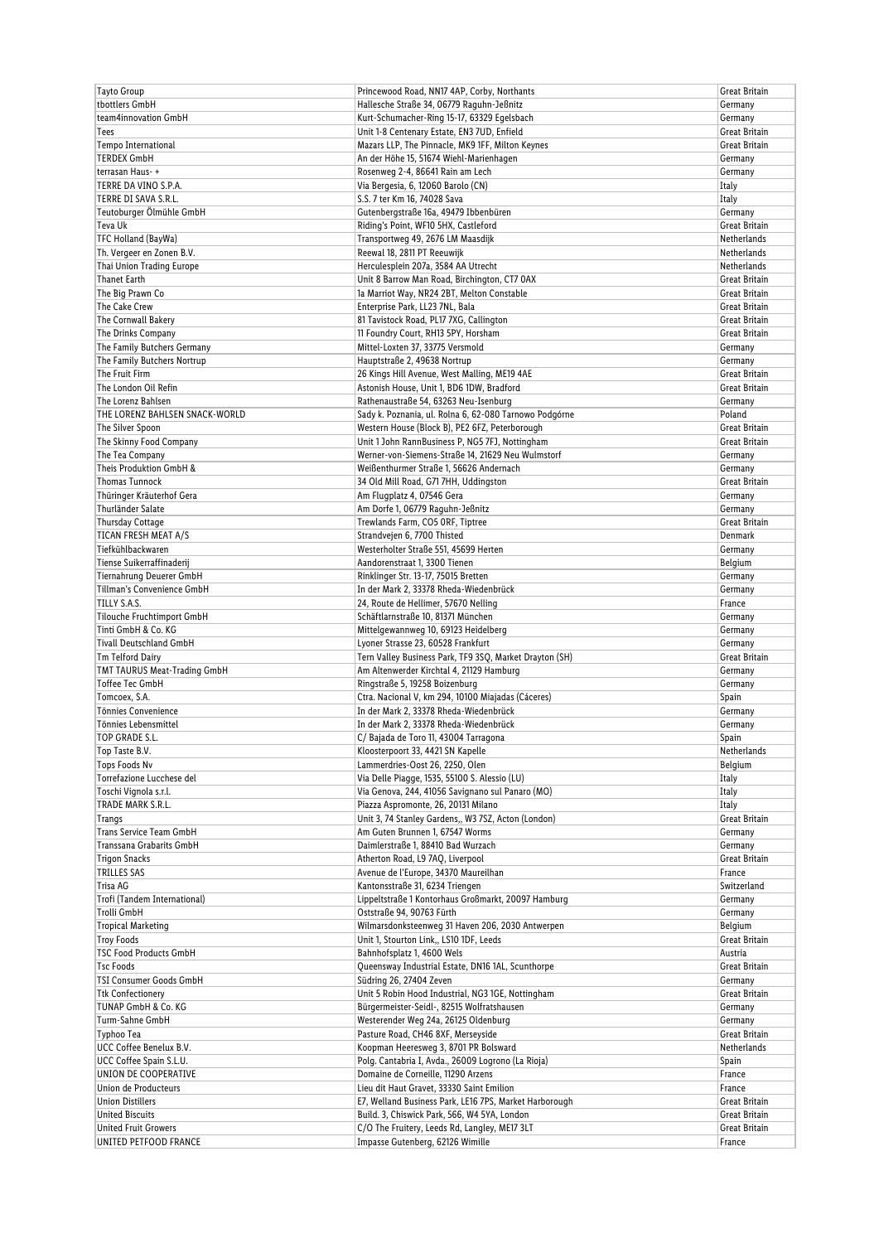| Tayto Group                                          | Princewood Road, NN17 4AP, Corby, Northants                                                 | Great Britain              |
|------------------------------------------------------|---------------------------------------------------------------------------------------------|----------------------------|
| tbottlers GmbH                                       | Hallesche Straße 34, 06779 Raguhn-Jeßnitz                                                   | Germany                    |
| team4innovation GmbH                                 | Kurt-Schumacher-Ring 15-17, 63329 Egelsbach                                                 | Germany                    |
| Tees                                                 | Unit 1-8 Centenary Estate, EN3 7UD, Enfield                                                 | Great Britain              |
| Tempo International                                  | Mazars LLP, The Pinnacle, MK9 1FF, Milton Keynes                                            | Great Britain              |
| <b>TERDEX GmbH</b>                                   | An der Höhe 15, 51674 Wiehl-Marienhagen                                                     | Germany                    |
| terrasan Haus-+                                      | Rosenweg 2-4, 86641 Rain am Lech                                                            | Germany                    |
| TERRE DA VINO S.P.A.                                 | Via Bergesia, 6, 12060 Barolo (CN)                                                          | Italy                      |
| TERRE DI SAVA S.R.L.                                 | S.S. 7 ter Km 16, 74028 Sava                                                                | Italy                      |
| Teutoburger Ölmühle GmbH                             | Gutenbergstraße 16a, 49479 Ibbenbüren                                                       | Germany                    |
| Teva Uk                                              | Riding's Point, WF10 5HX, Castleford                                                        | Great Britain              |
| TFC Holland (BayWa)                                  | Transportweg 49, 2676 LM Maasdijk                                                           | Netherlands                |
| Th. Vergeer en Zonen B.V.                            | Reewal 18, 2811 PT Reeuwijk                                                                 |                            |
| Thai Union Trading Europe                            |                                                                                             | Netherlands<br>Netherlands |
|                                                      | Herculesplein 207a, 3584 AA Utrecht                                                         |                            |
| <b>Thanet Earth</b>                                  | Unit 8 Barrow Man Road, Birchington, CT7 0AX                                                | Great Britain              |
| The Big Prawn Co                                     | 1a Marriot Way, NR24 2BT, Melton Constable                                                  | Great Britain              |
| The Cake Crew                                        | Enterprise Park, LL23 7NL, Bala                                                             | Great Britain              |
| The Cornwall Bakery                                  | 81 Tavistock Road, PL17 7XG, Callington                                                     | Great Britain              |
| The Drinks Company                                   | 11 Foundry Court, RH13 5PY, Horsham                                                         | Great Britain              |
| The Family Butchers Germany                          | Mittel-Loxten 37, 33775 Versmold                                                            | Germany                    |
| The Family Butchers Nortrup                          | Hauptstraße 2, 49638 Nortrup                                                                | Germany                    |
| The Fruit Firm                                       | 26 Kings Hill Avenue, West Malling, ME19 4AE                                                | Great Britain              |
| The London Oil Refin                                 | Astonish House, Unit 1, BD6 1DW, Bradford                                                   | <b>Great Britain</b>       |
| The Lorenz Bahlsen                                   | Rathenaustraße 54, 63263 Neu-Isenburg                                                       | Germany                    |
| THE LORENZ BAHLSEN SNACK-WORLD                       | Sady k. Poznania, ul. Rolna 6, 62-080 Tarnowo Podgórne                                      | Poland                     |
| The Silver Spoon                                     | Western House (Block B), PE2 6FZ, Peterborough                                              | Great Britain              |
| The Skinny Food Company                              | Unit 1 John RannBusiness P, NG5 7FJ, Nottingham                                             | Great Britain              |
| The Tea Company                                      | Werner-von-Siemens-Straße 14, 21629 Neu Wulmstorf                                           | Germany                    |
| Theis Produktion GmbH &                              | Weißenthurmer Straße 1, 56626 Andernach                                                     | Germany                    |
| <b>Thomas Tunnock</b>                                | 34 Old Mill Road, G71 7HH, Uddingston                                                       | Great Britain              |
| Thüringer Kräuterhof Gera                            | Am Flugplatz 4, 07546 Gera                                                                  | Germany                    |
| Thurländer Salate                                    | Am Dorfe 1, 06779 Raguhn-Jeßnitz                                                            | Germany                    |
| <b>Thursday Cottage</b>                              | Trewlands Farm, CO5 ORF, Tiptree                                                            | Great Britain              |
| TICAN FRESH MEAT A/S                                 | Strandvejen 6, 7700 Thisted                                                                 | Denmark                    |
| Tiefkühlbackwaren                                    | Westerholter Straße 551, 45699 Herten                                                       | Germany                    |
| Tiense Suikerraffinaderij                            |                                                                                             |                            |
| Tiernahrung Deuerer GmbH                             | Aandorenstraat 1, 3300 Tienen                                                               | Belgium                    |
| Tillman's Convenience GmbH                           | Rinklinger Str. 13-17, 75015 Bretten                                                        | Germany                    |
|                                                      | In der Mark 2, 33378 Rheda-Wiedenbrück                                                      | Germany                    |
| TILLY S.A.S.                                         | 24, Route de Hellimer, 57670 Nelling                                                        | France                     |
|                                                      |                                                                                             |                            |
| Tilouche Fruchtimport GmbH                           | Schäftlarnstraße 10, 81371 München                                                          | Germany                    |
| Tinti GmbH & Co. KG                                  | Mittelgewannweg 10, 69123 Heidelberg                                                        | Germany                    |
| <b>Tivall Deutschland GmbH</b>                       | Lyoner Strasse 23, 60528 Frankfurt                                                          | Germany                    |
| Tm Telford Dairy                                     | Tern Valley Business Park, TF9 3SO, Market Drayton (SH)                                     | Great Britain              |
| TMT TAURUS Meat-Trading GmbH                         | Am Altenwerder Kirchtal 4, 21129 Hamburg                                                    | Germany                    |
| Toffee Tec GmbH                                      | Ringstraße 5, 19258 Boizenburg                                                              | Germany                    |
| Tomcoex, S.A.                                        | Ctra. Nacional V, km 294, 10100 Miajadas (Cáceres)                                          | Spain                      |
| Tönnies Convenience                                  | In der Mark 2, 33378 Rheda-Wiedenbrück                                                      | Germany                    |
| Tönnies Lebensmittel                                 | In der Mark 2, 33378 Rheda-Wiedenbrück                                                      | Germany                    |
| <b>TOP GRADE S.L.</b>                                | C/Bajada de Toro 11, 43004 Tarragona                                                        | Spain                      |
| Top Taste B.V.                                       | Kloosterpoort 33, 4421 SN Kapelle                                                           | Netherlands                |
| Tops Foods Nv                                        | Lammerdries-Oost 26, 2250, Olen                                                             | Belgium                    |
| Torrefazione Lucchese del                            | Via Delle Piagge, 1535, 55100 S. Alessio (LU)                                               | Italy                      |
| Toschi Vignola s.r.l.                                | Via Genova, 244, 41056 Savignano sul Panaro (MO)                                            | Italy                      |
| TRADE MARK S.R.L.                                    | Piazza Aspromonte, 26, 20131 Milano                                                         | Italy                      |
| Trangs                                               | Unit 3, 74 Stanley Gardens,, W3 7SZ, Acton (London)                                         | Great Britain              |
| Trans Service Team GmbH                              | Am Guten Brunnen 1, 67547 Worms                                                             | Germany                    |
| Transsana Grabarits GmbH                             | Daimlerstraße 1, 88410 Bad Wurzach                                                          | Germany                    |
| <b>Trigon Snacks</b>                                 | Atherton Road, L9 7AQ, Liverpool                                                            | Great Britain              |
| TRILLES SAS                                          | Avenue de l'Europe, 34370 Maureilhan                                                        | France                     |
| Trisa AG                                             | Kantonsstraße 31, 6234 Triengen                                                             | Switzerland                |
| Trofi (Tandem International)                         | Lippeltstraße 1 Kontorhaus Großmarkt, 20097 Hamburg                                         | Germany                    |
| Trolli GmbH                                          | Oststraße 94, 90763 Fürth                                                                   | Germany                    |
| <b>Tropical Marketing</b>                            |                                                                                             | Belgium                    |
| <b>Troy Foods</b>                                    | Wilmarsdonksteenweg 31 Haven 206, 2030 Antwerpen<br>Unit 1, Stourton Link,, LS10 1DF, Leeds | Great Britain              |
| <b>TSC Food Products GmbH</b>                        | Bahnhofsplatz 1, 4600 Wels                                                                  | Austria                    |
| <b>Tsc Foods</b>                                     |                                                                                             |                            |
|                                                      | Queensway Industrial Estate, DN16 1AL, Scunthorpe                                           | Great Britain              |
| <b>TSI Consumer Goods GmbH</b>                       | Südring 26, 27404 Zeven                                                                     | Germany                    |
| <b>Ttk Confectionery</b>                             | Unit 5 Robin Hood Industrial, NG3 1GE, Nottingham                                           | Great Britain              |
| TUNAP GmbH & Co. KG                                  | Bürgermeister-Seidl-, 82515 Wolfratshausen                                                  | Germany                    |
| Turm-Sahne GmbH                                      | Westerender Weg 24a, 26125 Oldenburg                                                        | Germany                    |
| Typhoo Tea                                           | Pasture Road, CH46 8XF, Merseyside                                                          | Great Britain              |
| UCC Coffee Benelux B.V.                              | Koopman Heeresweg 3, 8701 PR Bolsward                                                       | Netherlands                |
| UCC Coffee Spain S.L.U.                              | Polg. Cantabria I, Avda., 26009 Logrono (La Rioja)                                          | Spain                      |
| UNION DE COOPERATIVE                                 | Domaine de Corneille, 11290 Arzens                                                          | France                     |
| Union de Producteurs                                 | Lieu dit Haut Gravet, 33330 Saint Emilion                                                   | France                     |
| <b>Union Distillers</b>                              | E7, Welland Business Park, LE16 7PS, Market Harborough                                      | Great Britain              |
| <b>United Biscuits</b>                               | Build. 3, Chiswick Park, 566, W4 5YA, London                                                | Great Britain              |
| <b>United Fruit Growers</b><br>UNITED PETFOOD FRANCE | C/O The Fruitery, Leeds Rd, Langley, ME17 3LT<br>Impasse Gutenberg, 62126 Wimille           | Great Britain<br>France    |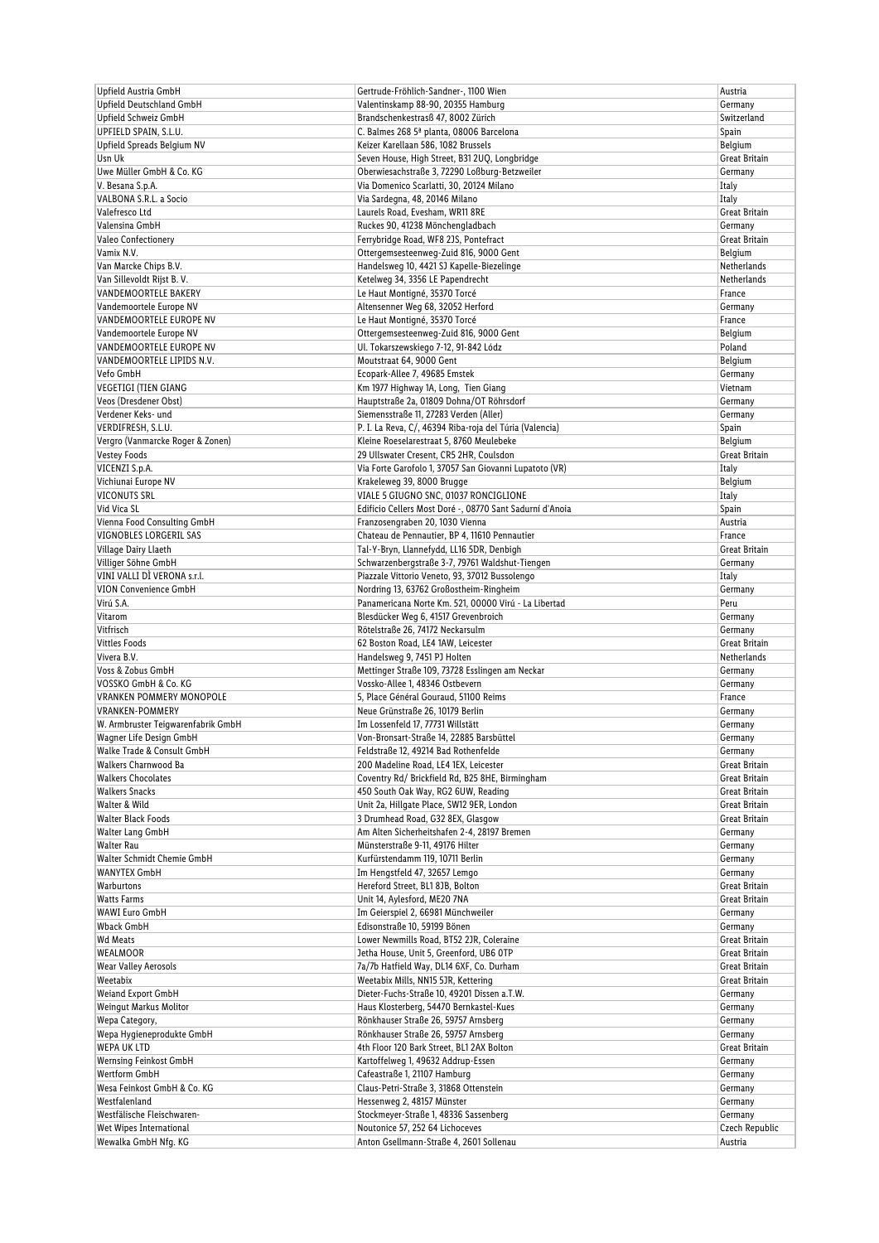| Upfield Austria GmbH                            | Gertrude-Fröhlich-Sandner-, 1100 Wien                                      | Austria                   |
|-------------------------------------------------|----------------------------------------------------------------------------|---------------------------|
| Upfield Deutschland GmbH                        | Valentinskamp 88-90, 20355 Hamburg                                         | Germany                   |
| Upfield Schweiz GmbH                            | Brandschenkestrasß 47, 8002 Zürich                                         | Switzerland               |
| UPFIELD SPAIN, S.L.U.                           | C. Balmes 268 5ª planta, 08006 Barcelona                                   | Spain                     |
| Upfield Spreads Belgium NV                      | Keizer Karellaan 586, 1082 Brussels                                        | Belgium                   |
| Usn Uk                                          | Seven House, High Street, B31 2UQ, Longbridge                              | Great Britain             |
| Uwe Müller GmbH & Co. KG                        | Oberwiesachstraße 3, 72290 Loßburg-Betzweiler                              | Germany                   |
| V. Besana S.p.A.                                | Via Domenico Scarlatti, 30, 20124 Milano                                   | Italy                     |
| VALBONA S.R.L. a Socio                          | Via Sardegna, 48, 20146 Milano                                             | Italy                     |
| Valefresco Ltd                                  | Laurels Road, Evesham, WR11 8RE                                            | Great Britain             |
| Valensina GmbH                                  | Ruckes 90, 41238 Mönchengladbach                                           | Germany                   |
| Valeo Confectionery                             | Ferrybridge Road, WF8 2JS, Pontefract                                      | Great Britain             |
| Vamix N.V.                                      | Ottergemsesteenweg-Zuid 816, 9000 Gent                                     | Belgium                   |
| Van Marcke Chips B.V.                           | Handelsweg 10, 4421 SJ Kapelle-Biezelinge                                  | Netherlands               |
| Van Sillevoldt Rijst B.V.                       | Ketelweg 34, 3356 LE Papendrecht                                           | <b>Netherlands</b>        |
| <b>VANDEMOORTELE BAKERY</b>                     | Le Haut Montigné, 35370 Torcé                                              | France                    |
| Vandemoortele Europe NV                         | Altensenner Weg 68, 32052 Herford                                          | Germany                   |
| VANDEMOORTELE EUROPE NV                         | Le Haut Montigné, 35370 Torcé                                              | France                    |
| Vandemoortele Europe NV                         | Ottergemsesteenweg-Zuid 816, 9000 Gent                                     | Belgium                   |
| VANDEMOORTELE EUROPE NV                         | Ul. Tokarszewskiego 7-12, 91-842 Lódz                                      | Poland                    |
| VANDEMOORTELE LIPIDS N.V.                       | Moutstraat 64, 9000 Gent                                                   | Belgium                   |
| Vefo GmbH                                       | Ecopark-Allee 7, 49685 Emstek                                              | Germany                   |
| <b>VEGETIGI (TIEN GIANG</b>                     | Km 1977 Highway 1A, Long, Tien Giang                                       | Vietnam                   |
| Veos (Dresdener Obst)                           | Hauptstraße 2a, 01809 Dohna/OT Röhrsdorf                                   | Germany                   |
| Verdener Keks- und                              | Siemensstraße 11, 27283 Verden (Aller)                                     | Germany                   |
| VERDIFRESH, S.L.U.                              | P. I. La Reva, C/, 46394 Riba-roja del Túria (Valencia)                    | Spain                     |
| Vergro (Vanmarcke Roger & Zonen)                | Kleine Roeselarestraat 5, 8760 Meulebeke                                   | Belgium                   |
| <b>Vestey Foods</b>                             | 29 Ullswater Cresent, CR5 2HR, Coulsdon                                    | Great Britain             |
| VICENZI S.p.A.                                  | Via Forte Garofolo 1, 37057 San Giovanni Lupatoto (VR)                     | Italy                     |
| Vichiunai Europe NV                             | Krakeleweg 39, 8000 Brugge                                                 | Belgium                   |
| <b>VICONUTS SRL</b>                             | VIALE 5 GIUGNO SNC, 01037 RONCIGLIONE                                      | Italy                     |
| Vid Vica SL                                     | Edificio Cellers Most Doré -, 08770 Sant Sadurní d'Anoia                   | Spain                     |
| Vienna Food Consulting GmbH                     | Franzosengraben 20, 1030 Vienna                                            | Austria                   |
| VIGNOBLES LORGERIL SAS                          | Chateau de Pennautier, BP 4, 11610 Pennautier                              | France                    |
| Village Dairy Llaeth                            | Tal-Y-Bryn, Llannefydd, LL16 5DR, Denbigh                                  | Great Britain             |
| Villiger Söhne GmbH                             | Schwarzenbergstraße 3-7, 79761 Waldshut-Tiengen                            | Germany                   |
| VINI VALLI DÌ VERONA s.r.l.                     | Piazzale Vittorio Veneto, 93, 37012 Bussolengo                             | Italy                     |
| VION Convenience GmbH                           | Nordring 13, 63762 Großostheim-Ringheim                                    | Germany                   |
| Virú S.A.                                       | Panamericana Norte Km. 521, 00000 Virú - La Libertad                       | Peru                      |
| Vitarom                                         | Blesdücker Weg 6, 41517 Grevenbroich                                       | Germany                   |
| Vitfrisch                                       | Rötelstraße 26, 74172 Neckarsulm                                           | Germany                   |
| <b>Vittles Foods</b>                            | 62 Boston Road, LE4 1AW, Leicester                                         | Great Britain             |
| Vivera B.V.                                     | Handelsweg 9, 7451 PJ Holten                                               | Netherlands               |
| Voss & Zobus GmbH                               | Mettinger Straße 109, 73728 Esslingen am Neckar                            | Germany                   |
| VOSSKO GmbH & Co. KG                            | Vossko-Allee 1, 48346 Ostbevern                                            | Germany                   |
| <b>VRANKEN POMMERY MONOPOLE</b>                 | 5, Place Général Gouraud, 51100 Reims                                      | France                    |
| <b>VRANKEN-POMMERY</b>                          | Neue Grünstraße 26, 10179 Berlin                                           | Germany                   |
| W. Armbruster Teigwarenfabrik GmbH              | Im Lossenfeld 17, 77731 Willstätt                                          | Germany                   |
| Wagner Life Design GmbH                         | Von-Bronsart-Straße 14, 22885 Barsbüttel                                   | Germany                   |
| Walke Trade & Consult GmbH                      | Feldstraße 12, 49214 Bad Rothenfelde                                       | Germany                   |
| Walkers Charnwood Ba                            | 200 Madeline Road, LE4 1EX, Leicester                                      | Great Britain             |
| <b>Walkers Chocolates</b>                       | Coventry Rd/ Brickfield Rd, B25 8HE, Birmingham                            | Great Britain             |
| <b>Walkers Snacks</b>                           | 450 South Oak Way, RG2 6UW, Reading                                        | Great Britain             |
| Walter & Wild                                   | Unit 2a, Hillgate Place, SW12 9ER, London                                  | Great Britain             |
| <b>Walter Black Foods</b>                       | 3 Drumhead Road, G32 8EX, Glasgow                                          |                           |
| Walter Lang GmbH                                | Am Alten Sicherheitshafen 2-4, 28197 Bremen                                | Great Britain<br>Germany  |
| <b>Walter Rau</b>                               | Münsterstraße 9-11, 49176 Hilter                                           |                           |
| Walter Schmidt Chemie GmbH                      | Kurfürstendamm 119, 10711 Berlin                                           | Germany<br>Germany        |
| <b>WANYTEX GmbH</b>                             | Im Hengstfeld 47, 32657 Lemgo                                              |                           |
| Warburtons                                      |                                                                            | Germany<br>Great Britain  |
| <b>Watts Farms</b>                              | Hereford Street, BL1 8JB, Bolton                                           |                           |
| <b>WAWI Euro GmbH</b>                           | Unit 14, Aylesford, ME20 7NA                                               | Great Britain             |
| <b>Wback GmbH</b>                               | Im Geierspiel 2, 66981 Münchweiler<br>Edisonstraße 10, 59199 Bönen         | Germany                   |
| <b>Wd Meats</b>                                 |                                                                            | Germany<br>Great Britain  |
|                                                 | Lower Newmills Road, BT52 2JR, Coleraine                                   |                           |
| WEALMOOR                                        | Jetha House, Unit 5, Greenford, UB6 OTP                                    | Great Britain             |
| Wear Valley Aerosols                            | 7a/7b Hatfield Way, DL14 6XF, Co. Durham                                   | Great Britain             |
| Weetabix                                        | Weetabix Mills, NN15 5JR, Kettering                                        | Great Britain             |
| Weiand Export GmbH                              | Dieter-Fuchs-Straße 10, 49201 Dissen a.T.W.                                | Germany                   |
| <b>Weingut Markus Molitor</b>                   | Haus Klosterberg, 54470 Bernkastel-Kues                                    | Germany                   |
| Wepa Category,                                  | Rönkhauser Straße 26, 59757 Arnsberg                                       | Germany                   |
| Wepa Hygieneprodukte GmbH                       | Rönkhauser Straße 26, 59757 Arnsberg                                       | Germany                   |
| <b>WEPA UK LTD</b>                              | 4th Floor 120 Bark Street, BL1 2AX Bolton                                  | Great Britain             |
| <b>Wernsing Feinkost GmbH</b>                   | Kartoffelweg 1, 49632 Addrup-Essen                                         | Germany                   |
| Wertform GmbH                                   | Cafeastraße 1, 21107 Hamburg                                               | Germany                   |
| Wesa Feinkost GmbH & Co. KG                     | Claus-Petri-Straße 3, 31868 Ottenstein                                     | Germany                   |
| Westfalenland                                   | Hessenweg 2, 48157 Münster                                                 | Germany                   |
| Westfälische Fleischwaren-                      | Stockmeyer-Straße 1, 48336 Sassenberg                                      | Germany                   |
|                                                 |                                                                            |                           |
| Wet Wipes International<br>Wewalka GmbH Nfg. KG | Noutonice 57, 252 64 Lichoceves<br>Anton Gsellmann-Straße 4, 2601 Sollenau | Czech Republic<br>Austria |